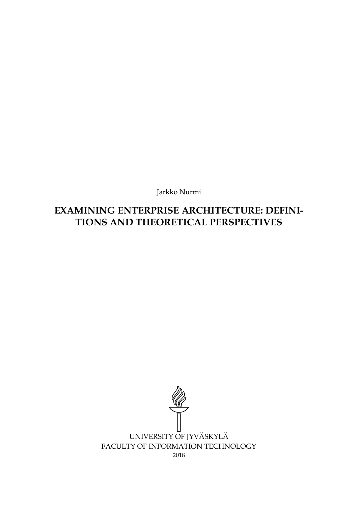Jarkko Nurmi

**EXAMINING ENTERPRISE ARCHITECTURE: DEFINI-TIONS AND THEORETICAL PERSPECTIVES**

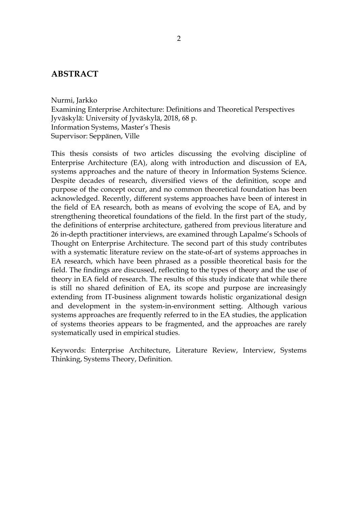## <span id="page-1-0"></span>**ABSTRACT**

Nurmi, Jarkko Examining Enterprise Architecture: Definitions and Theoretical Perspectives Jyväskylä: University of Jyväskylä, 2018, 68 p. Information Systems, Master's Thesis Supervisor: Seppänen, Ville

This thesis consists of two articles discussing the evolving discipline of Enterprise Architecture (EA), along with introduction and discussion of EA, systems approaches and the nature of theory in Information Systems Science. Despite decades of research, diversified views of the definition, scope and purpose of the concept occur, and no common theoretical foundation has been acknowledged. Recently, different systems approaches have been of interest in the field of EA research, both as means of evolving the scope of EA, and by strengthening theoretical foundations of the field. In the first part of the study, the definitions of enterprise architecture, gathered from previous literature and 26 in-depth practitioner interviews, are examined through Lapalme's Schools of Thought on Enterprise Architecture. The second part of this study contributes with a systematic literature review on the state-of-art of systems approaches in EA research, which have been phrased as a possible theoretical basis for the field. The findings are discussed, reflecting to the types of theory and the use of theory in EA field of research. The results of this study indicate that while there is still no shared definition of EA, its scope and purpose are increasingly extending from IT-business alignment towards holistic organizational design and development in the system-in-environment setting. Although various systems approaches are frequently referred to in the EA studies, the application of systems theories appears to be fragmented, and the approaches are rarely systematically used in empirical studies.

Keywords: Enterprise Architecture, Literature Review, Interview, Systems Thinking, Systems Theory, Definition.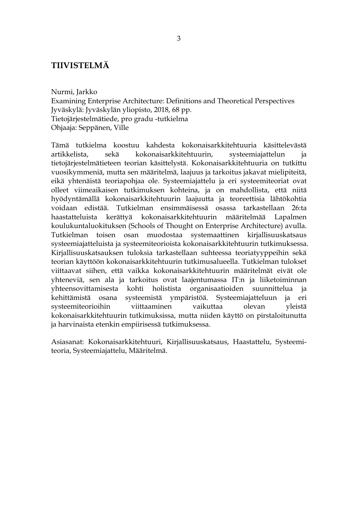## <span id="page-2-0"></span>**TIIVISTELMÄ**

Nurmi, Jarkko

Examining Enterprise Architecture: Definitions and Theoretical Perspectives Jyväskylä: Jyväskylän yliopisto, 2018, 68 pp. Tietojärjestelmätiede, pro gradu -tutkielma Ohjaaja: Seppänen, Ville

Tämä tutkielma koostuu kahdesta kokonaisarkkitehtuuria käsittelevästä artikkelista, sekä kokonaisarkkitehtuurin, systeemiajattelun ja tietojärjestelmätieteen teorian käsittelystä. Kokonaisarkkitehtuuria on tutkittu vuosikymmeniä, mutta sen määritelmä, laajuus ja tarkoitus jakavat mielipiteitä, eikä yhtenäistä teoriapohjaa ole. Systeemiajattelu ja eri systeemiteoriat ovat olleet viimeaikaisen tutkimuksen kohteina, ja on mahdollista, että niitä hyödyntämällä kokonaisarkkitehtuurin laajuutta ja teoreettisia lähtökohtia voidaan edistää. Tutkielman ensimmäisessä osassa tarkastellaan 26:ta haastatteluista kerättyä kokonaisarkkitehtuurin määritelmää Lapalmen koulukuntaluokituksen (Schools of Thought on Enterprise Architecture) avulla. Tutkielman toisen osan muodostaa systemaattinen kirjallisuuskatsaus systeemiajatteluista ja systeemiteorioista kokonaisarkkitehtuurin tutkimuksessa. Kirjallisuuskatsauksen tuloksia tarkastellaan suhteessa teoriatyyppeihin sekä teorian käyttöön kokonaisarkkitehtuurin tutkimusalueella. Tutkielman tulokset viittaavat siihen, että vaikka kokonaisarkkitehtuurin määritelmät eivät ole yhteneviä, sen ala ja tarkoitus ovat laajentumassa IT:n ja liiketoiminnan yhteensovittamisesta kohti holistista organisaatioiden suunnittelua ja kehittämistä osana systeemistä ympäristöä. Systeemiajatteluun ja eri systeemiteorioihin viittaaminen vaikuttaa olevan yleistä kokonaisarkkitehtuurin tutkimuksissa, mutta niiden käyttö on pirstaloitunutta ja harvinaista etenkin empiirisessä tutkimuksessa.

Asiasanat: Kokonaisarkkitehtuuri, Kirjallisuuskatsaus, Haastattelu, Systeemiteoria, Systeemiajattelu, Määritelmä.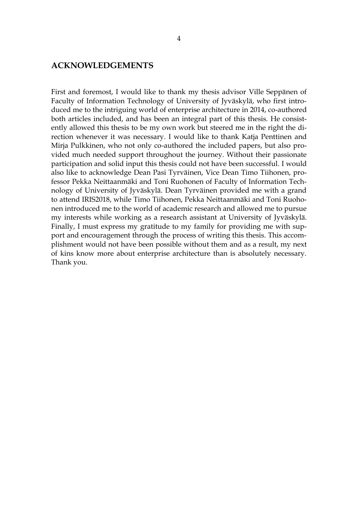### <span id="page-3-0"></span>**ACKNOWLEDGEMENTS**

First and foremost, I would like to thank my thesis advisor Ville Seppänen of Faculty of Information Technology of University of Jyväskylä, who first introduced me to the intriguing world of enterprise architecture in 2014, co-authored both articles included, and has been an integral part of this thesis. He consistently allowed this thesis to be my own work but steered me in the right the direction whenever it was necessary. I would like to thank Katja Penttinen and Mirja Pulkkinen, who not only co-authored the included papers, but also provided much needed support throughout the journey. Without their passionate participation and solid input this thesis could not have been successful. I would also like to acknowledge Dean Pasi Tyrväinen, Vice Dean Timo Tiihonen, professor Pekka Neittaanmäki and Toni Ruohonen of Faculty of Information Technology of University of Jyväskylä. Dean Tyrväinen provided me with a grand to attend IRIS2018, while Timo Tiihonen, Pekka Neittaanmäki and Toni Ruohonen introduced me to the world of academic research and allowed me to pursue my interests while working as a research assistant at University of Jyväskylä. Finally, I must express my gratitude to my family for providing me with support and encouragement through the process of writing this thesis. This accomplishment would not have been possible without them and as a result, my next of kins know more about enterprise architecture than is absolutely necessary. Thank you.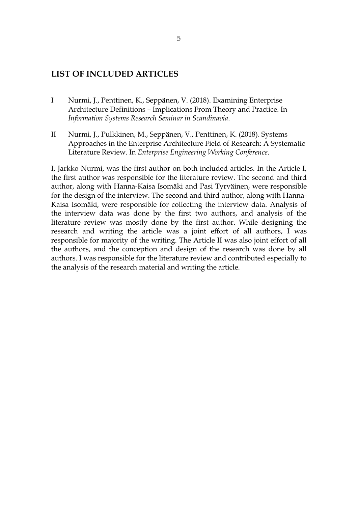## <span id="page-4-0"></span>**LIST OF INCLUDED ARTICLES**

- I Nurmi, J., Penttinen, K., Seppänen, V. (2018). Examining Enterprise Architecture Definitions – Implications From Theory and Practice. In *Information Systems Research Seminar in Scandinavia*.
- II Nurmi, J., Pulkkinen, M., Seppänen, V., Penttinen, K. (2018). Systems Approaches in the Enterprise Architecture Field of Research: A Systematic Literature Review. In *Enterprise Engineering Working Conference*.

I, Jarkko Nurmi, was the first author on both included articles. In the Article I, the first author was responsible for the literature review. The second and third author, along with Hanna-Kaisa Isomäki and Pasi Tyrväinen, were responsible for the design of the interview. The second and third author, along with Hanna-Kaisa Isomäki, were responsible for collecting the interview data. Analysis of the interview data was done by the first two authors, and analysis of the literature review was mostly done by the first author. While designing the research and writing the article was a joint effort of all authors, I was responsible for majority of the writing. The Article II was also joint effort of all the authors, and the conception and design of the research was done by all authors. I was responsible for the literature review and contributed especially to the analysis of the research material and writing the article.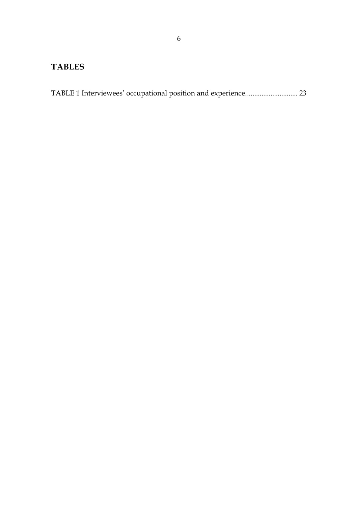# <span id="page-5-0"></span>**TABLES**

| TABLE 1 Interviewees' occupational position and experience 23 |  |  |  |  |
|---------------------------------------------------------------|--|--|--|--|
|---------------------------------------------------------------|--|--|--|--|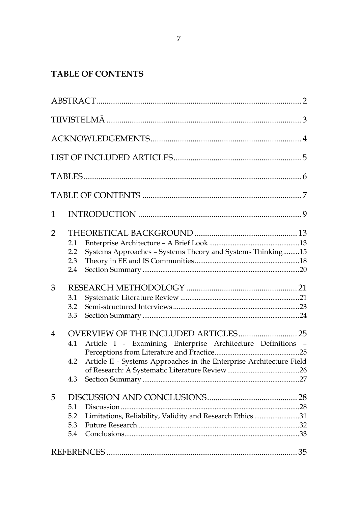# <span id="page-6-0"></span>**TABLE OF CONTENTS**

| $\mathbf 1$    |                                                                                                                                                          |  |
|----------------|----------------------------------------------------------------------------------------------------------------------------------------------------------|--|
| $\overline{2}$ | 2.1<br>Systems Approaches - Systems Theory and Systems Thinking15<br>2.2<br>2.3<br>2.4                                                                   |  |
| 3              | 3.1<br>3.2<br>3.3                                                                                                                                        |  |
| 4              | Article I - Examining Enterprise Architecture Definitions -<br>4.1<br>Article II - Systems Approaches in the Enterprise Architecture Field<br>4.2<br>4.3 |  |
| 5              | 5.1<br>Limitations, Reliability, Validity and Research Ethics 31<br>5.2<br>5.3<br>5.4                                                                    |  |
|                |                                                                                                                                                          |  |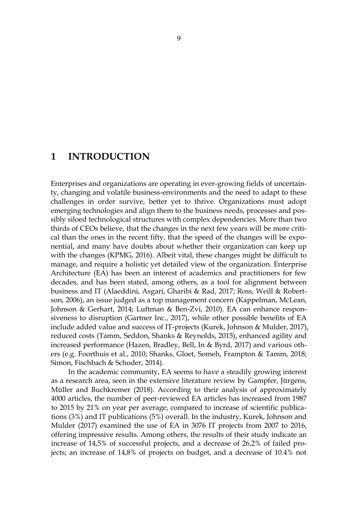## <span id="page-8-0"></span>**1 INTRODUCTION**

Enterprises and organizations are operating in ever-growing fields of uncertainty, changing and volatile business-environments and the need to adapt to these challenges in order survive, better yet to thrive. Organizations must adopt emerging technologies and align them to the business needs, processes and possibly siloed technological structures with complex dependencies. More than two thirds of CEOs believe, that the changes in the next few years will be more critical than the ones in the recent fifty, that the speed of the changes will be exponential, and many have doubts about whether their organization can keep up with the changes (KPMG, 2016). Albeit vital, these changes might be difficult to manage, and require a holistic yet detailed view of the organization. Enterprise Architecture (EA) has been an interest of academics and practitioners for few decades, and has been stated, among others, as a tool for alignment between business and IT (Alaeddini, Asgari, Gharibi & Rad, 2017; Ross, Weill & Robertson, 2006), an issue judged as a top management concern (Kappelman, McLean, Johnson & Gerhart, 2014; Luftman & Ben-Zvi, 2010). EA can enhance responsiveness to disruption (Gartner Inc., 2017), while other possible benefits of EA include added value and success of IT-projects (Kurek, Johnson & Mulder, 2017), reduced costs (Tamm, Seddon, Shanks & Reynolds, 2015), enhanced agility and increased performance (Hazen, Bradley, Bell, In & Byrd, 2017) and various others (e.g. Foorthuis et al., 2010; Shanks, Gloet, Someh, Frampton & Tamm, 2018; Simon, Fischbach & Schoder, 2014).

In the academic community, EA seems to have a steadily growing interest as a research area, seen in the extensive literature review by Gampfer, Jürgens, Müller and Buchkremer (2018). According to their analysis of approximately 4000 articles, the number of peer-reviewed EA articles has increased from 1987 to 2015 by 21% on year per average, compared to increase of scientific publications (3%) and IT publications (5%) overall. In the industry, Kurek, Johnson and Mulder (2017) examined the use of EA in 3076 IT projects from 2007 to 2016, offering impressive results. Among others, the results of their study indicate an increase of 14,5% of successful projects, and a decrease of 26,2% of failed projects; an increase of 14,8% of projects on budget, and a decrease of 10.4% not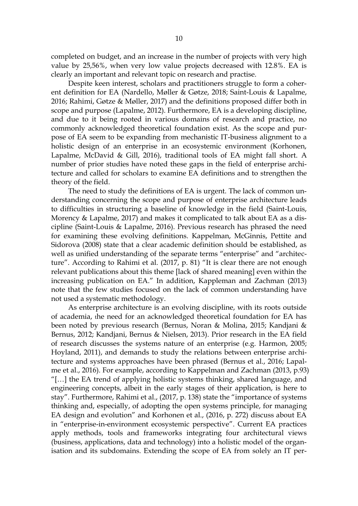completed on budget, and an increase in the number of projects with very high value by 25,56%, when very low value projects decreased with 12.8%. EA is clearly an important and relevant topic on research and practise.

Despite keen interest, scholars and practitioners struggle to form a coherent definition for EA (Nardello, Møller & Gøtze, 2018; Saint-Louis & Lapalme, 2016; Rahimi, Gøtze & Møller, 2017) and the definitions proposed differ both in scope and purpose (Lapalme, 2012). Furthermore, EA is a developing discipline, and due to it being rooted in various domains of research and practice, no commonly acknowledged theoretical foundation exist. As the scope and purpose of EA seem to be expanding from mechanistic IT-business alignment to a holistic design of an enterprise in an ecosystemic environment (Korhonen, Lapalme, McDavid & Gill, 2016), traditional tools of EA might fall short. A number of prior studies have noted these gaps in the field of enterprise architecture and called for scholars to examine EA definitions and to strengthen the theory of the field.

The need to study the definitions of EA is urgent. The lack of common understanding concerning the scope and purpose of enterprise architecture leads to difficulties in structuring a baseline of knowledge in the field (Saint-Louis, Morency & Lapalme, 2017) and makes it complicated to talk about EA as a discipline (Saint-Louis & Lapalme, 2016). Previous research has phrased the need for examining these evolving definitions. Kappelman, McGinnis, Pettite and Sidorova (2008) state that a clear academic definition should be established, as well as unified understanding of the separate terms "enterprise" and "architecture". According to Rahimi et al. (2017, p. 81) "It is clear there are not enough relevant publications about this theme [lack of shared meaning] even within the increasing publication on EA." In addition, Kappleman and Zachman (2013) note that the few studies focused on the lack of common understanding have not used a systematic methodology.

As enterprise architecture is an evolving discipline, with its roots outside of academia, the need for an acknowledged theoretical foundation for EA has been noted by previous research (Bernus, Noran & Molina, 2015; Kandjani & Bernus, 2012; Kandjani, Bernus & Nielsen, 2013). Prior research in the EA field of research discusses the systems nature of an enterprise (e.g. Harmon, 2005; Hoyland, 2011), and demands to study the relations between enterprise architecture and systems approaches have been phrased (Bernus et al., 2016; Lapalme et al., 2016). For example, according to Kappelman and Zachman (2013, p.93) "[…] the EA trend of applying holistic systems thinking, shared language, and engineering concepts, albeit in the early stages of their application, is here to stay". Furthermore, Rahimi et al., (2017, p. 138) state the "importance of systems thinking and, especially, of adopting the open systems principle, for managing EA design and evolution" and Korhonen et al., (2016, p. 272) discuss about EA in "enterprise-in-environment ecosystemic perspective". Current EA practices apply methods, tools and frameworks integrating four architectural views (business, applications, data and technology) into a holistic model of the organisation and its subdomains. Extending the scope of EA from solely an IT per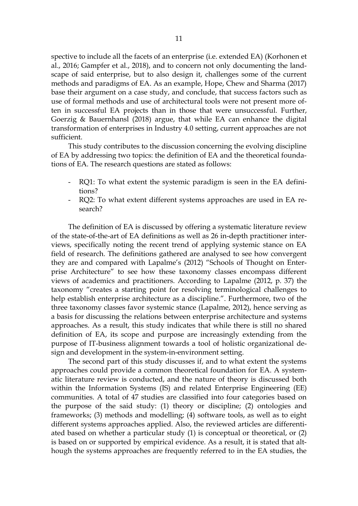spective to include all the facets of an enterprise (i.e. extended EA) (Korhonen et al., 2016; Gampfer et al., 2018), and to concern not only documenting the landscape of said enterprise, but to also design it, challenges some of the current methods and paradigms of EA. As an example, Hope, Chew and Sharma (2017) base their argument on a case study, and conclude, that success factors such as use of formal methods and use of architectural tools were not present more often in successful EA projects than in those that were unsuccessful. Further, Goerzig & Bauernhansl (2018) argue, that while EA can enhance the digital transformation of enterprises in Industry 4.0 setting, current approaches are not sufficient.

This study contributes to the discussion concerning the evolving discipline of EA by addressing two topics: the definition of EA and the theoretical foundations of EA. The research questions are stated as follows:

- RQ1: To what extent the systemic paradigm is seen in the EA definitions?
- RQ2: To what extent different systems approaches are used in EA research?

The definition of EA is discussed by offering a systematic literature review of the state-of-the-art of EA definitions as well as 26 in-depth practitioner interviews, specifically noting the recent trend of applying systemic stance on EA field of research. The definitions gathered are analysed to see how convergent they are and compared with Lapalme's (2012) "Schools of Thought on Enterprise Architecture" to see how these taxonomy classes encompass different views of academics and practitioners. According to Lapalme (2012, p. 37) the taxonomy "creates a starting point for resolving terminological challenges to help establish enterprise architecture as a discipline.". Furthermore, two of the three taxonomy classes favor systemic stance (Lapalme, 2012), hence serving as a basis for discussing the relations between enterprise architecture and systems approaches. As a result, this study indicates that while there is still no shared definition of EA, its scope and purpose are increasingly extending from the purpose of IT-business alignment towards a tool of holistic organizational design and development in the system-in-environment setting.

The second part of this study discusses if, and to what extent the systems approaches could provide a common theoretical foundation for EA. A systematic literature review is conducted, and the nature of theory is discussed both within the Information Systems (IS) and related Enterprise Engineering (EE) communities. A total of 47 studies are classified into four categories based on the purpose of the said study: (1) theory or discipline; (2) ontologies and frameworks; (3) methods and modelling; (4) software tools, as well as to eight different systems approaches applied. Also, the reviewed articles are differentiated based on whether a particular study (1) is conceptual or theoretical, or (2) is based on or supported by empirical evidence. As a result, it is stated that although the systems approaches are frequently referred to in the EA studies, the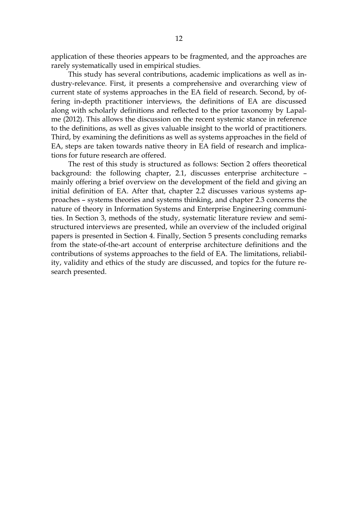application of these theories appears to be fragmented, and the approaches are rarely systematically used in empirical studies.

This study has several contributions, academic implications as well as industry-relevance. First, it presents a comprehensive and overarching view of current state of systems approaches in the EA field of research. Second, by offering in-depth practitioner interviews, the definitions of EA are discussed along with scholarly definitions and reflected to the prior taxonomy by Lapalme (2012). This allows the discussion on the recent systemic stance in reference to the definitions, as well as gives valuable insight to the world of practitioners. Third, by examining the definitions as well as systems approaches in the field of EA, steps are taken towards native theory in EA field of research and implications for future research are offered.

The rest of this study is structured as follows: Section 2 offers theoretical background: the following chapter, 2.1, discusses enterprise architecture – mainly offering a brief overview on the development of the field and giving an initial definition of EA. After that, chapter 2.2 discusses various systems approaches – systems theories and systems thinking, and chapter 2.3 concerns the nature of theory in Information Systems and Enterprise Engineering communities. In Section 3, methods of the study, systematic literature review and semistructured interviews are presented, while an overview of the included original papers is presented in Section 4. Finally, Section 5 presents concluding remarks from the state-of-the-art account of enterprise architecture definitions and the contributions of systems approaches to the field of EA. The limitations, reliability, validity and ethics of the study are discussed, and topics for the future research presented.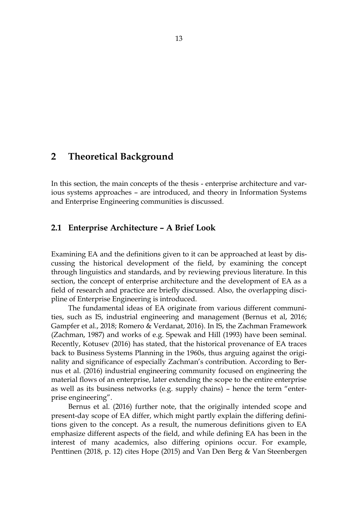# <span id="page-12-0"></span>**2 Theoretical Background**

In this section, the main concepts of the thesis - enterprise architecture and various systems approaches – are introduced, and theory in Information Systems and Enterprise Engineering communities is discussed.

### <span id="page-12-1"></span>**2.1 Enterprise Architecture – A Brief Look**

Examining EA and the definitions given to it can be approached at least by discussing the historical development of the field, by examining the concept through linguistics and standards, and by reviewing previous literature. In this section, the concept of enterprise architecture and the development of EA as a field of research and practice are briefly discussed. Also, the overlapping discipline of Enterprise Engineering is introduced.

The fundamental ideas of EA originate from various different communities, such as IS, industrial engineering and management (Bernus et al, 2016; Gampfer et al., 2018; Romero & Verdanat, 2016). In IS, the Zachman Framework (Zachman, 1987) and works of e.g. Spewak and Hill (1993) have been seminal. Recently, Kotusev (2016) has stated, that the historical provenance of EA traces back to Business Systems Planning in the 1960s, thus arguing against the originality and significance of especially Zachman's contribution. According to Bernus et al. (2016) industrial engineering community focused on engineering the material flows of an enterprise, later extending the scope to the entire enterprise as well as its business networks (e.g. supply chains) – hence the term "enterprise engineering".

Bernus et al. (2016) further note, that the originally intended scope and present-day scope of EA differ, which might partly explain the differing definitions given to the concept. As a result, the numerous definitions given to EA emphasize different aspects of the field, and while defining EA has been in the interest of many academics, also differing opinions occur. For example, Penttinen (2018, p. 12) cites Hope (2015) and Van Den Berg & Van Steenbergen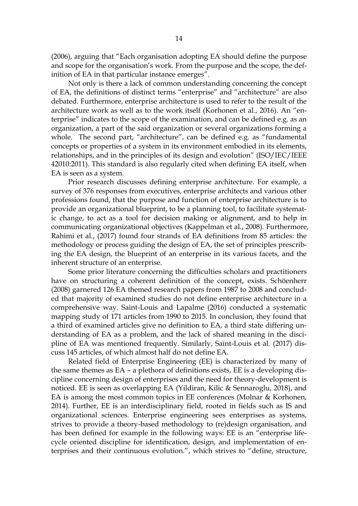(2006), arguing that "Each organisation adopting EA should define the purpose and scope for the organisation's work. From the purpose and the scope, the definition of EA in that particular instance emerges".

Not only is there a lack of common understanding concerning the concept of EA, the definitions of distinct terms "enterprise" and "architecture" are also debated. Furthermore, enterprise architecture is used to refer to the result of the architecture work as well as to the work itself (Korhonen et al., 2016). An "enterprise" indicates to the scope of the examination, and can be defined e.g. as an organization, a part of the said organization or several organizations forming a whole. The second part, "architecture", can be defined e.g. as "fundamental concepts or properties of a system in its environment embodied in its elements, relationships, and in the principles of its design and evolution" (ISO/IEC/IEEE 42010:2011). This standard is also regularly cited when defining EA itself, when EA is seen as a system.

Prior research discusses defining enterprise architecture. For example, a survey of 376 responses from executives, enterprise architects and various other professions found, that the purpose and function of enterprise architecture is to provide an organizational blueprint, to be a planning tool, to facilitate systematic change, to act as a tool for decision making or alignment, and to help in communicating organizational objectives (Kappelman et al., 2008). Furthermore, Rahimi et al., (2017) found four strands of EA definitions from 85 articles: the methodology or process guiding the design of EA, the set of principles prescribing the EA design, the blueprint of an enterprise in its various facets, and the inherent structure of an enterprise.

Some prior literature concerning the difficulties scholars and practitioners have on structuring a coherent definition of the concept, exists. Schöenherr (2008) garnered 126 EA themed research papers from 1987 to 2008 and concluded that majority of examined studies do not define enterprise architecture in a comprehensive way. Saint-Louis and Lapalme (2016) conducted a systematic mapping study of 171 articles from 1990 to 2015. In conclusion, they found that a third of examined articles give no definition to EA, a third state differing understanding of EA as a problem, and the lack of shared meaning in the discipline of EA was mentioned frequently. Similarly, Saint-Louis et al. (2017) discuss 145 articles, of which almost half do not define EA.

Related field of Enterprise Engineering (EE) is characterized by many of the same themes as EA – a plethora of definitions exists, EE is a developing discipline concerning design of enterprises and the need for theory-development is noticed. EE is seen as overlapping EA (Yildiran, Kilic & Sennaroglu, 2018), and EA is among the most common topics in EE conferences (Molnar & Korhonen, 2014). Further, EE is an interdisciplinary field, rooted in fields such as IS and organizational sciences. Enterprise engineering sees enterprises as systems, strives to provide a theory-based methodology to (re)design organisation, and has been defined for example in the following ways: EE is an "enterprise lifecycle oriented discipline for identification, design, and implementation of enterprises and their continuous evolution.", which strives to "define, structure,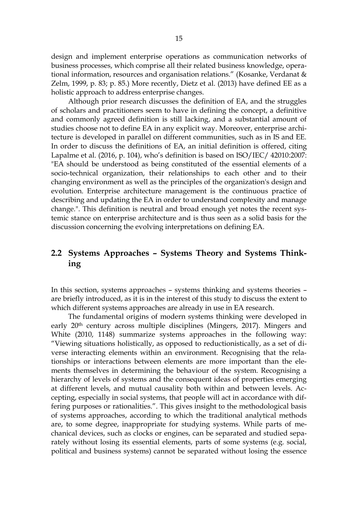design and implement enterprise operations as communication networks of business processes, which comprise all their related business knowledge, operational information, resources and organisation relations." (Kosanke, Verdanat & Zelm, 1999, p. 83; p. 85.) More recently, Dietz et al. (2013) have defined EE as a holistic approach to address enterprise changes.

Although prior research discusses the definition of EA, and the struggles of scholars and practitioners seem to have in defining the concept, a definitive and commonly agreed definition is still lacking, and a substantial amount of studies choose not to define EA in any explicit way. Moreover, enterprise architecture is developed in parallel on different communities, such as in IS and EE. In order to discuss the definitions of EA, an initial definition is offered, citing Lapalme et al. (2016, p. 104), who's definition is based on ISO/IEC/ 42010:2007: "EA should be understood as being constituted of the essential elements of a socio-technical organization, their relationships to each other and to their changing environment as well as the principles of the organization's design and evolution. Enterprise architecture management is the continuous practice of describing and updating the EA in order to understand complexity and manage change.". This definition is neutral and broad enough yet notes the recent systemic stance on enterprise architecture and is thus seen as a solid basis for the discussion concerning the evolving interpretations on defining EA.

# <span id="page-14-0"></span>**2.2 Systems Approaches – Systems Theory and Systems Thinking**

In this section, systems approaches – systems thinking and systems theories – are briefly introduced, as it is in the interest of this study to discuss the extent to which different systems approaches are already in use in EA research.

The fundamental origins of modern systems thinking were developed in early 20th century across multiple disciplines (Mingers, 2017). Mingers and White (2010, 1148) summarize systems approaches in the following way: "Viewing situations holistically, as opposed to reductionistically, as a set of diverse interacting elements within an environment. Recognising that the relationships or interactions between elements are more important than the elements themselves in determining the behaviour of the system. Recognising a hierarchy of levels of systems and the consequent ideas of properties emerging at different levels, and mutual causality both within and between levels. Accepting, especially in social systems, that people will act in accordance with differing purposes or rationalities.". This gives insight to the methodological basis of systems approaches, according to which the traditional analytical methods are, to some degree, inappropriate for studying systems. While parts of mechanical devices, such as clocks or engines, can be separated and studied separately without losing its essential elements, parts of some systems (e.g. social, political and business systems) cannot be separated without losing the essence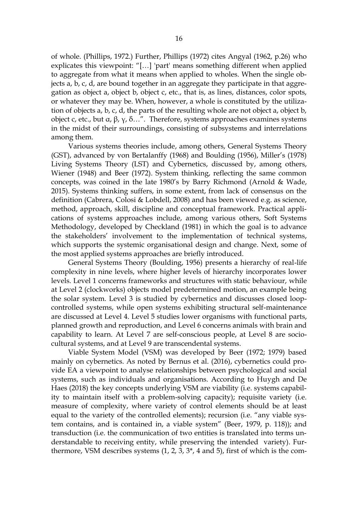of whole. (Phillips, 1972.) Further, Phillips (1972) cites Angyal (1962, p.26) who explicates this viewpoint: "[…] 'part' means something different when applied to aggregate from what it means when applied to wholes. When the single objects a, b, c, d, are bound together in an aggregate they participate in that aggregation as object a, object b, object c, etc., that is, as lines, distances, color spots, or whatever they may be. When, however, a whole is constituted by the utilization of objects a, b, c, d, the parts of the resulting whole are not object a, object b, object c, etc., but α, β, γ, δ...". Therefore, systems approaches examines systems in the midst of their surroundings, consisting of subsystems and interrelations among them.

Various systems theories include, among others, General Systems Theory (GST), advanced by von Bertalanffy (1968) and Boulding (1956), Miller's (1978) Living Systems Theory (LST) and Cybernetics, discussed by, among others, Wiener (1948) and Beer (1972). System thinking, reflecting the same common concepts, was coined in the late 1980's by Barry Richmond (Arnold & Wade, 2015). Systems thinking suffers, in some extent, from lack of consensus on the definition (Cabrera, Colosi & Lobdell, 2008) and has been viewed e.g. as science, method, approach, skill, discipline and conceptual framework. Practical applications of systems approaches include, among various others, Soft Systems Methodology, developed by Checkland (1981) in which the goal is to advance the stakeholders' involvement to the implementation of technical systems, which supports the systemic organisational design and change. Next, some of the most applied systems approaches are briefly introduced.

General Systems Theory (Boulding, 1956) presents a hierarchy of real-life complexity in nine levels, where higher levels of hierarchy incorporates lower levels. Level 1 concerns frameworks and structures with static behaviour, while at Level 2 (clockworks) objects model predetermined motion, an example being the solar system. Level 3 is studied by cybernetics and discusses closed loopcontrolled systems, while open systems exhibiting structural self-maintenance are discussed at Level 4. Level 5 studies lower organisms with functional parts, planned growth and reproduction, and Level 6 concerns animals with brain and capability to learn. At Level 7 are self-conscious people, at Level 8 are sociocultural systems, and at Level 9 are transcendental systems.

Viable System Model (VSM) was developed by Beer (1972; 1979) based mainly on cybernetics. As noted by Bernus et al. (2016), cybernetics could provide EA a viewpoint to analyse relationships between psychological and social systems, such as individuals and organisations. According to Huygh and De Haes (2018) the key concepts underlying VSM are viability (i.e. systems capability to maintain itself with a problem-solving capacity); requisite variety (i.e. measure of complexity, where variety of control elements should be at least equal to the variety of the controlled elements); recursion (i.e. "any viable system contains, and is contained in, a viable system" (Beer, 1979, p. 118)); and transduction (i.e. the communication of two entities is translated into terms understandable to receiving entity, while preserving the intended variety). Furthermore, VSM describes systems (1, 2, 3, 3\*, 4 and 5), first of which is the com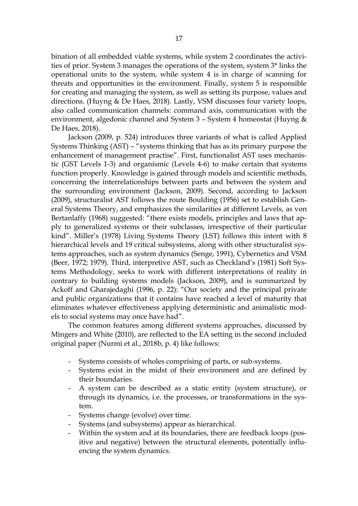bination of all embedded viable systems, while system 2 coordinates the activities of prior. System 3 manages the operations of the system, system 3\* links the operational units to the system, while system 4 is in charge of scanning for threats and opportunities in the environment. Finally, system 5 is responsible for creating and managing the system, as well as setting its purpose, values and directions. (Huyng & De Haes, 2018). Lastly, VSM discusses four variety loops, also called communication channels: command axis, communication with the environment, algedonic channel and System 3 – System 4 homeostat (Huyng & De Haes, 2018).

Jackson (2009, p. 524) introduces three variants of what is called Applied Systems Thinking (AST) – "systems thinking that has as its primary purpose the enhancement of management practise". First, functionalist AST uses mechanistic (GST Levels 1-3) and organismic (Levels 4-6) to make certain that systems function properly. Knowledge is gained through models and scientific methods, concerning the interrelationships between parts and between the system and the surrounding environment (Jackson, 2009). Second, according to Jackson (2009), structuralist AST follows the route Boulding (1956) set to establish General Systems Theory, and emphasizes the similarities at different Levels, as von Bertanlaffy (1968) suggested: "there exists models, principles and laws that apply to generalized systems or their subclasses, irrespective of their particular kind". Miller's (1978) Living Systems Theory (LST) follows this intent with 8 hierarchical levels and 19 critical subsystems, along with other structuralist systems approaches, such as system dynamics (Senge, 1991), Cybernetics and VSM (Beer, 1972; 1979). Third, interpretive AST, such as Checkland's (1981) Soft Systems Methodology, seeks to work with different interpretations of reality in contrary to building systems models (Jackson, 2009), and is summarized by Ackoff and Gharajedaghi (1996, p. 22): "Our society and the principal private and public organizations that it contains have reached a level of maturity that eliminates whatever effectiveness applying deterministic and animalistic models to social systems may once have had".

The common features among different systems approaches, discussed by Mingers and White (2010), are reflected to the EA setting in the second included original paper (Nurmi et al., 2018b, p. 4) like follows:

- Systems consists of wholes comprising of parts, or sub-systems.
- Systems exist in the midst of their environment and are defined by their boundaries.
- A system can be described as a static entity (system structure), or through its dynamics, i.e. the processes, or transformations in the system.
- Systems change (evolve) over time.
- Systems (and subsystems) appear as hierarchical.
- Within the system and at its boundaries, there are feedback loops (positive and negative) between the structural elements, potentially influencing the system dynamics.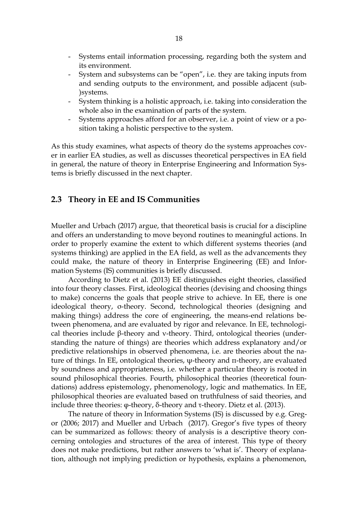- Systems entail information processing, regarding both the system and its environment.
- System and subsystems can be "open", i.e. they are taking inputs from and sending outputs to the environment, and possible adjacent (sub- )systems.
- System thinking is a holistic approach, i.e. taking into consideration the whole also in the examination of parts of the system.
- Systems approaches afford for an observer, i.e. a point of view or a position taking a holistic perspective to the system.

As this study examines, what aspects of theory do the systems approaches cover in earlier EA studies, as well as discusses theoretical perspectives in EA field in general, the nature of theory in Enterprise Engineering and Information Systems is briefly discussed in the next chapter.

## <span id="page-17-0"></span>**2.3 Theory in EE and IS Communities**

Mueller and Urbach (2017) argue, that theoretical basis is crucial for a discipline and offers an understanding to move beyond routines to meaningful actions. In order to properly examine the extent to which different systems theories (and systems thinking) are applied in the EA field, as well as the advancements they could make, the nature of theory in Enterprise Engineering (EE) and Information Systems (IS) communities is briefly discussed.

According to Dietz et al. (2013) EE distinguishes eight theories, classified into four theory classes. First, ideological theories (devising and choosing things to make) concerns the goals that people strive to achieve. In EE, there is one ideological theory, σ-theory. Second, technological theories (designing and making things) address the core of engineering, the means-end relations between phenomena, and are evaluated by rigor and relevance. In EE, technological theories include β-theory and ν-theory. Third, ontological theories (understanding the nature of things) are theories which address explanatory and/or predictive relationships in observed phenomena, i.e. are theories about the nature of things. In EE, ontological theories, ψ-theory and π-theory, are evaluated by soundness and appropriateness, i.e. whether a particular theory is rooted in sound philosophical theories. Fourth, philosophical theories (theoretical foundations) address epistemology, phenomenology, logic and mathematics. In EE, philosophical theories are evaluated based on truthfulness of said theories, and include three theories: φ-theory, δ-theory and τ-theory. Dietz et al. (2013).

The nature of theory in Information Systems (IS) is discussed by e.g. Gregor (2006; 2017) and Mueller and Urbach (2017). Gregor's five types of theory can be summarized as follows: theory of analysis is a descriptive theory concerning ontologies and structures of the area of interest. This type of theory does not make predictions, but rather answers to 'what is'. Theory of explanation, although not implying prediction or hypothesis, explains a phenomenon,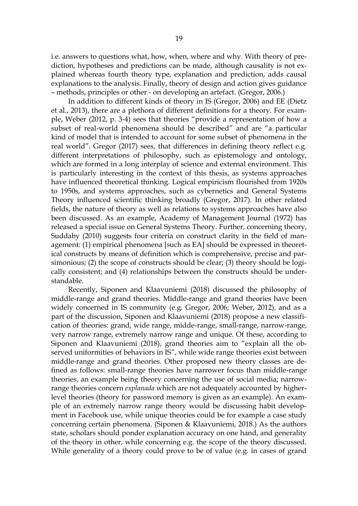i.e. answers to questions what, how, when, where and why. With theory of prediction, hypotheses and predictions can be made, although causality is not explained whereas fourth theory type, explanation and prediction, adds causal explanations to the analysis. Finally, theory of design and action gives guidance – methods, principles or other - on developing an artefact. (Gregor, 2006.)

In addition to different kinds of theory in IS (Gregor, 2006) and EE (Dietz et al., 2013), there are a plethora of different definitions for a theory. For example, Weber (2012, p. 3-4) sees that theories "provide a representation of how a subset of real-world phenomena should be described" and are "a particular kind of model that is intended to account for some subset of phenomena in the real world". Gregor (2017) sees, that differences in defining theory reflect e.g. different interpretations of philosophy, such as epistemology and ontology, which are formed in a long interplay of science and external environment. This is particularly interesting in the context of this thesis, as systems approaches have influenced theoretical thinking. Logical empiricism flourished from 1920s to 1950s, and systems approaches, such as cybernetics and General Systems Theory influenced scientific thinking broadly (Gregor, 2017). In other related fields, the nature of theory as well as relations to systems approaches have also been discussed. As an example, Academy of Management Journal (1972) has released a special issue on General Systems Theory. Further, concerning theory, Suddaby (2010) suggests four criteria on construct clarity in the field of management: (1) empirical phenomena [such as EA] should be expressed in theoretical constructs by means of definition which is comprehensive, precise and parsimonious; (2) the scope of constructs should be clear; (3) theory should be logically consistent; and (4) relationships between the constructs should be understandable.

Recently, Siponen and Klaavuniemi (2018) discussed the philosophy of middle-range and grand theories. Middle-range and grand theories have been widely concerned in IS community (e.g. Gregor, 2006; Weber, 2012), and as a part of the discussion, Siponen and Klaavuniemi (2018) propose a new classification of theories: grand, wide range, midde-range, small-range, narrow-range, very narrow range, extremely narrow range and unique. Of these, according to Siponen and Klaavuniemi (2018), grand theories aim to "explain all the observed uniformities of behaviors in IS", while wide range theories exist between middle-range and grand theories. Other proposed new theory classes are defined as follows: small-range theories have narrower focus than middle-range theories, an example being theory concerning the use of social media; narrowrange theories concern *explanada* which are not adequately accounted by higherlevel theories (theory for password memory is given as an example). An example of an extremely narrow range theory would be discussing habit development in Facebook use, while unique theories could be for example a case study concerning certain phenomena. (Siponen & Klaavuniemi, 2018.) As the authors state, scholars should ponder explanation accuracy on one hand, and generality of the theory in other, while concerning e.g. the scope of the theory discussed. While generality of a theory could prove to be of value (e.g. in cases of grand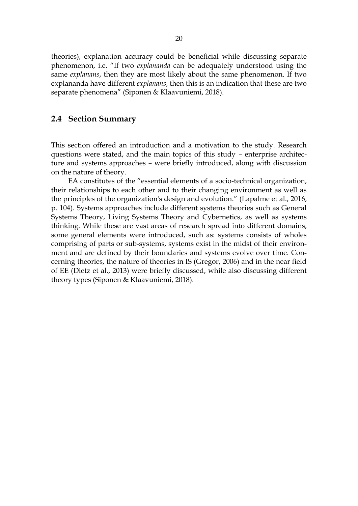theories), explanation accuracy could be beneficial while discussing separate phenomenon, i.e. "If two *explananda* can be adequately understood using the same *explanans*, then they are most likely about the same phenomenon. If two explananda have different *explanans*, then this is an indication that these are two separate phenomena" (Siponen & Klaavuniemi, 2018).

## <span id="page-19-0"></span>**2.4 Section Summary**

This section offered an introduction and a motivation to the study. Research questions were stated, and the main topics of this study – enterprise architecture and systems approaches – were briefly introduced, along with discussion on the nature of theory.

EA constitutes of the "essential elements of a socio-technical organization, their relationships to each other and to their changing environment as well as the principles of the organization's design and evolution." (Lapalme et al., 2016, p. 104). Systems approaches include different systems theories such as General Systems Theory, Living Systems Theory and Cybernetics, as well as systems thinking. While these are vast areas of research spread into different domains, some general elements were introduced, such as: systems consists of wholes comprising of parts or sub-systems, systems exist in the midst of their environment and are defined by their boundaries and systems evolve over time. Concerning theories, the nature of theories in IS (Gregor, 2006) and in the near field of EE (Dietz et al., 2013) were briefly discussed, while also discussing different theory types (Siponen & Klaavuniemi, 2018).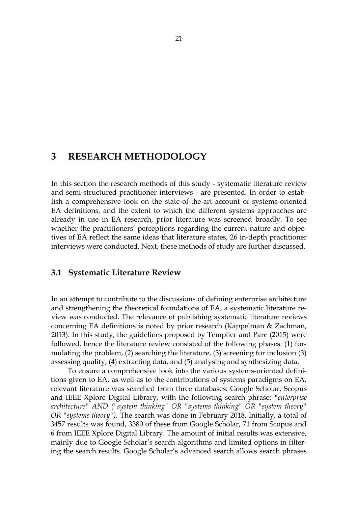# <span id="page-20-0"></span>**3 RESEARCH METHODOLOGY**

In this section the research methods of this study - systematic literature review and semi-structured practitioner interviews - are presented. In order to establish a comprehensive look on the state-of-the-art account of systems-oriented EA definitions, and the extent to which the different systems approaches are already in use in EA research, prior literature was screened broadly. To see whether the practitioners' perceptions regarding the current nature and objectives of EA reflect the same ideas that literature states, 26 in-depth practitioner interviews were conducted. Next, these methods of study are further discussed.

## <span id="page-20-1"></span>**3.1 Systematic Literature Review**

In an attempt to contribute to the discussions of defining enterprise architecture and strengthening the theoretical foundations of EA, a systematic literature review was conducted. The relevance of publishing systematic literature reviews concerning EA definitions is noted by prior research (Kappelman & Zachman, 2013). In this study, the guidelines proposed by Templier and Pare (2015) were followed, hence the literature review consisted of the following phases: (1) formulating the problem, (2) searching the literature, (3) screening for inclusion (3) assessing quality, (4) extracting data, and (5) analysing and synthesizing data.

To ensure a comprehensive look into the various systems-oriented definitions given to EA, as well as to the contributions of systems paradigms on EA, relevant literature was searched from three databases: Google Scholar, Scopus and IEEE Xplore Digital Library, with the following search phrase: *"enterprise architecture" AND ("system thinking" OR "systems thinking" OR "system theory" OR "systems theory")*. The search was done in February 2018. Initially, a total of 3457 results was found, 3380 of these from Google Scholar, 71 from Scopus and 6 from IEEE Xplore Digital Library. The amount of initial results was extensive, mainly due to Google Scholar's search algorithms and limited options in filtering the search results. Google Scholar's advanced search allows search phrases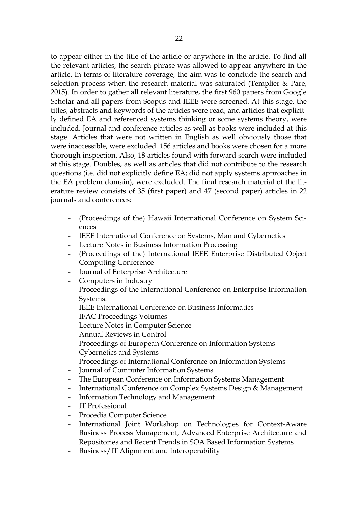to appear either in the title of the article or anywhere in the article. To find all the relevant articles, the search phrase was allowed to appear anywhere in the article. In terms of literature coverage, the aim was to conclude the search and selection process when the research material was saturated (Templier & Pare, 2015). In order to gather all relevant literature, the first 960 papers from Google Scholar and all papers from Scopus and IEEE were screened. At this stage, the titles, abstracts and keywords of the articles were read, and articles that explicitly defined EA and referenced systems thinking or some systems theory, were included. Journal and conference articles as well as books were included at this stage. Articles that were not written in English as well obviously those that were inaccessible, were excluded. 156 articles and books were chosen for a more thorough inspection. Also, 18 articles found with forward search were included at this stage. Doubles, as well as articles that did not contribute to the research questions (i.e. did not explicitly define EA; did not apply systems approaches in the EA problem domain), were excluded. The final research material of the literature review consists of 35 (first paper) and 47 (second paper) articles in 22 journals and conferences:

- (Proceedings of the) Hawaii International Conference on System Sciences
- IEEE International Conference on Systems, Man and Cybernetics
- Lecture Notes in Business Information Processing
- (Proceedings of the) International IEEE Enterprise Distributed Object Computing Conference
- Journal of Enterprise Architecture
- Computers in Industry
- Proceedings of the International Conference on Enterprise Information Systems.
- IEEE International Conference on Business Informatics
- IFAC Proceedings Volumes
- Lecture Notes in Computer Science
- Annual Reviews in Control
- Proceedings of European Conference on Information Systems
- Cybernetics and Systems
- Proceedings of International Conference on Information Systems
- Journal of Computer Information Systems
- The European Conference on Information Systems Management
- International Conference on Complex Systems Design & Management
- Information Technology and Management
- IT Professional
- Procedia Computer Science
- International Joint Workshop on Technologies for Context-Aware Business Process Management, Advanced Enterprise Architecture and Repositories and Recent Trends in SOA Based Information Systems
- Business/IT Alignment and Interoperability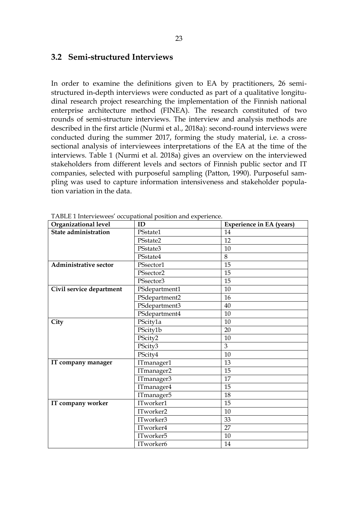## <span id="page-22-1"></span>**3.2 Semi-structured Interviews**

In order to examine the definitions given to EA by practitioners, 26 semistructured in-depth interviews were conducted as part of a qualitative longitudinal research project researching the implementation of the Finnish national enterprise architecture method (FINEA). The research constituted of two rounds of semi-structure interviews. The interview and analysis methods are described in the first article (Nurmi et al., 2018a): second-round interviews were conducted during the summer 2017, forming the study material, i.e. a crosssectional analysis of interviewees interpretations of the EA at the time of the interviews. Table 1 (Nurmi et al. 2018a) gives an overview on the interviewed stakeholders from different levels and sectors of Finnish public sector and IT companies, selected with purposeful sampling (Patton, 1990). Purposeful sampling was used to capture information intensiveness and stakeholder population variation in the data.

| Organizational level         | ID            | <b>Experience in EA (years)</b> |
|------------------------------|---------------|---------------------------------|
| <b>State administration</b>  | PSstate1      | 14                              |
|                              | PSstate2      | 12                              |
|                              | PSstate3      | 10                              |
|                              | PSstate4      | 8                               |
| <b>Administrative sector</b> | PSsector1     | 15                              |
|                              | PSsector2     | 15                              |
|                              | PSsector3     | 15                              |
| Civil service department     | PSdepartment1 | 10                              |
|                              | PSdepartment2 | 16                              |
|                              | PSdepartment3 | 40                              |
|                              | PSdepartment4 | 10                              |
| City                         | PScity1a      | 10                              |
|                              | PScity1b      | 20                              |
|                              | PScity2       | 10                              |
|                              | PScity3       | 3                               |
|                              | PScity4       | 10                              |
| IT company manager           | ITmanager1    | 13                              |
|                              | ITmanager2    | 15                              |
|                              | ITmanager3    | 17                              |
|                              | ITmanager4    | 15                              |
|                              | ITmanager5    | 18                              |
| IT company worker            | ITworker1     | 15                              |
|                              | ITworker2     | 10                              |
|                              | ITworker3     | 33                              |
|                              | ITworker4     | 27                              |
|                              | ITworker5     | 10                              |
|                              | ITworker6     | 14                              |

<span id="page-22-0"></span>TABLE 1 Interviewees' occupational position and experience.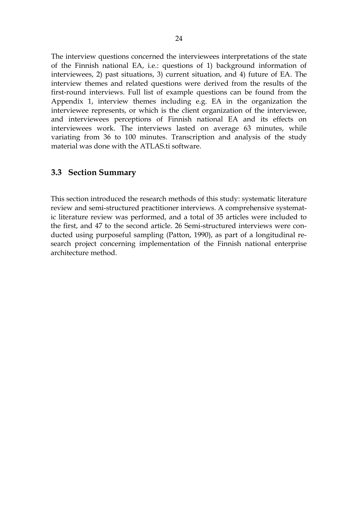The interview questions concerned the interviewees interpretations of the state of the Finnish national EA, i.e.: questions of 1) background information of interviewees, 2) past situations, 3) current situation, and 4) future of EA. The interview themes and related questions were derived from the results of the first-round interviews. Full list of example questions can be found from the Appendix 1, interview themes including e.g. EA in the organization the interviewee represents, or which is the client organization of the interviewee, and interviewees perceptions of Finnish national EA and its effects on interviewees work. The interviews lasted on average 63 minutes, while variating from 36 to 100 minutes. Transcription and analysis of the study material was done with the ATLAS.ti software.

## <span id="page-23-0"></span>**3.3 Section Summary**

This section introduced the research methods of this study: systematic literature review and semi-structured practitioner interviews. A comprehensive systematic literature review was performed, and a total of 35 articles were included to the first, and 47 to the second article. 26 Semi-structured interviews were conducted using purposeful sampling (Patton, 1990), as part of a longitudinal research project concerning implementation of the Finnish national enterprise architecture method.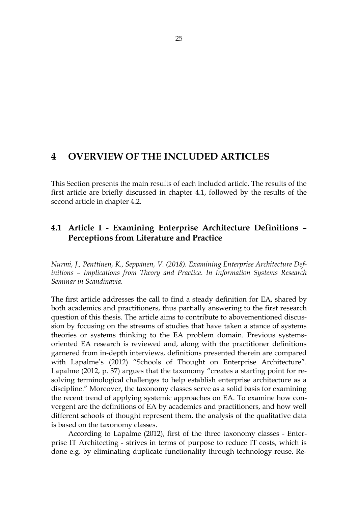# <span id="page-24-0"></span>**4 OVERVIEW OF THE INCLUDED ARTICLES**

This Section presents the main results of each included article. The results of the first article are briefly discussed in chapter 4.1, followed by the results of the second article in chapter 4.2.

## <span id="page-24-1"></span>**4.1 Article I - Examining Enterprise Architecture Definitions – Perceptions from Literature and Practice**

*Nurmi, J., Penttinen, K., Seppänen, V. (2018). Examining Enterprise Architecture Definitions – Implications from Theory and Practice. In Information Systems Research Seminar in Scandinavia.* 

The first article addresses the call to find a steady definition for EA, shared by both academics and practitioners, thus partially answering to the first research question of this thesis. The article aims to contribute to abovementioned discussion by focusing on the streams of studies that have taken a stance of systems theories or systems thinking to the EA problem domain. Previous systemsoriented EA research is reviewed and, along with the practitioner definitions garnered from in-depth interviews, definitions presented therein are compared with Lapalme's (2012) "Schools of Thought on Enterprise Architecture". Lapalme (2012, p. 37) argues that the taxonomy "creates a starting point for resolving terminological challenges to help establish enterprise architecture as a discipline." Moreover, the taxonomy classes serve as a solid basis for examining the recent trend of applying systemic approaches on EA. To examine how convergent are the definitions of EA by academics and practitioners, and how well different schools of thought represent them, the analysis of the qualitative data is based on the taxonomy classes.

According to Lapalme (2012), first of the three taxonomy classes - Enterprise IT Architecting - strives in terms of purpose to reduce IT costs, which is done e.g. by eliminating duplicate functionality through technology reuse. Re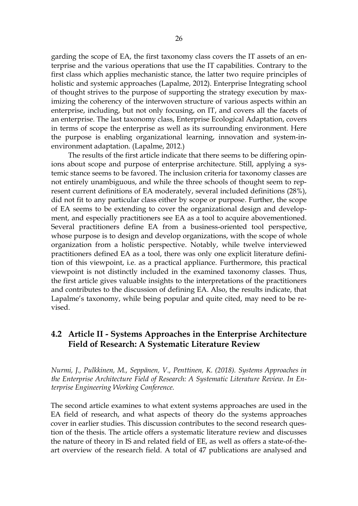garding the scope of EA, the first taxonomy class covers the IT assets of an enterprise and the various operations that use the IT capabilities. Contrary to the first class which applies mechanistic stance, the latter two require principles of holistic and systemic approaches (Lapalme, 2012). Enterprise Integrating school of thought strives to the purpose of supporting the strategy execution by maximizing the coherency of the interwoven structure of various aspects within an enterprise, including, but not only focusing, on IT, and covers all the facets of an enterprise. The last taxonomy class, Enterprise Ecological Adaptation, covers in terms of scope the enterprise as well as its surrounding environment. Here the purpose is enabling organizational learning, innovation and system-inenvironment adaptation. (Lapalme, 2012.)

The results of the first article indicate that there seems to be differing opinions about scope and purpose of enterprise architecture. Still, applying a systemic stance seems to be favored. The inclusion criteria for taxonomy classes are not entirely unambiguous, and while the three schools of thought seem to represent current definitions of EA moderately, several included definitions (28%), did not fit to any particular class either by scope or purpose. Further, the scope of EA seems to be extending to cover the organizational design and development, and especially practitioners see EA as a tool to acquire abovementioned. Several practitioners define EA from a business-oriented tool perspective, whose purpose is to design and develop organizations, with the scope of whole organization from a holistic perspective. Notably, while twelve interviewed practitioners defined EA as a tool, there was only one explicit literature definition of this viewpoint, i.e. as a practical appliance. Furthermore, this practical viewpoint is not distinctly included in the examined taxonomy classes. Thus, the first article gives valuable insights to the interpretations of the practitioners and contributes to the discussion of defining EA. Also, the results indicate, that Lapalme's taxonomy, while being popular and quite cited, may need to be revised.

# <span id="page-25-0"></span>**4.2 Article II - Systems Approaches in the Enterprise Architecture Field of Research: A Systematic Literature Review**

*Nurmi, J., Pulkkinen, M., Seppänen, V., Penttinen, K. (2018). Systems Approaches in the Enterprise Architecture Field of Research: A Systematic Literature Review. In Enterprise Engineering Working Conference.* 

The second article examines to what extent systems approaches are used in the EA field of research, and what aspects of theory do the systems approaches cover in earlier studies. This discussion contributes to the second research question of the thesis. The article offers a systematic literature review and discusses the nature of theory in IS and related field of EE, as well as offers a state-of-theart overview of the research field. A total of 47 publications are analysed and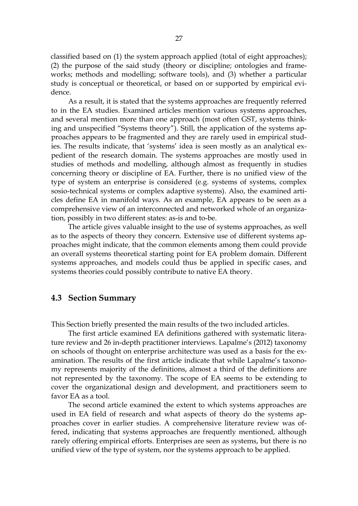classified based on (1) the system approach applied (total of eight approaches); (2) the purpose of the said study (theory or discipline; ontologies and frameworks; methods and modelling; software tools), and (3) whether a particular study is conceptual or theoretical, or based on or supported by empirical evidence.

As a result, it is stated that the systems approaches are frequently referred to in the EA studies. Examined articles mention various systems approaches, and several mention more than one approach (most often GST, systems thinking and unspecified "Systems theory"). Still, the application of the systems approaches appears to be fragmented and they are rarely used in empirical studies. The results indicate, that 'systems' idea is seen mostly as an analytical expedient of the research domain. The systems approaches are mostly used in studies of methods and modelling, although almost as frequently in studies concerning theory or discipline of EA. Further, there is no unified view of the type of system an enterprise is considered (e.g. systems of systems, complex sosio-technical systems or complex adaptive systems). Also, the examined articles define EA in manifold ways. As an example, EA appears to be seen as a comprehensive view of an interconnected and networked whole of an organization, possibly in two different states: as-is and to-be.

The article gives valuable insight to the use of systems approaches, as well as to the aspects of theory they concern. Extensive use of different systems approaches might indicate, that the common elements among them could provide an overall systems theoretical starting point for EA problem domain. Different systems approaches, and models could thus be applied in specific cases, and systems theories could possibly contribute to native EA theory.

### <span id="page-26-0"></span>**4.3 Section Summary**

This Section briefly presented the main results of the two included articles.

The first article examined EA definitions gathered with systematic literature review and 26 in-depth practitioner interviews. Lapalme's (2012) taxonomy on schools of thought on enterprise architecture was used as a basis for the examination. The results of the first article indicate that while Lapalme's taxonomy represents majority of the definitions, almost a third of the definitions are not represented by the taxonomy. The scope of EA seems to be extending to cover the organizational design and development, and practitioners seem to favor EA as a tool.

The second article examined the extent to which systems approaches are used in EA field of research and what aspects of theory do the systems approaches cover in earlier studies. A comprehensive literature review was offered, indicating that systems approaches are frequently mentioned, although rarely offering empirical efforts. Enterprises are seen as systems, but there is no unified view of the type of system, nor the systems approach to be applied.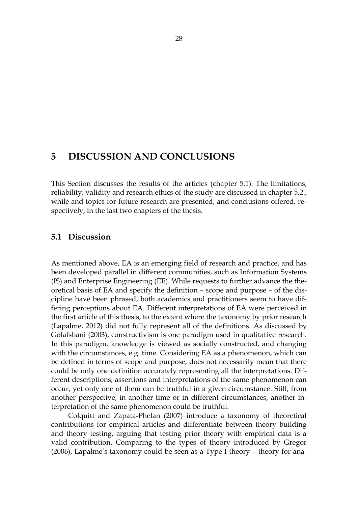# <span id="page-27-0"></span>**5 DISCUSSION AND CONCLUSIONS**

This Section discusses the results of the articles (chapter 5.1). The limitations, reliability, validity and research ethics of the study are discussed in chapter 5.2., while and topics for future research are presented, and conclusions offered, respectively, in the last two chapters of the thesis.

## <span id="page-27-1"></span>**5.1 Discussion**

As mentioned above, EA is an emerging field of research and practice, and has been developed parallel in different communities, such as Information Systems (IS) and Enterprise Engineering (EE). While requests to further advance the theoretical basis of EA and specify the definition – scope and purpose – of the discipline have been phrased, both academics and practitioners seem to have differing perceptions about EA. Different interpretations of EA were perceived in the first article of this thesis, to the extent where the taxonomy by prior research (Lapalme, 2012) did not fully represent all of the definitions. As discussed by Golafshani (2003), constructivism is one paradigm used in qualitative research. In this paradigm, knowledge is viewed as socially constructed, and changing with the circumstances, e.g. time. Considering EA as a phenomenon, which can be defined in terms of scope and purpose, does not necessarily mean that there could be only one definition accurately representing all the interpretations. Different descriptions, assertions and interpretations of the same phenomenon can occur, yet only one of them can be truthful in a given circumstance. Still, from another perspective, in another time or in different circumstances, another interpretation of the same phenomenon could be truthful.

Colquitt and Zapata-Phelan (2007) introduce a taxonomy of theoretical contributions for empirical articles and differentiate between theory building and theory testing, arguing that testing prior theory with empirical data is a valid contribution. Comparing to the types of theory introduced by Gregor (2006), Lapalme's taxonomy could be seen as a Type I theory – theory for ana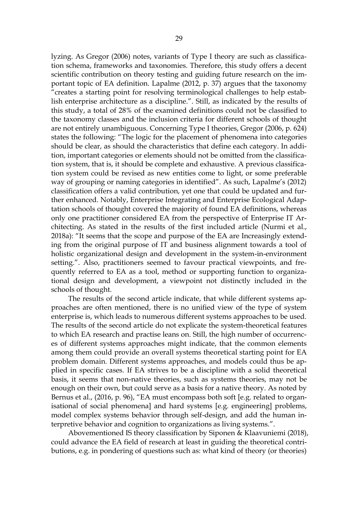lyzing. As Gregor (2006) notes, variants of Type I theory are such as classification schema, frameworks and taxonomies. Therefore, this study offers a decent scientific contribution on theory testing and guiding future research on the important topic of EA definition. Lapalme (2012, p. 37) argues that the taxonomy "creates a starting point for resolving terminological challenges to help establish enterprise architecture as a discipline.". Still, as indicated by the results of this study, a total of 28% of the examined definitions could not be classified to the taxonomy classes and the inclusion criteria for different schools of thought are not entirely unambiguous. Concerning Type I theories, Gregor (2006, p. 624) states the following: "The logic for the placement of phenomena into categories should be clear, as should the characteristics that define each category. In addition, important categories or elements should not be omitted from the classification system, that is, it should be complete and exhaustive. A previous classification system could be revised as new entities come to light, or some preferable way of grouping or naming categories in identified". As such, Lapalme's (2012) classification offers a valid contribution, yet one that could be updated and further enhanced. Notably, Enterprise Integrating and Enterprise Ecological Adaptation schools of thought covered the majority of found EA definitions, whereas only one practitioner considered EA from the perspective of Enterprise IT Architecting. As stated in the results of the first included article (Nurmi et al., 2018a): "It seems that the scope and purpose of the EA are Increasingly extending from the original purpose of IT and business alignment towards a tool of holistic organizational design and development in the system-in-environment setting.". Also, practitioners seemed to favour practical viewpoints, and frequently referred to EA as a tool, method or supporting function to organizational design and development, a viewpoint not distinctly included in the schools of thought.

The results of the second article indicate, that while different systems approaches are often mentioned, there is no unified view of the type of system enterprise is, which leads to numerous different systems approaches to be used. The results of the second article do not explicate the system-theoretical features to which EA research and practise leans on. Still, the high number of occurrences of different systems approaches might indicate, that the common elements among them could provide an overall systems theoretical starting point for EA problem domain. Different systems approaches, and models could thus be applied in specific cases. If EA strives to be a discipline with a solid theoretical basis, it seems that non-native theories, such as systems theories, may not be enough on their own, but could serve as a basis for a native theory. As noted by Bernus et al., (2016, p. 96), "EA must encompass both soft [e.g. related to organisational of social phenomena] and hard systems [e.g. engineering] problems, model complex systems behavior through self-design, and add the human interpretive behavior and cognition to organizations as living systems.".

Abovementioned IS theory classification by Siponen & Klaavuniemi (2018), could advance the EA field of research at least in guiding the theoretical contributions, e.g. in pondering of questions such as: what kind of theory (or theories)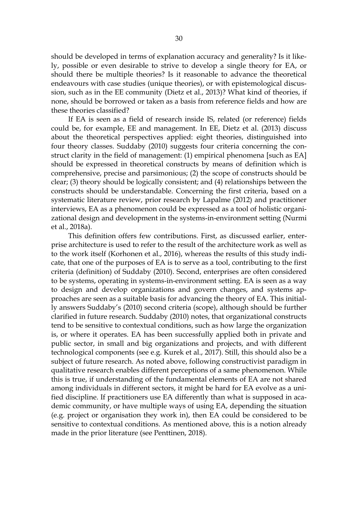should be developed in terms of explanation accuracy and generality? Is it likely, possible or even desirable to strive to develop a single theory for EA, or should there be multiple theories? Is it reasonable to advance the theoretical endeavours with case studies (unique theories), or with epistemological discussion, such as in the EE community (Dietz et al., 2013)? What kind of theories, if none, should be borrowed or taken as a basis from reference fields and how are these theories classified?

If EA is seen as a field of research inside IS, related (or reference) fields could be, for example, EE and management. In EE, Dietz et al. (2013) discuss about the theoretical perspectives applied: eight theories, distinguished into four theory classes. Suddaby (2010) suggests four criteria concerning the construct clarity in the field of management: (1) empirical phenomena [such as EA] should be expressed in theoretical constructs by means of definition which is comprehensive, precise and parsimonious; (2) the scope of constructs should be clear; (3) theory should be logically consistent; and (4) relationships between the constructs should be understandable. Concerning the first criteria, based on a systematic literature review, prior research by Lapalme (2012) and practitioner interviews, EA as a phenomenon could be expressed as a tool of holistic organizational design and development in the systems-in-environment setting (Nurmi et al., 2018a).

This definition offers few contributions. First, as discussed earlier, enterprise architecture is used to refer to the result of the architecture work as well as to the work itself (Korhonen et al., 2016), whereas the results of this study indicate, that one of the purposes of EA is to serve as a tool, contributing to the first criteria (definition) of Suddaby (2010). Second, enterprises are often considered to be systems, operating in systems-in-environment setting. EA is seen as a way to design and develop organizations and govern changes, and systems approaches are seen as a suitable basis for advancing the theory of EA. This initially answers Suddaby's (2010) second criteria (scope), although should be further clarified in future research. Suddaby (2010) notes, that organizational constructs tend to be sensitive to contextual conditions, such as how large the organization is, or where it operates. EA has been successfully applied both in private and public sector, in small and big organizations and projects, and with different technological components (see e.g. Kurek et al., 2017). Still, this should also be a subject of future research. As noted above, following constructivist paradigm in qualitative research enables different perceptions of a same phenomenon. While this is true, if understanding of the fundamental elements of EA are not shared among individuals in different sectors, it might be hard for EA evolve as a unified discipline. If practitioners use EA differently than what is supposed in academic community, or have multiple ways of using EA, depending the situation (e.g. project or organisation they work in), then EA could be considered to be sensitive to contextual conditions. As mentioned above, this is a notion already made in the prior literature (see Penttinen, 2018).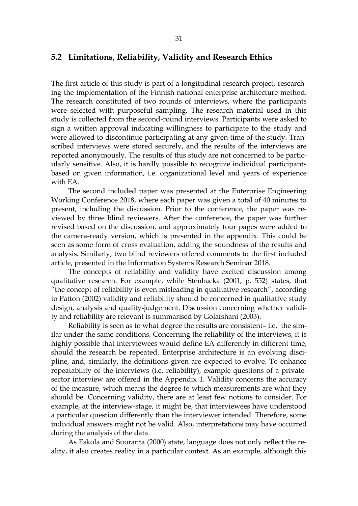<span id="page-30-0"></span>The first article of this study is part of a longitudinal research project, researching the implementation of the Finnish national enterprise architecture method. The research constituted of two rounds of interviews, where the participants were selected with purposeful sampling. The research material used in this study is collected from the second-round interviews. Participants were asked to sign a written approval indicating willingness to participate to the study and were allowed to discontinue participating at any given time of the study. Transcribed interviews were stored securely, and the results of the interviews are reported anonymously. The results of this study are not concerned to be particularly sensitive. Also, it is hardly possible to recognize individual participants based on given information, i.e. organizational level and years of experience with EA.

The second included paper was presented at the Enterprise Engineering Working Conference 2018, where each paper was given a total of 40 minutes to present, including the discussion. Prior to the conference, the paper was reviewed by three blind reviewers. After the conference, the paper was further revised based on the discussion, and approximately four pages were added to the camera-ready version, which is presented in the appendix. This could be seen as some form of cross evaluation, adding the soundness of the results and analysis. Similarly, two blind reviewers offered comments to the first included article, presented in the Information Systems Research Seminar 2018.

The concepts of reliability and validity have excited discussion among qualitative research. For example, while Stenbacka (2001, p. 552) states, that "the concept of reliability is even misleading in qualitative research", according to Patton (2002) validity and reliability should be concerned in qualitative study design, analysis and quality-judgement. Discussion concerning whether validity and reliability are relevant is summarised by Golafshani (2003).

Reliability is seen as to what degree the results are consistent– i.e. the similar under the same conditions. Concerning the reliability of the interviews, it is highly possible that interviewees would define EA differently in different time, should the research be repeated. Enterprise architecture is an evolving discipline, and, similarly, the definitions given are expected to evolve. To enhance repeatability of the interviews (i.e. reliability), example questions of a privatesector interview are offered in the Appendix 1. Validity concerns the accuracy of the measure, which means the degree to which measurements are what they should be. Concerning validity, there are at least few notions to consider. For example, at the interview-stage, it might be, that interviewees have understood a particular question differently than the interviewer intended. Therefore, some individual answers might not be valid. Also, interpretations may have occurred during the analysis of the data.

As Eskola and Suoranta (2000) state, language does not only reflect the reality, it also creates reality in a particular context. As an example, although this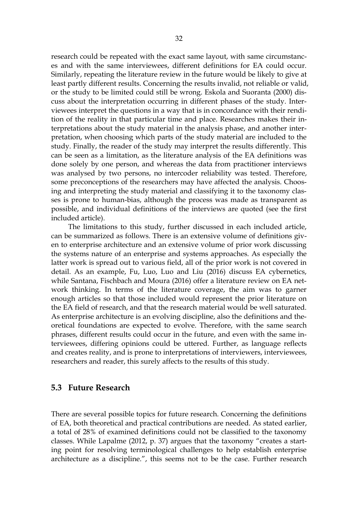research could be repeated with the exact same layout, with same circumstances and with the same interviewees, different definitions for EA could occur. Similarly, repeating the literature review in the future would be likely to give at least partly different results. Concerning the results invalid, not reliable or valid, or the study to be limited could still be wrong. Eskola and Suoranta (2000) discuss about the interpretation occurring in different phases of the study. Interviewees interpret the questions in a way that is in concordance with their rendition of the reality in that particular time and place. Researches makes their interpretations about the study material in the analysis phase, and another interpretation, when choosing which parts of the study material are included to the study. Finally, the reader of the study may interpret the results differently. This can be seen as a limitation, as the literature analysis of the EA definitions was done solely by one person, and whereas the data from practitioner interviews was analysed by two persons, no intercoder reliability was tested. Therefore, some preconceptions of the researchers may have affected the analysis. Choosing and interpreting the study material and classifying it to the taxonomy classes is prone to human-bias, although the process was made as transparent as possible, and individual definitions of the interviews are quoted (see the first included article).

The limitations to this study, further discussed in each included article, can be summarized as follows. There is an extensive volume of definitions given to enterprise architecture and an extensive volume of prior work discussing the systems nature of an enterprise and systems approaches. As especially the latter work is spread out to various field, all of the prior work is not covered in detail. As an example, Fu, Luo, Luo and Liu (2016) discuss EA cybernetics, while Santana, Fischbach and Moura (2016) offer a literature review on EA network thinking. In terms of the literature coverage, the aim was to garner enough articles so that those included would represent the prior literature on the EA field of research, and that the research material would be well saturated. As enterprise architecture is an evolving discipline, also the definitions and theoretical foundations are expected to evolve. Therefore, with the same search phrases, different results could occur in the future, and even with the same interviewees, differing opinions could be uttered. Further, as language reflects and creates reality, and is prone to interpretations of interviewers, interviewees, researchers and reader, this surely affects to the results of this study.

### <span id="page-31-0"></span>**5.3 Future Research**

There are several possible topics for future research. Concerning the definitions of EA, both theoretical and practical contributions are needed. As stated earlier, a total of 28% of examined definitions could not be classified to the taxonomy classes. While Lapalme (2012, p. 37) argues that the taxonomy "creates a starting point for resolving terminological challenges to help establish enterprise architecture as a discipline.", this seems not to be the case. Further research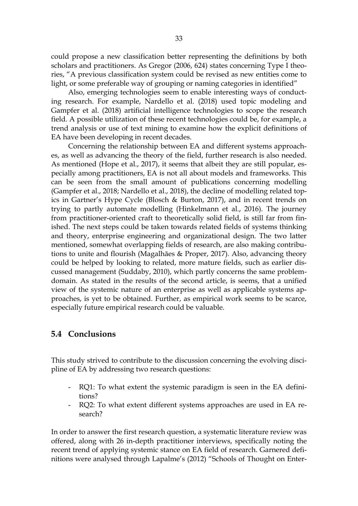could propose a new classification better representing the definitions by both scholars and practitioners. As Gregor (2006, 624) states concerning Type I theories, "A previous classification system could be revised as new entities come to light, or some preferable way of grouping or naming categories in identified"

Also, emerging technologies seem to enable interesting ways of conducting research. For example, Nardello et al. (2018) used topic modeling and Gampfer et al. (2018) artificial intelligence technologies to scope the research field. A possible utilization of these recent technologies could be, for example, a trend analysis or use of text mining to examine how the explicit definitions of EA have been developing in recent decades.

Concerning the relationship between EA and different systems approaches, as well as advancing the theory of the field, further research is also needed. As mentioned (Hope et al., 2017), it seems that albeit they are still popular, especially among practitioners, EA is not all about models and frameworks. This can be seen from the small amount of publications concerning modelling (Gampfer et al., 2018; Nardello et al., 2018), the decline of modelling related topics in Gartner's Hype Cycle (Blosch & Burton, 2017), and in recent trends on trying to partly automate modelling (Hinkelmann et al., 2016). The journey from practitioner-oriented craft to theoretically solid field, is still far from finished. The next steps could be taken towards related fields of systems thinking and theory, enterprise engineering and organizational design. The two latter mentioned, somewhat overlapping fields of research, are also making contributions to unite and flourish (Magalhães & Proper, 2017). Also, advancing theory could be helped by looking to related, more mature fields, such as earlier discussed management (Suddaby, 2010), which partly concerns the same problemdomain. As stated in the results of the second article, is seems, that a unified view of the systemic nature of an enterprise as well as applicable systems approaches, is yet to be obtained. Further, as empirical work seems to be scarce, especially future empirical research could be valuable.

## <span id="page-32-0"></span>**5.4 Conclusions**

This study strived to contribute to the discussion concerning the evolving discipline of EA by addressing two research questions:

- RQ1: To what extent the systemic paradigm is seen in the EA definitions?
- RQ2: To what extent different systems approaches are used in EA research?

In order to answer the first research question, a systematic literature review was offered, along with 26 in-depth practitioner interviews, specifically noting the recent trend of applying systemic stance on EA field of research. Garnered definitions were analysed through Lapalme's (2012) "Schools of Thought on Enter-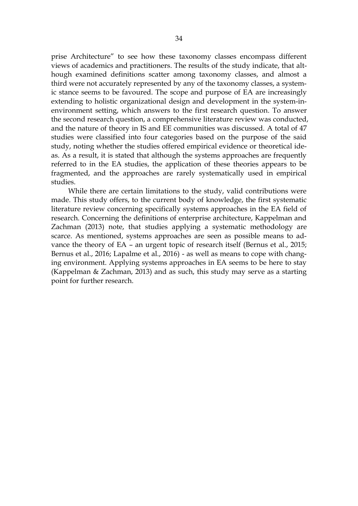prise Architecture" to see how these taxonomy classes encompass different views of academics and practitioners. The results of the study indicate, that although examined definitions scatter among taxonomy classes, and almost a third were not accurately represented by any of the taxonomy classes, a systemic stance seems to be favoured. The scope and purpose of EA are increasingly extending to holistic organizational design and development in the system-inenvironment setting, which answers to the first research question. To answer the second research question, a comprehensive literature review was conducted, and the nature of theory in IS and EE communities was discussed. A total of 47 studies were classified into four categories based on the purpose of the said study, noting whether the studies offered empirical evidence or theoretical ideas. As a result, it is stated that although the systems approaches are frequently referred to in the EA studies, the application of these theories appears to be fragmented, and the approaches are rarely systematically used in empirical studies.

While there are certain limitations to the study, valid contributions were made. This study offers, to the current body of knowledge, the first systematic literature review concerning specifically systems approaches in the EA field of research. Concerning the definitions of enterprise architecture, Kappelman and Zachman (2013) note, that studies applying a systematic methodology are scarce. As mentioned, systems approaches are seen as possible means to advance the theory of EA – an urgent topic of research itself (Bernus et al., 2015; Bernus et al., 2016; Lapalme et al., 2016) - as well as means to cope with changing environment. Applying systems approaches in EA seems to be here to stay (Kappelman & Zachman, 2013) and as such, this study may serve as a starting point for further research.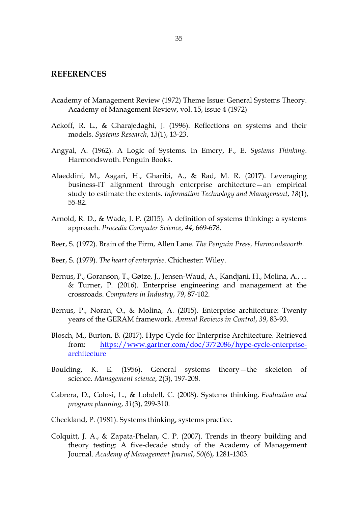### <span id="page-34-0"></span>**REFERENCES**

- Academy of Management Review (1972) Theme Issue: General Systems Theory. Academy of Management Review, vol. 15, issue 4 (1972)
- Ackoff, R. L., & Gharajedaghi, J. (1996). Reflections on systems and their models. *Systems Research*, *13*(1), 13-23.
- Angyal, A. (1962). A Logic of Systems. In Emery, F., E. *Systems Thinking*. Harmondswoth. Penguin Books.
- Alaeddini, M., Asgari, H., Gharibi, A., & Rad, M. R. (2017). Leveraging business-IT alignment through enterprise architecture—an empirical study to estimate the extents. *Information Technology and Management*, *18*(1), 55-82.
- Arnold, R. D., & Wade, J. P. (2015). A definition of systems thinking: a systems approach. *Procedia Computer Science*, *44*, 669-678.
- Beer, S. (1972). Brain of the Firm, Allen Lane. *The Penguin Press, Harmondsworth.*
- Beer, S. (1979). *The heart of enterprise*. Chichester: Wiley.
- Bernus, P., Goranson, T., Gøtze, J., Jensen-Waud, A., Kandjani, H., Molina, A., ... & Turner, P. (2016). Enterprise engineering and management at the crossroads. *Computers in Industry*, *79*, 87-102.
- Bernus, P., Noran, O., & Molina, A. (2015). Enterprise architecture: Twenty years of the GERAM framework. *Annual Reviews in Control*, *39*, 83-93.
- Blosch, M., Burton, B. (2017). Hype Cycle for Enterprise Architecture. Retrieved from: [https://www.gartner.com/doc/3772086/hype-cycle-enterprise](https://www.gartner.com/doc/3772086/hype-cycle-enterprise-architecture)[architecture](https://www.gartner.com/doc/3772086/hype-cycle-enterprise-architecture)
- Boulding, K. E. (1956). General systems theory—the skeleton of science. *Management science*, *2*(3), 197-208.
- Cabrera, D., Colosi, L., & Lobdell, C. (2008). Systems thinking. *Evaluation and program planning*, *31*(3), 299-310.
- Checkland, P. (1981). Systems thinking, systems practice.
- Colquitt, J. A., & Zapata-Phelan, C. P. (2007). Trends in theory building and theory testing: A five-decade study of the Academy of Management Journal. *Academy of Management Journal*, *50*(6), 1281-1303.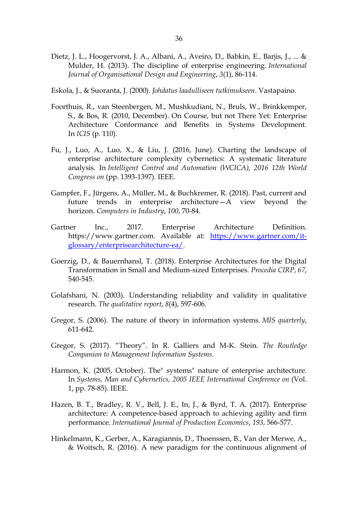- Dietz, J. L., Hoogervorst, J. A., Albani, A., Aveiro, D., Babkin, E., Barjis, J., ... & Mulder, H. (2013). The discipline of enterprise engineering. *International Journal of Organisational Design and Engineering*, *3*(1), 86-114.
- Eskola, J., & Suoranta, J. (2000). *Johdatus laadulliseen tutkimukseen*. Vastapaino.
- Foorthuis, R., van Steenbergen, M., Mushkudiani, N., Bruls, W., Brinkkemper, S., & Bos, R. (2010, December). On Course, but not There Yet: Enterprise Architecture Conformance and Benefits in Systems Development. In *ICIS* (p. 110).
- Fu, J., Luo, A., Luo, X., & Liu, J. (2016, June). Charting the landscape of enterprise architecture complexity cybernetics: A systematic literature analysis. In *Intelligent Control and Automation (WCICA), 2016 12th World Congress on* (pp. 1393-1397). IEEE.
- Gampfer, F., Jürgens, A., Müller, M., & Buchkremer, R. (2018). Past, current and future trends in enterprise architecture—A view beyond the horizon. *Computers in Industry*, *100*, 70-84.
- Gartner Inc., 2017. Enterprise Architecture Definition. https://www.gartner.com. Available at: [https://www.gartner.com/it](https://www.gartner.com/it-glossary/enterprisearchitecture-ea/)[glossary/enterprisearchitecture-ea/.](https://www.gartner.com/it-glossary/enterprisearchitecture-ea/)
- Goerzig, D., & Bauernhansl, T. (2018). Enterprise Architectures for the Digital Transformation in Small and Medium-sized Enterprises. *Procedia CIRP*, *67*, 540-545.
- Golafshani, N. (2003). Understanding reliability and validity in qualitative research. *The qualitative report*, *8*(4), 597-606.
- Gregor, S. (2006). The nature of theory in information systems. *MIS quarterly*, 611-642.
- Gregor, S. (2017). "Theory". In R. Galliers and M-K. Stein. *The Routledge Companion to Management Information Systems.*
- Harmon, K. (2005, October). The" systems" nature of enterprise architecture. In *Systems, Man and Cybernetics, 2005 IEEE International Conference on* (Vol. 1, pp. 78-85). IEEE.
- Hazen, B. T., Bradley, R. V., Bell, J. E., In, J., & Byrd, T. A. (2017). Enterprise architecture: A competence-based approach to achieving agility and firm performance. *International Journal of Production Economics*, *193*, 566-577.
- Hinkelmann, K., Gerber, A., Karagiannis, D., Thoenssen, B., Van der Merwe, A., & Woitsch, R. (2016). A new paradigm for the continuous alignment of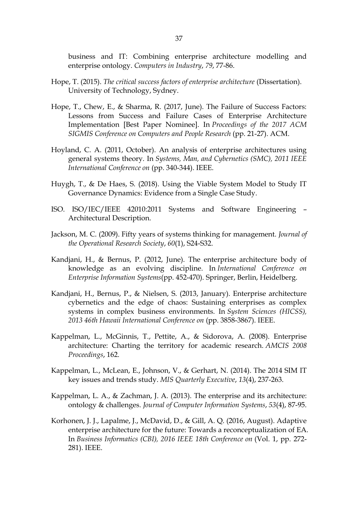business and IT: Combining enterprise architecture modelling and enterprise ontology. *Computers in Industry*, *79*, 77-86.

- Hope, T. (2015). *The critical success factors of enterprise architecture* (Dissertation). University of Technology, Sydney.
- Hope, T., Chew, E., & Sharma, R. (2017, June). The Failure of Success Factors: Lessons from Success and Failure Cases of Enterprise Architecture Implementation [Best Paper Nominee]. In *Proceedings of the 2017 ACM SIGMIS Conference on Computers and People Research* (pp. 21-27). ACM.
- Hoyland, C. A. (2011, October). An analysis of enterprise architectures using general systems theory. In *Systems, Man, and Cybernetics (SMC), 2011 IEEE International Conference on* (pp. 340-344). IEEE.
- Huygh, T., & De Haes, S. (2018). Using the Viable System Model to Study IT Governance Dynamics: Evidence from a Single Case Study.
- ISO. ISO/IEC/IEEE 42010:2011 Systems and Software Engineering Architectural Description.
- Jackson, M. C. (2009). Fifty years of systems thinking for management. *Journal of the Operational Research Society*, *60*(1), S24-S32.
- Kandjani, H., & Bernus, P. (2012, June). The enterprise architecture body of knowledge as an evolving discipline. In *International Conference on Enterprise Information Systems*(pp. 452-470). Springer, Berlin, Heidelberg.
- Kandjani, H., Bernus, P., & Nielsen, S. (2013, January). Enterprise architecture cybernetics and the edge of chaos: Sustaining enterprises as complex systems in complex business environments. In *System Sciences (HICSS), 2013 46th Hawaii International Conference on* (pp. 3858-3867). IEEE.
- Kappelman, L., McGinnis, T., Pettite, A., & Sidorova, A. (2008). Enterprise architecture: Charting the territory for academic research. *AMCIS 2008 Proceedings*, 162.
- Kappelman, L., McLean, E., Johnson, V., & Gerhart, N. (2014). The 2014 SIM IT key issues and trends study. *MIS Quarterly Executive*, *13*(4), 237-263.
- Kappelman, L. A., & Zachman, J. A. (2013). The enterprise and its architecture: ontology & challenges. *Journal of Computer Information Systems*, *53*(4), 87-95.
- Korhonen, J. J., Lapalme, J., McDavid, D., & Gill, A. Q. (2016, August). Adaptive enterprise architecture for the future: Towards a reconceptualization of EA. In *Business Informatics (CBI), 2016 IEEE 18th Conference on* (Vol. 1, pp. 272- 281). IEEE.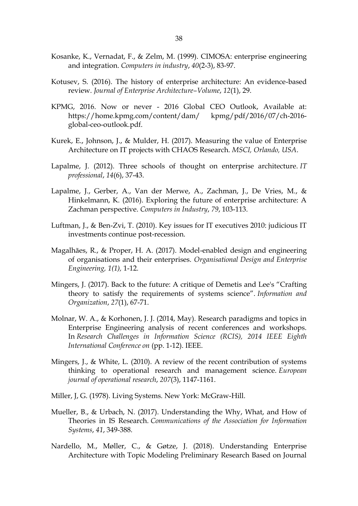- Kosanke, K., Vernadat, F., & Zelm, M. (1999). CIMOSA: enterprise engineering and integration. *Computers in industry*, *40*(2-3), 83-97.
- Kotusev, S. (2016). The history of enterprise architecture: An evidence-based review. *Journal of Enterprise Architecture–Volume*, *12*(1), 29.
- KPMG, 2016. Now or never 2016 Global CEO Outlook, Available at: https://home.kpmg.com/content/dam/ kpmg/pdf/2016/07/ch-2016 global-ceo-outlook.pdf.
- Kurek, E., Johnson, J., & Mulder, H. (2017). Measuring the value of Enterprise Architecture on IT projects with CHAOS Research. *MSCI, Orlando, USA*.
- Lapalme, J. (2012). Three schools of thought on enterprise architecture. *IT professional*, *14*(6), 37-43.
- Lapalme, J., Gerber, A., Van der Merwe, A., Zachman, J., De Vries, M., & Hinkelmann, K. (2016). Exploring the future of enterprise architecture: A Zachman perspective. *Computers in Industry*, *79*, 103-113.
- Luftman, J., & Ben-Zvi, T. (2010). Key issues for IT executives 2010: judicious IT investments continue post-recession.
- Magalhães, R., & Proper, H. A. (2017). Model-enabled design and engineering of organisations and their enterprises. *Organisational Design and Enterprise Engineering, 1(1),* 1-12.
- Mingers, J. (2017). Back to the future: A critique of Demetis and Lee's "Crafting theory to satisfy the requirements of systems science". *Information and Organization*, *27*(1), 67-71.
- Molnar, W. A., & Korhonen, J. J. (2014, May). Research paradigms and topics in Enterprise Engineering analysis of recent conferences and workshops. In *Research Challenges in Information Science (RCIS), 2014 IEEE Eighth International Conference on* (pp. 1-12). IEEE.
- Mingers, J., & White, L. (2010). A review of the recent contribution of systems thinking to operational research and management science. *European journal of operational research*, *207*(3), 1147-1161.
- Miller, J, G. (1978). Living Systems. New York: McGraw-Hill.
- Mueller, B., & Urbach, N. (2017). Understanding the Why, What, and How of Theories in IS Research. *Communications of the Association for Information Systems*, *41*, 349-388.
- Nardello, M., Møller, C., & Gøtze, J. (2018). Understanding Enterprise Architecture with Topic Modeling Preliminary Research Based on Journal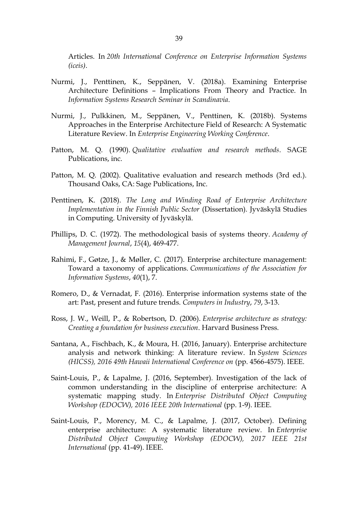Articles. In *20th International Conference on Enterprise Information Systems (iceis)*.

- Nurmi, J., Penttinen, K., Seppänen, V. (2018a). Examining Enterprise Architecture Definitions – Implications From Theory and Practice. In *Information Systems Research Seminar in Scandinavia*.
- Nurmi, J., Pulkkinen, M., Seppänen, V., Penttinen, K. (2018b). Systems Approaches in the Enterprise Architecture Field of Research: A Systematic Literature Review. In *Enterprise Engineering Working Conference*.
- Patton, M. Q. (1990). *Qualitative evaluation and research methods*. SAGE Publications, inc.
- Patton, M. Q. (2002). Qualitative evaluation and research methods (3rd ed.). Thousand Oaks, CA: Sage Publications, Inc.
- Penttinen, K. (2018). *The Long and Winding Road of Enterprise Architecture Implementation in the Finnish Public Sector* (Dissertation). Jyväskylä Studies in Computing. University of Jyväskylä.
- Phillips, D. C. (1972). The methodological basis of systems theory. *Academy of Management Journal*, *15*(4), 469-477.
- Rahimi, F., Gøtze, J., & Møller, C. (2017). Enterprise architecture management: Toward a taxonomy of applications. *Communications of the Association for Information Systems*, *40*(1), 7.
- Romero, D., & Vernadat, F. (2016). Enterprise information systems state of the art: Past, present and future trends. *Computers in Industry*, *79*, 3-13.
- Ross, J. W., Weill, P., & Robertson, D. (2006). *Enterprise architecture as strategy: Creating a foundation for business execution*. Harvard Business Press.
- Santana, A., Fischbach, K., & Moura, H. (2016, January). Enterprise architecture analysis and network thinking: A literature review. In *System Sciences (HICSS), 2016 49th Hawaii International Conference on* (pp. 4566-4575). IEEE.
- Saint-Louis, P., & Lapalme, J. (2016, September). Investigation of the lack of common understanding in the discipline of enterprise architecture: A systematic mapping study. In *Enterprise Distributed Object Computing Workshop (EDOCW), 2016 IEEE 20th International* (pp. 1-9). IEEE.
- Saint-Louis, P., Morency, M. C., & Lapalme, J. (2017, October). Defining enterprise architecture: A systematic literature review. In *Enterprise Distributed Object Computing Workshop (EDOCW), 2017 IEEE 21st International* (pp. 41-49). IEEE.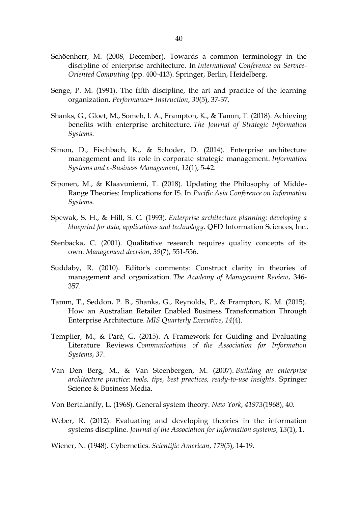- Schöenherr, M. (2008, December). Towards a common terminology in the discipline of enterprise architecture. In *International Conference on Service-Oriented Computing* (pp. 400-413). Springer, Berlin, Heidelberg.
- Senge, P. M. (1991). The fifth discipline, the art and practice of the learning organization. *Performance+ Instruction*, *30*(5), 37-37.
- Shanks, G., Gloet, M., Someh, I. A., Frampton, K., & Tamm, T. (2018). Achieving benefits with enterprise architecture. *The Journal of Strategic Information Systems*.
- Simon, D., Fischbach, K., & Schoder, D. (2014). Enterprise architecture management and its role in corporate strategic management. *Information Systems and e-Business Management*, *12*(1), 5-42.
- Siponen, M., & Klaavuniemi, T. (2018). Updating the Philosophy of Midde-Range Theories: Implications for IS. In *Pacific Asia Conference on Information Systems.*
- Spewak, S. H., & Hill, S. C. (1993). *Enterprise architecture planning: developing a blueprint for data, applications and technology*. QED Information Sciences, Inc..
- Stenbacka, C. (2001). Qualitative research requires quality concepts of its own. *Management decision*, *39*(7), 551-556.
- Suddaby, R. (2010). Editor's comments: Construct clarity in theories of management and organization. *The Academy of Management Review*, 346- 357.
- Tamm, T., Seddon, P. B., Shanks, G., Reynolds, P., & Frampton, K. M. (2015). How an Australian Retailer Enabled Business Transformation Through Enterprise Architecture. *MIS Quarterly Executive*, *14*(4).
- Templier, M., & Paré, G. (2015). A Framework for Guiding and Evaluating Literature Reviews. *Communications of the Association for Information Systems*, *37*.
- Van Den Berg, M., & Van Steenbergen, M. (2007). *Building an enterprise architecture practice: tools, tips, best practices, ready-to-use insights*. Springer Science & Business Media.
- Von Bertalanffy, L. (1968). General system theory. *New York*, *41973*(1968), 40.
- Weber, R. (2012). Evaluating and developing theories in the information systems discipline. *Journal of the Association for Information systems*, *13*(1), 1.

Wiener, N. (1948). Cybernetics. *Scientific American*, *179*(5), 14-19.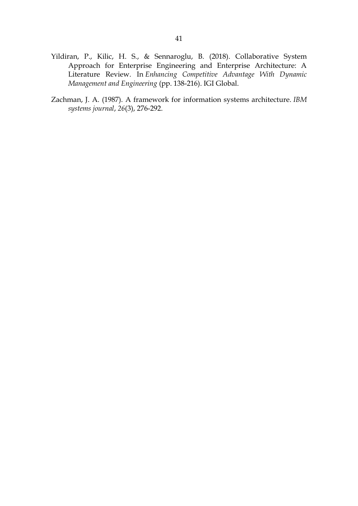- Yildiran, P., Kilic, H. S., & Sennaroglu, B. (2018). Collaborative System Approach for Enterprise Engineering and Enterprise Architecture: A Literature Review. In *Enhancing Competitive Advantage With Dynamic Management and Engineering* (pp. 138-216). IGI Global.
- Zachman, J. A. (1987). A framework for information systems architecture. *IBM systems journal*, *26*(3), 276-292.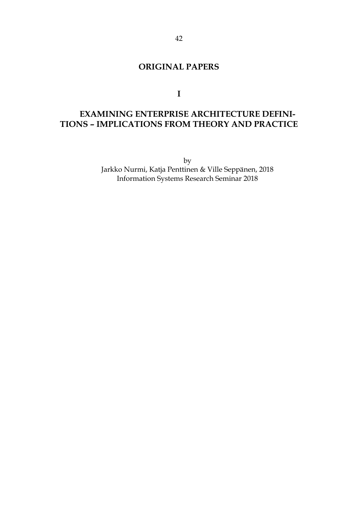## **ORIGINAL PAPERS**

## **I**

# <span id="page-41-0"></span>**EXAMINING ENTERPRISE ARCHITECTURE DEFINI-TIONS – IMPLICATIONS FROM THEORY AND PRACTICE**

by

Jarkko Nurmi, Katja Penttinen & Ville Seppänen, 2018 Information Systems Research Seminar 2018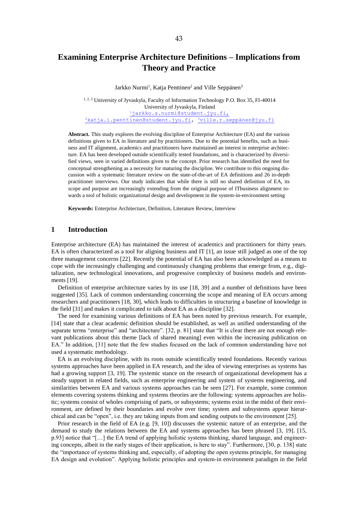# **Examining Enterprise Architecture Definitions – Implications from Theory and Practice**

Jarkko Nurmi<sup>1</sup>, Katja Penttinen<sup>2</sup> and Ville Seppänen<sup>3</sup>

<sup>1, 2, 3</sup> University of Jyvaskyla, Faculty of Information Technology P.O. Box 35, FI-40014 University of Jyvaskyla, Finland <sup>1</sup>[jarkko.s.nurmi@student.jyu.fi,](mailto:1jarkko.s.nurmi@student.jyu.fi,%202katja.i.penttinen@student.jyu.fi)  <sup>2</sup>[katja.i.penttinen@student.jyu.fi,](mailto:1jarkko.s.nurmi@student.jyu.fi,%202katja.i.penttinen@student.jyu.fi) <sup>3</sup>[ville.r.seppänen@jyu.fi](mailto:3ville.r.seppänen@jyu.fi)

**Abstract.** This study explores the evolving discipline of Enterprise Architecture (EA) and the various definitions given to EA in literature and by practitioners. Due to the potential benefits, such as business and IT alignment, academics and practitioners have maintained an interest in enterprise architecture. EA has been developed outside scientifically tested foundations, and is characterized by diversified views, seen in varied definitions given to the concept. Prior research has identified the need for conceptual strengthening as a necessity for maturing the discipline. We contribute to this ongoing discussion with a systematic literature review on the state-of-the-art of EA definitions and 26 in-depth practitioner interviews. Our study indicates that while there is still no shared definition of EA, its scope and purpose are increasingly extending from the original purpose of ITbusiness alignment towards a tool of holistic organizational design and development in the system-in-environment setting

**Keywords:** Enterprise Architecture, Definition, Literature Review, Interview

### **1 Introduction**

Enterprise architecture (EA) has maintained the interest of academics and practitioners for thirty years. EA is often characterized as a tool for aligning business and IT [1], an issue still judged as one of the top three management concerns [22]. Recently the potential of EA has also been acknowledged as a means to cope with the increasingly challenging and continuously changing problems that emerge from, e.g., digitalization, new technological innovations, and progressive complexity of business models and environments [19].

Definition of enterprise architecture varies by its use [18, 39] and a number of definitions have been suggested [35]. Lack of common understanding concerning the scope and meaning of EA occurs among researchers and practitioners [18, 30], which leads to difficulties in structuring a baseline of knowledge in the field [31] and makes it complicated to talk about EA as a discipline [32].

The need for examining various definitions of EA has been noted by previous research. For example, [14] state that a clear academic definition should be established, as well as unified understanding of the separate terms "enterprise" and "architecture". [32, p. 81] state that "It is clear there are not enough relevant publications about this theme [lack of shared meaning] even within the increasing publication on EA." In addition, [31] note that the few studies focused on the lack of common understanding have not used a systematic methodology.

EA is an evolving discipline, with its roots outside scientifically tested foundations. Recently various systems approaches have been applied in EA research, and the idea of viewing enterprises as systems has had a growing support [3, 19]. The systemic stance on the research of organizational development has a steady support in related fields, such as enterprise engineering and system of systems engineering, and similarities between EA and various systems approaches can be seen [27]. For example, some common elements covering systems thinking and systems theories are the following: systems approaches are holistic; systems consist of wholes comprising of parts, or subsystems; systems exist in the midst of their environment, are defined by their boundaries and evolve over time; system and subsystems appear hierarchical and can be "open", i.e. they are taking inputs from and sending outputs to the environment [25].

Prior research in the field of EA (e.g. [9, 10]) discusses the systemic nature of an enterprise, and the demand to study the relations between the EA and systems approaches has been phrased [3, 19]. [15, p.93] notice that "[…] the EA trend of applying holistic systems thinking, shared language, and engineering concepts, albeit in the early stages of their application, is here to stay". Furthermore, [30, p. 138] state the "importance of systems thinking and, especially, of adopting the open systems principle, for managing EA design and evolution". Applying holistic principles and system-in environment paradigm in the field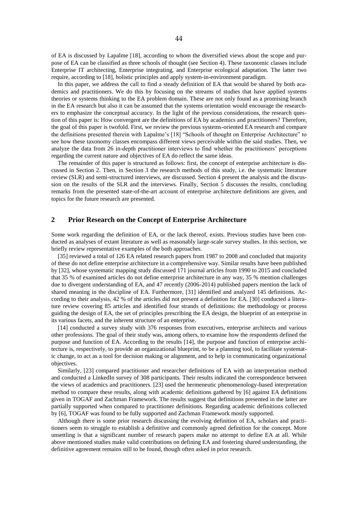of EA is discussed by Lapalme [18], according to whom the diversified views about the scope and purpose of EA can be classified as three schools of thought (see Section 4). These taxonomic classes include Enterprise IT architecting, Enterprise integrating, and Enterprise ecological adaptation. The latter two require, according to [18], holistic principles and apply system-in-environment paradigm.

In this paper, we address the call to find a steady definition of EA that would be shared by both academics and practitioners. We do this by focusing on the streams of studies that have applied systems theories or systems thinking to the EA problem domain. These are not only found as a promising branch in the EA research but also it can be assumed that the systems orientation would encourage the researchers to emphasize the conceptual accuracy. In the light of the previous considerations, the research question of this paper is: How convergent are the definitions of EA by academics and practitioners? Therefore, the goal of this paper is twofold. First, we review the previous systems-oriented EA research and compare the definitions presented therein with Lapalme's [18] "Schools of thought on Enterprise Architecture" to see how these taxonomy classes encompass different views perceivable within the said studies. Then, we analyze the data from 26 in-depth practitioner interviews to find whether the practitioners' perceptions regarding the current nature and objectives of EA do reflect the same ideas.

The remainder of this paper is structured as follows: first, the concept of enterprise architecture is discussed in Section 2. Then, in Section 3 the research methods of this study, i.e. the systematic literature review (SLR) and semi-structured interviews, are discussed. Section 4 present the analysis and the discussion on the results of the SLR and the interviews. Finally, Section 5 discusses the results, concluding remarks from the presented state-of-the-art account of enterprise architecture definitions are given, and topics for the future research are presented.

### **2 Prior Research on the Concept of Enterprise Architecture**

Some work regarding the definition of EA, or the lack thereof, exists. Previous studies have been conducted as analyses of extant literature as well as reasonably large-scale survey studies. In this section, we briefly review representative examples of the both approaches.

[35] reviewed a total of 126 EA related research papers from 1987 to 2008 and concluded that majority of these do not define enterprise architecture in a comprehensive way. Similar results have been published by [32], whose systematic mapping study discussed 171 journal articles from 1990 to 2015 and concluded that 35 % of examined articles do not define enterprise architecture in any way, 35 % mention challenges due to divergent understanding of EA, and 47 recently (2006-2014) published papers mention the lack of shared meaning in the discipline of EA. Furthermore, [31] identified and analyzed 145 definitions. According to their analysis, 42 % of the articles did not present a definition for EA. [30] conducted a literature review covering 85 articles and identified four strands of definitions: the methodology or process guiding the design of EA, the set of principles prescribing the EA design, the blueprint of an enterprise in its various facets, and the inherent structure of an enterprise.

[14] conducted a survey study with 376 responses from executives, enterprise architects and various other professions. The goal of their study was, among others, to examine how the respondents defined the purpose and function of EA. According to the results [14], the purpose and function of enterprise architecture is, respectively, to provide an organizational blueprint, to be a planning tool, to facilitate systematic change, to act as a tool for decision making or alignment, and to help in communicating organizational objectives.

Similarly, [23] compared practitioner and researcher definitions of EA with an interpretation method and conducted a LinkedIn survey of 308 participants. Their results indicated the correspondence between the views of academics and practitioners. [23] used the hermeneutic phenomenology-based interpretation method to compare these results, along with academic definitions gathered by [6] against EA definitions given in TOGAF and Zachman Framework. The results suggest that definitions presented in the latter are partially supported when compared to practitioner definitions. Regarding academic definitions collected by [6], TOGAF was found to be fully supported and Zachman Framework mostly supported.

Although there is some prior research discussing the evolving definition of EA, scholars and practitioners seem to struggle to establish a definitive and commonly agreed definition for the concept. More unsettling is that a significant number of research papers make no attempt to define EA at all. While above mentioned studies make valid contributions on defining EA and fostering shared understanding, the definitive agreement remains still to be found, though often asked in prior research.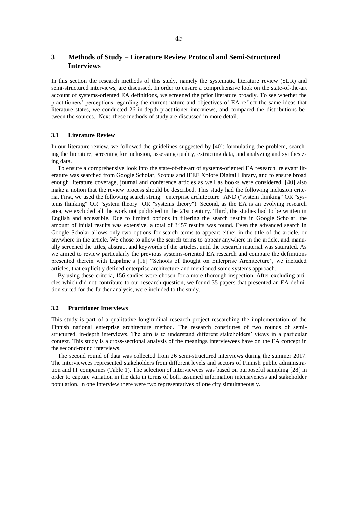### **3 Methods of Study – Literature Review Protocol and Semi-Structured Interviews**

In this section the research methods of this study, namely the systematic literature review (SLR) and semi-structured interviews, are discussed. In order to ensure a comprehensive look on the state-of-the-art account of systems-oriented EA definitions, we screened the prior literature broadly. To see whether the practitioners' perceptions regarding the current nature and objectives of EA reflect the same ideas that literature states, we conducted 26 in-depth practitioner interviews, and compared the distributions between the sources. Next, these methods of study are discussed in more detail.

#### **3.1 Literature Review**

In our literature review, we followed the guidelines suggested by [40]: formulating the problem, searching the literature, screening for inclusion, assessing quality, extracting data, and analyzing and synthesizing data.

To ensure a comprehensive look into the state-of-the-art of systems-oriented EA research, relevant literature was searched from Google Scholar, Scopus and IEEE Xplore Digital Library, and to ensure broad enough literature coverage, journal and conference articles as well as books were considered. [40] also make a notion that the review process should be described. This study had the following inclusion criteria. First, we used the following search string: "enterprise architecture" AND ("system thinking" OR "systems thinking" OR "system theory" OR "systems theory"). Second, as the EA is an evolving research area, we excluded all the work not published in the 21st century. Third, the studies had to be written in English and accessible. Due to limited options in filtering the search results in Google Scholar, the amount of initial results was extensive, a total of 3457 results was found. Even the advanced search in Google Scholar allows only two options for search terms to appear: either in the title of the article, or anywhere in the article. We chose to allow the search terms to appear anywhere in the article, and manually screened the titles, abstract and keywords of the articles, until the research material was saturated. As we aimed to review particularly the previous systems-oriented EA research and compare the definitions presented therein with Lapalme's [18] "Schools of thought on Enterprise Architecture", we included articles, that explicitly defined enterprise architecture and mentioned some systems approach.

By using these criteria, 156 studies were chosen for a more thorough inspection. After excluding articles which did not contribute to our research question, we found 35 papers that presented an EA definition suited for the further analysis, were included to the study.

#### **3.2 Practitioner Interviews**

This study is part of a qualitative longitudinal research project researching the implementation of the Finnish national enterprise architecture method. The research constitutes of two rounds of semistructured, in-depth interviews. The aim is to understand different stakeholders' views in a particular context. This study is a cross-sectional analysis of the meanings interviewees have on the EA concept in the second-round interviews.

The second round of data was collected from 26 semi-structured interviews during the summer 2017. The interviewees represented stakeholders from different levels and sectors of Finnish public administration and IT companies (Table 1). The selection of interviewees was based on purposeful sampling [28] in order to capture variation in the data in terms of both assumed information intensiveness and stakeholder population. In one interview there were two representatives of one city simultaneously.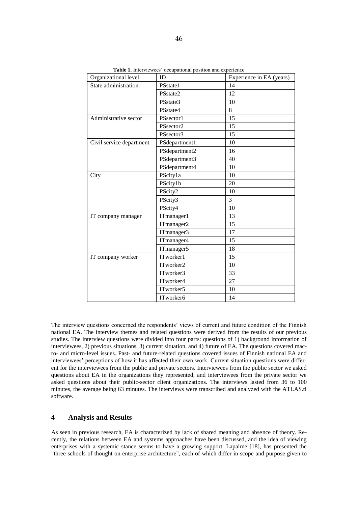|                          | <b>Table 1.</b> Interviewees occupational position and experience |                          |
|--------------------------|-------------------------------------------------------------------|--------------------------|
| Organizational level     | ID                                                                | Experience in EA (years) |
| State administration     | <b>PSstate1</b>                                                   | 14                       |
|                          | PSstate2                                                          | 12                       |
|                          | PSstate3                                                          | 10                       |
|                          | PSstate4                                                          | 8                        |
| Administrative sector    | PSsector1                                                         | 15                       |
|                          | PSsector2                                                         | 15                       |
|                          | PSsector3                                                         | 15                       |
| Civil service department | PSdepartment1                                                     | 10                       |
|                          | PSdepartment2                                                     | 16                       |
|                          | PSdepartment3                                                     | 40                       |
|                          | PSdepartment4                                                     | 10                       |
| City                     | PScity1a                                                          | 10                       |
|                          | PScity1b                                                          | 20                       |
|                          | PScity2                                                           | 10                       |
|                          | PScity3                                                           | 3                        |
|                          | PScity4                                                           | 10                       |
| IT company manager       | ITmanager1                                                        | 13                       |
|                          | ITmanager2                                                        | 15                       |
|                          | ITmanager3                                                        | 17                       |
|                          | ITmanager4                                                        | 15                       |
|                          | ITmanager5                                                        | 18                       |
| IT company worker        | ITworker1                                                         | 15                       |
|                          | ITworker2                                                         | 10                       |
|                          | ITworker3                                                         | 33                       |
|                          | ITworker4                                                         | 27                       |
|                          | ITworker5                                                         | 10                       |

ITworker6 14

**Table 1.** Interviewees' occupational position and experience

The interview questions concerned the respondents' views of current and future condition of the Finnish national EA. The interview themes and related questions were derived from the results of our previous studies. The interview questions were divided into four parts: questions of 1) background information of interviewees, 2) previous situations, 3) current situation, and 4) future of EA. The questions covered macro- and micro-level issues. Past- and future-related questions covered issues of Finnish national EA and interviewees' perceptions of how it has affected their own work. Current situation questions were different for the interviewees from the public and private sectors. Interviewees from the public sector we asked questions about EA in the organizations they represented, and interviewees from the private sector we asked questions about their public-sector client organizations. The interviews lasted from 36 to 100 minutes, the average being 63 minutes. The interviews were transcribed and analyzed with the ATLAS.ti software.

### **4 Analysis and Results**

As seen in previous research, EA is characterized by lack of shared meaning and absence of theory. Recently, the relations between EA and systems approaches have been discussed, and the idea of viewing enterprises with a systemic stance seems to have a growing support. Lapalme [18], has presented the "three schools of thought on enterprise architecture", each of which differ in scope and purpose given to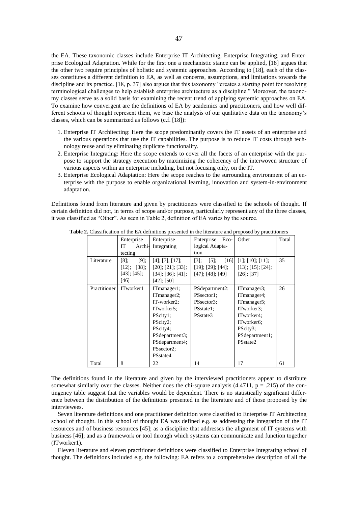the EA. These taxonomic classes include Enterprise IT Architecting, Enterprise Integrating, and Enterprise Ecological Adaptation. While for the first one a mechanistic stance can be applied, [18] argues that the other two require principles of holistic and systemic approaches. According to [18], each of the classes constitutes a different definition to EA, as well as concerns, assumptions, and limitations towards the discipline and its practice. [18, p. 37] also argues that this taxonomy "creates a starting point for resolving terminological challenges to help establish enterprise architecture as a discipline." Moreover, the taxonomy classes serve as a solid basis for examining the recent trend of applying systemic approaches on EA. To examine how convergent are the definitions of EA by academics and practitioners, and how well different schools of thought represent them, we base the analysis of our qualitative data on the taxonomy's classes, which can be summarized as follows (c.f. [18]):

- 1. Enterprise IT Architecting: Here the scope predominantly covers the IT assets of an enterprise and the various operations that use the IT capabilities. The purpose is to reduce IT costs through technology reuse and by eliminating duplicate functionality.
- 2. Enterprise Integrating: Here the scope extends to cover all the facets of an enterprise with the purpose to support the strategy execution by maximizing the coherency of the interwoven structure of various aspects within an enterprise including, but not focusing only, on the IT.
- 3. Enterprise Ecological Adaptation: Here the scope reaches to the surrounding environment of an enterprise with the purpose to enable organizational learning, innovation and system-in-environment adaptation.

Definitions found from literature and given by practitioners were classified to the schools of thought. If certain definition did not, in terms of scope and/or purpose, particularly represent any of the three classes, it was classified as "Other". As seen in Table 2, definition of EA varies by the source.

|              | Enterprise<br>Archi-<br>IT<br>tecting                      | Enterprise<br>Integrating                                                                                                                                              | Enterprise<br>Eco-<br>logical Adapta-<br>tion                                    | Other                                                                                                                                      | Total |
|--------------|------------------------------------------------------------|------------------------------------------------------------------------------------------------------------------------------------------------------------------------|----------------------------------------------------------------------------------|--------------------------------------------------------------------------------------------------------------------------------------------|-------|
| Literature   | $[9]$ ;<br>[8]<br>[12]; [38];<br>$[43]$ ; $[45]$ ;<br>[46] | $[4]$ ; [7]; [17];<br>$[20]$ ; $[21]$ ; $[33]$ ;<br>$[34]$ ; [36]; [41];<br>$[42]$ ; [50]                                                                              | [3]<br>$[5]$ ;<br>[19]; [29]; [44];<br>$[47]$ ; [48]; [49]                       | $[16]$ [1]; [10]; [11];<br>$[13]$ ; [15]; [24];<br>$[26]$ ; [37]                                                                           | 35    |
| Practitioner | ITworker1                                                  | ITmanager1;<br>ITmanager2;<br>IT-worker2;<br>ITworker5;<br>PScity1:<br>PScity2:<br>PScity4;<br>PSdepartment3;<br>PSdepartment4;<br>PSsector2;<br>PS <sub>state</sub> 4 | PSdepartment2:<br>PSsector1;<br>PSsector3:<br>PSstate1:<br>PS <sub>state</sub> 3 | ITmanager3;<br>ITmanager4;<br>ITmanager5;<br>ITworker3;<br>ITworker4:<br>ITworker6:<br>PScity3;<br>PSdepartment1;<br>PS <sub>state</sub> 2 | 26    |
| Total        | 8                                                          | 22                                                                                                                                                                     | 14                                                                               | 17                                                                                                                                         | 61    |

**Table 2.** Classification of the EA definitions presented in the literature and proposed by practitioners

The definitions found in the literature and given by the interviewed practitioners appear to distribute somewhat similarly over the classes. Neither does the chi-square analysis  $(4.4711, p = .215)$  of the contingency table suggest that the variables would be dependent. There is no statistically significant difference between the distribution of the definitions presented in the literature and of those proposed by the interviewees.

Seven literature definitions and one practitioner definition were classified to Enterprise IT Architecting school of thought. In this school of thought EA was defined e.g. as addressing the integration of the IT resources and of business resources [45]; as a discipline that addresses the alignment of IT systems with business [46]; and as a framework or tool through which systems can communicate and function together (ITworker1).

Eleven literature and eleven practitioner definitions were classified to Enterprise Integrating school of thought. The definitions included e.g. the following: EA refers to a comprehensive description of all the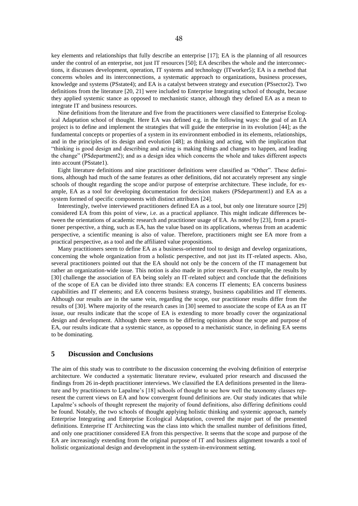key elements and relationships that fully describe an enterprise [17]; EA is the planning of all resources under the control of an enterprise, not just IT resources [50]; EA describes the whole and the interconnections, it discusses development, operation, IT systems and technology (ITworker5); EA is a method that concerns wholes and its interconnections, a systematic approach to organizations, business processes, knowledge and systems (PSstate4); and EA is a catalyst between strategy and execution (PSsector2). Two definitions from the literature [20, 21] were included to Enterprise Integrating school of thought, because they applied systemic stance as opposed to mechanistic stance, although they defined EA as a mean to integrate IT and business resources.

Nine definitions from the literature and five from the practitioners were classified to Enterprise Ecological Adaptation school of thought. Here EA was defined e.g. in the following ways: the goal of an EA project is to define and implement the strategies that will guide the enterprise in its evolution [44]; as the fundamental concepts or properties of a system in its environment embodied in its elements, relationships, and in the principles of its design and evolution [48]; as thinking and acting, with the implication that "thinking is good design and describing and acting is making things and changes to happen, and leading the change" (PSdepartment2); and as a design idea which concerns the whole and takes different aspects into account (PSstate1).

Eight literature definitions and nine practitioner definitions were classified as "Other". These definitions, although had much of the same features as other definitions, did not accurately represent any single schools of thought regarding the scope and/or purpose of enterprise architecture. These include, for example, EA as a tool for developing documentation for decision makers (PSdepartment1) and EA as a system formed of specific components with distinct attributes [24].

Interestingly, twelve interviewed practitioners defined EA as a tool, but only one literature source [29] considered EA from this point of view, i.e. as a practical appliance. This might indicate differences between the orientations of academic research and practitioner usage of EA. As noted by [23], from a practitioner perspective, a thing, such as EA, has the value based on its applications, whereas from an academic perspective, a scientific meaning is also of value. Therefore, practitioners might see EA more from a practical perspective, as a tool and the affiliated value propositions.

Many practitioners seem to define EA as a business-oriented tool to design and develop organizations, concerning the whole organization from a holistic perspective, and not just its IT-related aspects. Also, several practitioners pointed out that the EA should not only be the concern of the IT management but rather an organization-wide issue. This notion is also made in prior research. For example, the results by [30] challenge the association of EA being solely an IT-related subject and conclude that the definitions of the scope of EA can be divided into three strands: EA concerns IT elements; EA concerns business capabilities and IT elements; and EA concerns business strategy, business capabilities and IT elements. Although our results are in the same vein, regarding the scope, our practitioner results differ from the results of [30]. Where majority of the research cases in [30] seemed to associate the scope of EA as an IT issue, our results indicate that the scope of EA is extending to more broadly cover the organizational design and development. Although there seems to be differing opinions about the scope and purpose of EA, our results indicate that a systemic stance, as opposed to a mechanistic stance, in defining EA seems to be dominating.

### **5 Discussion and Conclusions**

The aim of this study was to contribute to the discussion concerning the evolving definition of enterprise architecture. We conducted a systematic literature review, evaluated prior research and discussed the findings from 26 in-depth practitioner interviews. We classified the EA definitions presented in the literature and by practitioners to Lapalme's [18] schools of thought to see how well the taxonomy classes represent the current views on EA and how convergent found definitions are. Our study indicates that while Lapalme's schools of thought represent the majority of found definitions, also differing definitions could be found. Notably, the two schools of thought applying holistic thinking and systemic approach, namely Enterprise Integrating and Enterprise Ecological Adaptation, covered the major part of the presented definitions. Enterprise IT Architecting was the class into which the smallest number of definitions fitted, and only one practitioner considered EA from this perspective. It seems that the scope and purpose of the EA are increasingly extending from the original purpose of IT and business alignment towards a tool of holistic organizational design and development in the system-in-environment setting.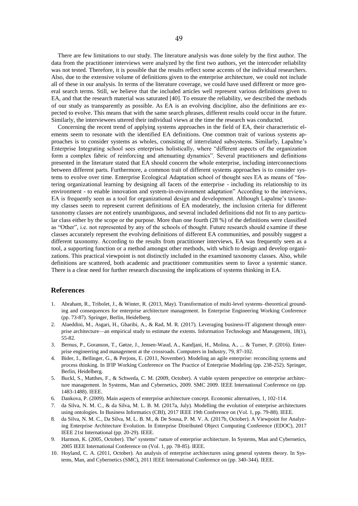There are few limitations to our study. The literature analysis was done solely by the first author. The data from the practitioner interviews were analyzed by the first two authors, yet the intercoder reliability was not tested. Therefore, it is possible that the results reflect some accents of the individual researchers. Also, due to the extensive volume of definitions given to the enterprise architecture, we could not include all of these in our analysis. In terms of the literature coverage, we could have used different or more general search terms. Still, we believe that the included articles well represent various definitions given to EA, and that the research material was saturated [40]. To ensure the reliability, we described the methods of our study as transparently as possible. As EA is an evolving discipline, also the definitions are expected to evolve. This means that with the same search phrases, different results could occur in the future. Similarly, the interviewees uttered their individual views at the time the research was conducted.

Concerning the recent trend of applying systems approaches in the field of EA, their characteristic elements seem to resonate with the identified EA definitions. One common trait of various systems approaches is to consider systems as wholes, consisting of interrelated subsystems. Similarly, Lapalme's Enterprise Integrating school sees enterprises holistically, where "different aspects of the organization form a complex fabric of reinforcing and attenuating dynamics". Several practitioners and definitions presented in the literature stated that EA should concern the whole enterprise, including interconnections between different parts. Furthermore, a common trait of different systems approaches is to consider systems to evolve over time. Enterprise Ecological Adaptation school of thought sees EA as means of "fostering organizational learning by designing all facets of the enterprise - including its relationship to its environment - to enable innovation and system-in-environment adaptation" According to the interviews, EA is frequently seen as a tool for organizational design and development. Although Lapalme's taxonomy classes seem to represent current definitions of EA moderately, the inclusion criteria for different taxonomy classes are not entirely unambiguous, and several included definitions did not fit to any particular class either by the scope or the purpose. More than one fourth (28 %) of the definitions were classified as "Other", i.e. not represented by any of the schools of thought. Future research should examine if these classes accurately represent the evolving definitions of different EA communities, and possibly suggest a different taxonomy. According to the results from practitioner interviews, EA was frequently seen as a tool, a supporting function or a method amongst other methods, with which to design and develop organizations. This practical viewpoint is not distinctly included in the examined taxonomy classes. Also, while definitions are scattered, both academic and practitioner communities seem to favor a systemic stance. There is a clear need for further research discussing the implications of systems thinking in EA.

### **References**

- 1. Abraham, R., Tribolet, J., & Winter, R. (2013, May). Transformation of multi-level systems–theoretical grounding and consequences for enterprise architecture management. In Enterprise Engineering Working Conference (pp. 73-87). Springer, Berlin, Heidelberg.
- 2. Alaeddini, M., Asgari, H., Gharibi, A., & Rad, M. R. (2017). Leveraging business-IT alignment through enterprise architecture—an empirical study to estimate the extents. Information Technology and Management, 18(1), 55-82.
- 3. Bernus, P., Goranson, T., Gøtze, J., Jensen-Waud, A., Kandjani, H., Molina, A., ... & Turner, P. (2016). Enterprise engineering and management at the crossroads. Computers in Industry, 79, 87-102.
- 4. Bider, I., Bellinger, G., & Perjons, E. (2011, November). Modeling an agile enterprise: reconciling systems and process thinking. In IFIP Working Conference on The Practice of Enterprise Modeling (pp. 238-252). Springer, Berlin, Heidelberg.
- 5. Buckl, S., Matthes, F., & Schweda, C. M. (2009, October). A viable system perspective on enterprise architecture management. In Systems, Man and Cybernetics, 2009. SMC 2009. IEEE International Conference on (pp. 1483-1488). IEEE.
- 6. Dankova, P. (2009). Main aspects of enterprise architecture concept. Economic alternatives, 1, 102-114.
- 7. da Silva, N. M. C., & da Silva, M. L. B. M. (2017a, July). Modelling the evolution of enterprise architectures using ontologies. In Business Informatics (CBI), 2017 IEEE 19th Conference on (Vol. 1, pp. 79-88). IEEE.
- 8. da Silva, N. M. C., Da Silva, M. L. B. M., & De Sousa, P. M. V. A. (2017b, October). A Viewpoint for Analyzing Enterprise Architecture Evolution. In Enterprise Distributed Object Computing Conference (EDOC), 2017 IEEE 21st International (pp. 20-29). IEEE.
- 9. Harmon, K. (2005, October). The" systems" nature of enterprise architecture. In Systems, Man and Cybernetics, 2005 IEEE International Conference on (Vol. 1, pp. 78-85). IEEE.
- 10. Hoyland, C. A. (2011, October). An analysis of enterprise architectures using general systems theory. In Systems, Man, and Cybernetics (SMC), 2011 IEEE International Conference on (pp. 340-344). IEEE.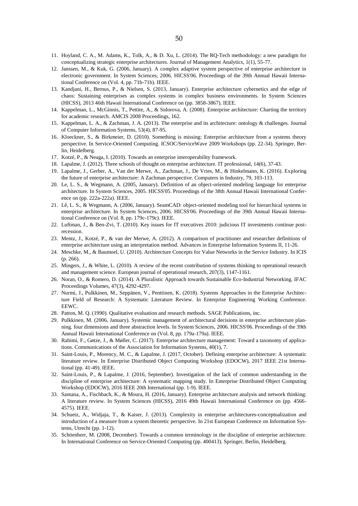- 11. Hoyland, C. A., M. Adams, K., Tolk, A., & D. Xu, L. (2014). The RQ-Tech methodology: a new paradigm for conceptualizing strategic enterprise architectures. Journal of Management Analytics, 1(1), 55-77.
- 12. Janssen, M., & Kuk, G. (2006, January). A complex adaptive system perspective of enterprise architecture in electronic government. In System Sciences, 2006. HICSS'06. Proceedings of the 39th Annual Hawaii International Conference on (Vol. 4, pp. 71b-71b). IEEE.
- 13. Kandjani, H., Bernus, P., & Nielsen, S. (2013, January). Enterprise architecture cybernetics and the edge of chaos: Sustaining enterprises as complex systems in complex business environments. In System Sciences (HICSS), 2013 46th Hawaii International Conference on (pp. 3858-3867). IEEE.
- 14. Kappelman, L., McGinnis, T., Pettite, A., & Sidorova, A. (2008). Enterprise architecture: Charting the territory for academic research. AMCIS 2008 Proceedings, 162.
- 15. Kappelman, L. A., & Zachman, J. A. (2013). The enterprise and its architecture: ontology & challenges. Journal of Computer Information Systems, 53(4), 87-95.
- 16. Kloeckner, S., & Birkmeier, D. (2010). Something is missing: Enterprise architecture from a systems theory perspective. In Service-Oriented Computing. ICSOC/ServiceWave 2009 Workshops (pp. 22-34). Springer, Berlin, Heidelberg.
- 17. Kotzé, P., & Neaga, I. (2010). Towards an enterprise interoperability framework.
- 18. Lapalme, J. (2012). Three schools of thought on enterprise architecture. IT professional, 14(6), 37-43.
- 19. Lapalme, J., Gerber, A., Van der Merwe, A., Zachman, J., De Vries, M., & Hinkelmann, K. (2016). Exploring the future of enterprise architecture: A Zachman perspective. Computers in Industry, 79, 103-113.
- 20. Le, L. S., & Wegmann, A. (2005, January). Definition of an object-oriented modeling language for enterprise architecture. In System Sciences, 2005. HICSS'05. Proceedings of the 38th Annual Hawaii International Conference on (pp. 222a-222a). IEEE.
- 21. Lê, L. S., & Wegmann, A. (2006, January). SeamCAD: object-oriented modeling tool for hierarchical systems in enterprise architecture. In System Sciences, 2006. HICSS'06. Proceedings of the 39th Annual Hawaii International Conference on (Vol. 8, pp. 179c-179c). IEEE.
- 22. Luftman, J., & Ben-Zvi, T. (2010). Key issues for IT executives 2010: judicious IT investments continue postrecession.
- 23. Mentz, J., Kotzé, P., & van der Merwe, A. (2012). A comparison of practitioner and researcher definitions of enterprise architecture using an interpretation method. Advances in Enterprise Information Systems II, 11-26.
- 24. Meschke, M., & Baumoel, U. (2010). Architecture Concepts for Value Networks in the Service Industry. In ICIS (p. 266).
- 25. Mingers, J., & White, L. (2010). A review of the recent contribution of systems thinking to operational research and management science. European journal of operational research, 207(3), 1147-1161.
- 26. Noran, O., & Romero, D. (2014). A Pluralistic Approach towards Sustainable Eco-Industrial Networking. IFAC Proceedings Volumes, 47(3), 4292-4297.
- 27. Nurmi, J., Pulkkinen, M., Seppänen, V., Penttinen, K. (2018). Systems Approaches in the Enterprise Architecture Field of Research: A Systematic Literature Review. In Enterprise Engineering Working Conference. EEWC.
- 28. Patton, M. Q. (1990). Qualitative evaluation and research methods. SAGE Publications, inc.
- 29. Pulkkinen, M. (2006, January). Systemic management of architectural decisions in enterprise architecture planning. four dimensions and three abstraction levels. In System Sciences, 2006. HICSS'06. Proceedings of the 39th Annual Hawaii International Conference on (Vol. 8, pp. 179a-179a). IEEE.
- 30. Rahimi, F., Gøtze, J., & Møller, C. (2017). Enterprise architecture management: Toward a taxonomy of applications. Communications of the Association for Information Systems, 40(1), 7.
- 31. Saint-Louis, P., Morency, M. C., & Lapalme, J. (2017, October). Defining enterprise architecture: A systematic literature review. In Enterprise Distributed Object Computing Workshop (EDOCW), 2017 IEEE 21st International (pp. 41-49). IEEE.
- 32. Saint-Louis, P., & Lapalme, J. (2016, September). Investigation of the lack of common understanding in the discipline of enterprise architecture: A systematic mapping study. In Enterprise Distributed Object Computing Workshop (EDOCW), 2016 IEEE 20th International (pp. 1-9). IEEE.
- 33. Santana, A., Fischbach, K., & Moura, H. (2016, January). Enterprise architecture analysis and network thinking: A literature review. In System Sciences (HICSS), 2016 49th Hawaii International Conference on (pp. 4566- 4575). IEEE.
- 34. Schuetz, A., Widjaja, T., & Kaiser, J. (2013). Complexity in enterprise architectures-conceptualization and introduction of a measure from a system theoretic perspective. In 21st European Conference on Information Systems, Utrecht (pp. 1-12).
- 35. Schöenherr, M. (2008, December). Towards a common terminology in the discipline of enterprise architecture. In International Conference on Service-Oriented Computing (pp. 400413). Springer, Berlin, Heidelberg.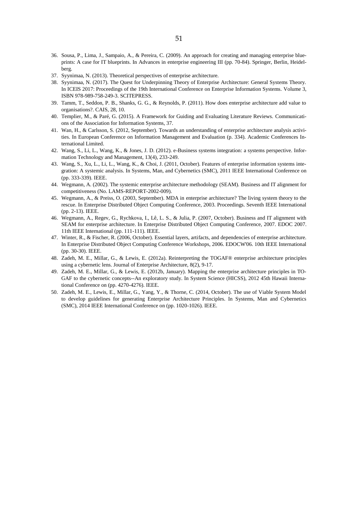- 36. Sousa, P., Lima, J., Sampaio, A., & Pereira, C. (2009). An approach for creating and managing enterprise blueprints: A case for IT blueprints. In Advances in enterprise engineering III (pp. 70-84). Springer, Berlin, Heidelberg.
- 37. Syynimaa, N. (2013). Theoretical perspectives of enterprise architecture.
- 38. Syynimaa, N. (2017). The Quest for Underpinning Theory of Enterprise Architecture: General Systems Theory. In ICEIS 2017: Proceedings of the 19th International Conference on Enterprise Information Systems. Volume 3, ISBN 978-989-758-249-3. SCITEPRESS.
- 39. Tamm, T., Seddon, P. B., Shanks, G. G., & Reynolds, P. (2011). How does enterprise architecture add value to organisations?. CAIS, 28, 10.
- 40. Templier, M., & Paré, G. (2015). A Framework for Guiding and Evaluating Literature Reviews. Communications of the Association for Information Systems, 37.
- 41. Wan, H., & Carlsson, S. (2012, September). Towards an understanding of enterprise architecture analysis activities. In European Conference on Information Management and Evaluation (p. 334). Academic Conferences International Limited.
- 42. Wang, S., Li, L., Wang, K., & Jones, J. D. (2012). e-Business systems integration: a systems perspective. Information Technology and Management, 13(4), 233-249.
- 43. Wang, S., Xu, L., Li, L., Wang, K., & Choi, J. (2011, October). Features of enterprise information systems integration: A systemic analysis. In Systems, Man, and Cybernetics (SMC), 2011 IEEE International Conference on (pp. 333-339). IEEE.
- 44. Wegmann, A. (2002). The systemic enterprise architecture methodology (SEAM). Business and IT alignment for competitiveness (No. LAMS-REPORT-2002-009).
- 45. Wegmann, A., & Preiss, O. (2003, September). MDA in enterprise architecture? The living system theory to the rescue. In Enterprise Distributed Object Computing Conference, 2003. Proceedings. Seventh IEEE International (pp. 2-13). IEEE.
- 46. Wegmann, A., Regev, G., Rychkova, I., Lê, L. S., & Julia, P. (2007, October). Business and IT alignment with SEAM for enterprise architecture. In Enterprise Distributed Object Computing Conference, 2007. EDOC 2007. 11th IEEE International (pp. 111-111). IEEE.
- 47. Winter, R., & Fischer, R. (2006, October). Essential layers, artifacts, and dependencies of enterprise architecture. In Enterprise Distributed Object Computing Conference Workshops, 2006. EDOCW'06. 10th IEEE International (pp. 30-30). IEEE.
- 48. Zadeh, M. E., Millar, G., & Lewis, E. (2012a). Reinterpreting the TOGAF® enterprise architecture principles using a cybernetic lens. Journal of Enterprise Architecture, 8(2), 9-17.
- 49. Zadeh, M. E., Millar, G., & Lewis, E. (2012b, January). Mapping the enterprise architecture principles in TO-GAF to the cybernetic concepts--An exploratory study. In System Science (HICSS), 2012 45th Hawaii International Conference on (pp. 4270-4276). IEEE.
- 50. Zadeh, M. E., Lewis, E., Millar, G., Yang, Y., & Thorne, C. (2014, October). The use of Viable System Model to develop guidelines for generating Enterprise Architecture Principles. In Systems, Man and Cybernetics (SMC), 2014 IEEE International Conference on (pp. 1020-1026). IEEE.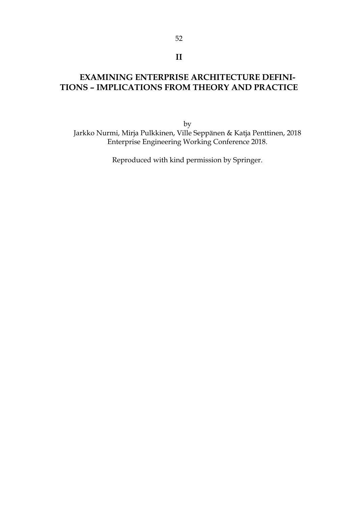**II**

# **EXAMINING ENTERPRISE ARCHITECTURE DEFINI-TIONS – IMPLICATIONS FROM THEORY AND PRACTICE**

by

Jarkko Nurmi, Mirja Pulkkinen, Ville Seppänen & Katja Penttinen, 2018 Enterprise Engineering Working Conference 2018.

Reproduced with kind permission by Springer.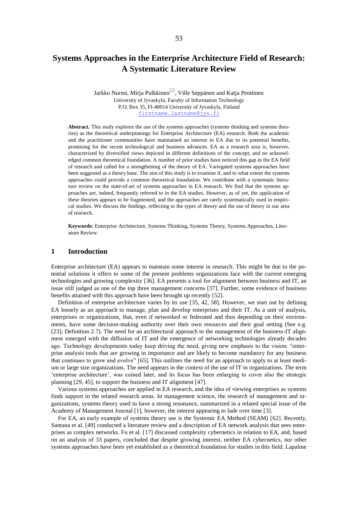### 53

# **Systems Approaches in the Enterprise Architecture Field of Research: A Systematic Literature Review**

Jarkko Nurmi, Mirja Pulkkinen $\mathbb{R}$ , Ville Seppänen and Katja Penttinen University of Jyvaskyla, Faculty of Information Technology P.O. Box 35, FI-40014 University of Jyvaskyla, Finland [firstname.lastname@jyu.fi](mailto:firstname.lastname@jyu.fi)

Abstract. This study explores the use of the systems approaches (systems thinking and systems theories) as the theoretical underpinnings for Enterprise Architecture (EA) research. Both the academic and the practitioner communities have maintained an interest in EA due to its potential benefits, promising for the recent technological and business advances. EA as a research area is, however, characterized by diversified views depicted in different definitions of the concept, and no acknowledged common theoretical foundation. A number of prior studies have noticed this gap in the EA field of research and called for a strengthening of the theory of EA. Variegated systems approaches have been suggested as a theory base. The aim of this study is to examine if, and to what extent the systems approaches could provide a common theoretical foundation. We contribute with a systematic literature review on the state-of-art of systems approaches in EA research. We find that the systems approaches are, indeed, frequently referred to in the EA studies. However, as of yet, the application of these theories appears to be fragmented, and the approaches are rarely systematically used in empirical studies. We discuss the findings, reflecting to the types of theory and the use of theory in our area of research.

**Keywords:** Enterprise Architecture, Systems Thinking, Systems Theory, Systems Approaches, Literature Review.

#### **1 Introduction**

Enterprise architecture (EA) appears to maintain some interest in research. This might be due to the potential solutions it offers to some of the present problems organizations face with the current emerging technologies and growing complexity [\[36\]](#page-64-0). EA presents a tool for alignment between business and IT, an issue still judged as one of the top three management concerns [\[37\]](#page-64-1). Further, some evidence of business benefits attained with this approach have been brought up recently [\[52\]](#page-65-0).

Definition of enterprise architecture varies by its use [\[35,](#page-64-2) [42,](#page-65-1) [58\]](#page-65-2). However, we start out by defining EA loosely as an approach to manage, plan and develop enterprises and their IT. As a unit of analysis, enterprises or organizations, that, even if networked or federated and thus depending on their environments, have some decision-making authority over their own resources and their goal setting (See e.g. [\[23\]](#page-64-3); Definition 2.7). The need for an architectural approach to the management of the business-IT alignment emerged with the diffusion of IT and the emergence of networking technologies already decades ago. Technology developments today keep driving the need, giving new emphasis to the vision: "enterprise analysis tools that are growing in importance and are likely to become mandatory for any business that continues to grow and evolve" [\[65\]](#page-65-3). This outlines the need for an approach to apply to at least medium or large size organizations. The need appears in the context of the use of IT in organizations. The term 'enterprise architecture', was coined later, and its focus has been enlarging to cover also the strategic planning [\[29,](#page-64-4) [45\]](#page-65-4), to support the business and IT alignment [\[47\]](#page-65-5).

Various systems approaches are applied in EA research, and the idea of viewing enterprises as systems finds support in the related research areas. In management science, the research of management and organizations, systems theory used to have a strong resonance, summarized in a related special issue of the Academy of Management Journal [\[1\]](#page-63-0), however, the interest appearing to fade over time [\[3\]](#page-63-1).

For EA, an early example of systems theory use is the Systemic EA Method (SEAM) [\[62\]](#page-65-6). Recently, Santana et al. [\[49\]](#page-65-7) conducted a literature review and a description of EA network analysis that sees enterprises as complex networks. Fu et al. [\[17\]](#page-64-5) discussed complexity cybernetics in relation to EA, and, based on an analysis of 33 papers, concluded that despite growing interest, neither EA cybernetics, nor other systems approaches have been yet established as a theoretical foundation for studies in this field. Lapalme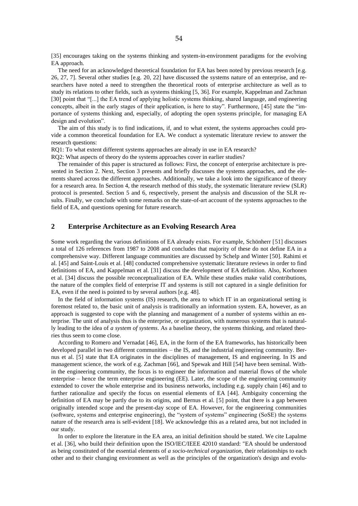[\[35\]](#page-64-2) encourages taking on the systems thinking and system-in-environment paradigms for the evolving EA approach.

The need for an acknowledged theoretical foundation for EA has been noted by previous research [e.g. [26,](#page-64-6) [27,](#page-64-7) [7\]](#page-63-2). Several other studies [e.g. [20,](#page-64-8) [22\]](#page-64-9) have discussed the systems nature of an enterprise, and researchers have noted a need to strengthen the theoretical roots of enterprise architecture as well as to study its relations to other fields, such as systems thinking [\[5,](#page-63-3) [36\]](#page-64-0). For example, Kappelman and Zachman [\[30\]](#page-64-10) point that "[...] the EA trend of applying holistic systems thinking, shared language, and engineering concepts, albeit in the early stages of their application, is here to stay". Furthermore, [\[45\]](#page-65-4) state the "importance of systems thinking and, especially, of adopting the open systems principle, for managing EA design and evolution".

The aim of this study is to find indications, if, and to what extent, the systems approaches could provide a common theoretical foundation for EA. We conduct a systematic literature review to answer the research questions:

RQ1: To what extent different systems approaches are already in use in EA research?

RQ2: What aspects of theory do the systems approaches cover in earlier studies?

The remainder of this paper is structured as follows: First, the concept of enterprise architecture is presented in Section 2. Next, Section 3 presents and briefly discusses the systems approaches, and the elements shared across the different approaches. Additionally, we take a look into the significance of theory for a research area. In Section 4, the research method of this study, the systematic literature review (SLR) protocol is presented. Section 5 and 6, respectively, present the analysis and discussion of the SLR results. Finally, we conclude with some remarks on the state-of-art account of the systems approaches to the field of EA, and questions opening for future research.

### **2 Enterprise Architecture as an Evolving Research Area**

Some work regarding the various definitions of EA already exists. For example, Schönherr [\[51\]](#page-65-8) discusses a total of 126 references from 1987 to 2008 and concludes that majority of these do not define EA in a comprehensive way. Different language communities are discussed by Schelp and Winter [\[50\]](#page-65-9). Rahimi et al. [\[45\]](#page-65-4) and Saint-Louis et al. [\[48\]](#page-65-10) conducted comprehensive systematic literature reviews in order to find definitions of EA, and Kappelman et al. [\[31\]](#page-64-11) discuss the development of EA definition. Also, Korhonen et al. [\[34\]](#page-64-12) discuss the possible reconceptualization of EA. While these studies make valid contributions, the nature of the complex field of enterprise IT and systems is still not captured in a single definition for EA, even if the need is pointed to by several authors [e.g. [48\]](#page-65-10).

In the field of information systems (IS) research, the area to which IT in an organizational setting is foremost related to, the basic unit of analysis is traditionally an information system. EA, however, as an approach is suggested to cope with the planning and management of a number of systems within an enterprise. The unit of analysis thus is the enterprise, or organization, with numerous systems that is naturally leading to the idea of *a system of systems*. As a baseline theory, the systems thinking, and related theories thus seem to come close.

According to Romero and Vernadat [\[46\]](#page-65-11), EA, in the form of the EA frameworks, has historically been developed parallel in two different communities – the IS, and the industrial engineering community. Bernus et al. [\[5\]](#page-63-3) state that EA originates in the disciplines of management, IS and engineering. In IS and management science, the work of e.g. Zachman [\[66\]](#page-65-12), and Spewak and Hill [\[54\]](#page-65-13) have been seminal. Within the engineering community, the focus is to engineer the information and material flows of the whole enterprise – hence the term enterprise engineering (EE). Later, the scope of the engineering community extended to cover the whole enterprise and its business networks, including e.g. supply chain [\[46\]](#page-65-11) and to further rationalize and specify the focus on essential elements of EA [\[44\]](#page-65-14). Ambiguity concerning the definition of EA may be partly due to its origins, and Bernus et al. [\[5\]](#page-63-3) point, that there is a gap between originally intended scope and the present-day scope of EA. However, for the engineering communities (software, systems and enterprise engineering), the "system of systems" engineering (SoSE) the systems nature of the research area is self-evident [\[18\]](#page-64-13). We acknowledge this as a related area, but not included in our study.

In order to explore the literature in the EA area, an initial definition should be stated. We cite Lapalme et al. [\[36\]](#page-64-0), who build their definition upon the ISO/IEC/IEEE 42010 standard: "EA should be understood as being constituted of the essential elements of *a socio-technical organization*, their relationships to each other and to their changing environment as well as the principles of the organization's design and evolu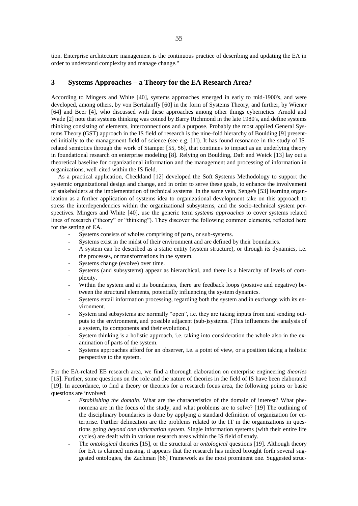tion. Enterprise architecture management is the continuous practice of describing and updating the EA in order to understand complexity and manage change."

### **3 Systems Approaches – a Theory for the EA Research Area?**

According to Mingers and White [\[40\]](#page-64-14), systems approaches emerged in early to mid-1900's, and were developed, among others, by von Bertalanffy [\[60\]](#page-65-15) in the form of Systems Theory, and further, by Wiener [\[64\]](#page-65-16) and Beer [\[4\]](#page-63-4), who discussed with these approaches among other things cybernetics. Arnold and Wade [\[2\]](#page-63-5) note that systems thinking was coined by Barry Richmond in the late 1980's, and define systems thinking consisting of elements, interconnections and a purpose. Probably the most applied General Systems Theory (GST) approach in the IS field of research is the nine-fold hierarchy of Boulding [\[9\]](#page-63-6) presented initially to the management field of science (see e.g. [\[1\]](#page-63-0)). It has found resonance in the study of ISrelated semiotics through the work of Stamper [\[55,](#page-65-17) [56\]](#page-65-18), that continues to impact as an underlying theory in foundational research on enterprise modeling [\[8\]](#page-63-7). Relying on Boulding, Daft and Weick [\[13\]](#page-64-15) lay out a theoretical baseline for organizational information and the management and processing of information in organizations, well-cited within the IS field.

As a practical application, Checkland [\[12\]](#page-64-16) developed the Soft Systems Methodology to support the systemic organizational design and change, and in order to serve these goals, to enhance the involvement of stakeholders at the implementation of technical systems. In the same vein, Senge's [\[53\]](#page-65-19) learning organization as a further application of systems idea to organizational development take on this approach to stress the interdependencies within the organizational subsystems, and the socio-technical system perspectives. Mingers and White [\[40\]](#page-64-14), use the generic term *systems approaches* to cover systems related lines of research ("theory" or "thinking"). They discover the following common elements, reflected here for the setting of EA.

- Systems consists of wholes comprising of parts, or sub-systems.
- Systems exist in the midst of their environment and are defined by their boundaries.
- A system can be described as a static entity (system structure), or through its dynamics, i.e. the processes, or transformations in the system.
- Systems change (evolve) over time.
- Systems (and subsystems) appear as hierarchical, and there is a hierarchy of levels of complexity.
- Within the system and at its boundaries, there are feedback loops (positive and negative) between the structural elements, potentially influencing the system dynamics.
- Systems entail information processing, regarding both the system and in exchange with its environment.
- System and subsystems are normally "open", i.e. they are taking inputs from and sending outputs to the environment, and possible adjacent (sub-)systems. (This influences the analysis of a system, its components and their evolution.)
- System thinking is a holistic approach, i.e. taking into consideration the whole also in the examination of parts of the system.
- Systems approaches afford for an observer, i.e. a point of view, or a position taking a holistic perspective to the system.

For the EA-related EE research area, we find a thorough elaboration on enterprise engineering *theories*  [\[15\]](#page-64-17). Further, some questions on the role and the nature of theories in the field of IS have been elaborated [\[19\]](#page-64-18). In accordance, to find a theory or theories for a research focus area, the following points or basic questions are involved:

- *Establishing the domain*. What are the characteristics of the domain of interest? What phenomena are in the focus of the study, and what problems are to solve? [\[19\]](#page-64-18) The outlining of the disciplinary boundaries is done by applying a standard definition of organization for enterprise. Further delineation are the problems related to the IT in the organizations in questions going *beyond one information system*. Single information systems (with their entire life cycles) are dealt with in various research areas within the IS field of study.
- The *ontological* theories [\[15\]](#page-64-17), or the structural or *ontological* questions [\[19\]](#page-64-18). Although theory for EA is claimed missing, it appears that the research has indeed brought forth several suggested ontologies, the Zachman [\[66\]](#page-65-12) Framework as the most prominent one. Suggested struc-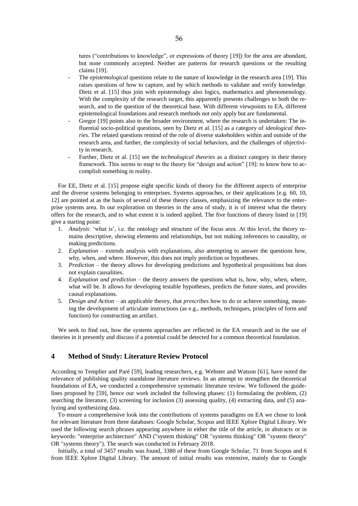tures ("contributions to knowledge", or expressions of theory [\[19\]](#page-64-18)) for the area are abundant, but none commonly accepted. Neither are patterns for research questions or the resulting claims [\[19\]](#page-64-18).

- The *epistemological* questions relate to the nature of knowledge in the research area [\[19\]](#page-64-18). This raises questions of how to capture, and by which methods to validate and verify knowledge. Dietz et al. [\[15\]](#page-64-17) thus join with epistemology also logics, mathematics and phenomenology. With the complexity of the research target, this apparently presents challenges to both the research, and to the question of the theoretical base. With different viewpoints to EA, different epistemological foundations and research methods not only apply but are fundamental.
- Gregor [\[19\]](#page-64-18) points also to the broader environment, where the research is undertaken: The influential socio-political questions, seen by Dietz et al. [\[15\]](#page-64-17) as a category of *ideological theories*. The related questions remind of the role of diverse stakeholders within and outside of the research area, and further, the complexity of social behaviors, and the challenges of objectivity in research.
- Further, Dietz et al. [\[15\]](#page-64-17) see the *technological theories* as a distinct category in their theory framework. This seems to map to the theory for "design and action" [\[19\]](#page-64-18): to know how to accomplish something in reality.

For EE, Dietz et al. [\[15\]](#page-64-17) propose eight specific kinds of theory for the different aspects of enterprise and the diverse systems belonging to enterprises. Systems approaches, or their applications [e.g. [60,](#page-65-15) [10,](#page-63-8) [12\]](#page-64-16) are pointed at as the basis of several of these theory classes, emphasizing the relevance to the enterprise systems area. In our exploration on theories in the area of study, it is of interest what the theory offers for the research, and to what extent it is indeed applied. The five functions of theory listed in [\[19\]](#page-64-18) give a starting point:

- 1. *Analysis*: 'what is', i.e. the ontology and structure of the focus area. At this level, the theory remains descriptive, showing elements and relationships, but not making inferences to causality, or making predictions.
- 2. *Explanation* extends analysis with explanations, also attempting to answer the questions how, why, when, and where. However, this does not imply prediction or hypotheses.
- 3. *Prediction* the theory allows for developing predictions and hypothetical propositions but does not explain causalities.
- 4. *Explanation and prediction* the theory answers the questions what is, how, why, when, where, what will be. It allows for developing testable hypotheses, predicts the future states, and provides causal explanations.
- 5. *Design and Action* an applicable theory, that *prescribes* how to do or achieve something, meaning the development of articulate instructions (as e.g., methods, techniques, principles of form and function) for constructing an artifact.

We seek to find out, how the systems approaches are reflected in the EA research and in the use of theories in it presently and discuss if a potential could be detected for a common theoretical foundation.

### **4 Method of Study: Literature Review Protocol**

According to Templier and Paré [\[59\]](#page-65-20), leading researchers, e.g. Webster and Watson [\[61\]](#page-65-21), have noted the relevance of publishing quality standalone literature reviews. In an attempt to strengthen the theoretical foundations of EA, we conducted a comprehensive systematic literature review. We followed the guidelines proposed by [\[59\]](#page-65-20), hence our work included the following phases: (1) formulating the problem, (2) searching the literature, (3) screening for inclusion (3) assessing quality, (4) extracting data, and (5) analyzing and synthesizing data.

To ensure a comprehensive look into the contributions of systems paradigms on EA we chose to look for relevant literature from three databases: Google Scholar, Scopus and IEEE Xplore Digital Library. We used the following search phrases appearing anywhere in either the title of the article, in abstracts or in keywords: "enterprise architecture" AND ("system thinking" OR "systems thinking" OR "system theory" OR "systems theory"). The search was conducted in February 2018.

Initially, a total of 3457 results was found, 3380 of these from Google Scholar, 71 from Scopus and 6 from IEEE Xplore Digital Library. The amount of initial results was extensive, mainly due to Google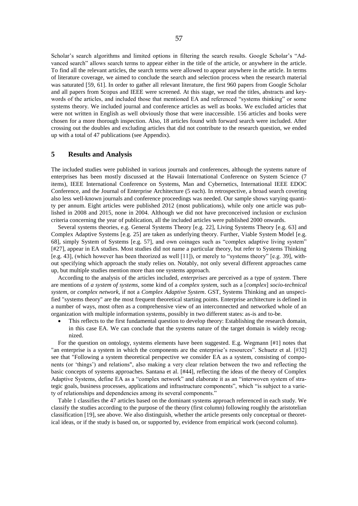Scholar's search algorithms and limited options in filtering the search results. Google Scholar's "Advanced search" allows search terms to appear either in the title of the article, or anywhere in the article. To find all the relevant articles, the search terms were allowed to appear anywhere in the article. In terms of literature coverage, we aimed to conclude the search and selection process when the research material was saturated [\[59,](#page-65-20) [61\]](#page-65-21). In order to gather all relevant literature, the first 960 papers from Google Scholar and all papers from Scopus and IEEE were screened. At this stage, we read the titles, abstracts and keywords of the articles, and included those that mentioned EA and referenced "systems thinking" or some systems theory. We included journal and conference articles as well as books. We excluded articles that were not written in English as well obviously those that were inaccessible. 156 articles and books were chosen for a more thorough inspection. Also, 18 articles found with forward search were included. After crossing out the doubles and excluding articles that did not contribute to the research question, we ended up with a total of 47 publications (see Appendix).

### **5 Results and Analysis**

The included studies were published in various journals and conferences, although the systems nature of enterprises has been mostly discussed at the Hawaii International Conference on System Science (7 items), IEEE International Conference on Systems, Man and Cybernetics, International IEEE EDOC Conference, and the Journal of Enterprise Architecture (5 each). In retrospective, a broad search covering also less well-known journals and conference proceedings was needed. Our sample shows varying quantity per annum. Eight articles were published 2012 (most publications), while only one article was published in 2008 and 2015, none in 2004. Although we did not have preconceived inclusion or exclusion criteria concerning the year of publication, all the included articles were published 2000 onwards.

Several systems theories, e.g. General Systems Theory [e.g. [22\]](#page-64-9), Living Systems Theory [e.g. [63\]](#page-65-22) and Complex Adaptive Systems [e.g. [25\]](#page-64-19) are taken as underlying theory. Further, Viable System Model [e.g. [68\]](#page-65-23), simply System of Systems [e.g. [57\]](#page-65-24), and own coinages such as "complex adaptive living system" [[#27\]](#page-64-7), appear in EA studies. Most studies did not name a particular theory, but refer to Systems Thinking [e.g. [43\]](#page-65-25), (which however has been theorized as well [11]), or merely to "systems theory" [e.g. [39\]](#page-64-20), without specifying which approach the study relies on. Notably, not only several different approaches came up, but multiple studies mention more than one systems approach.

According to the analysis of the articles included, *enterprises* are perceived as a type of *system*. There are mentions of *a system of systems,* some kind of a *complex system*, such as a [*complex*] *socio-technical system,* or *complex network,* if not a *Complex Adaptive System*. GST, Systems Thinking and an unspecified "systems theory" are the most frequent theoretical starting points. Enterprise architecture is defined in a number of ways, most often as a comprehensive view of an interconnected and networked whole of an organization with multiple information systems, possibly in two different states: as-is and to-be.

• This reflects to the first fundamental question to develop theory: Establishing the research domain, in this case EA. We can conclude that the systems nature of the target domain is widely recognized.

For the question on ontology, systems elements have been suggested. E.g. Wegmann [#1] notes that "an enterprise is a system in which the components are the enterprise's resources". Schuetz et al. [#32] see that "Following a system theoretical perspective we consider EA as a system, consisting of components (or 'things') and relations", also making a very clear relation between the two and reflecting the basic concepts of systems approaches. Santana et al. [#44], reflecting the ideas of the theory of Complex Adaptive Systems, define EA as a "complex network" and elaborate it as an "interwoven system of strategic goals, business processes, applications and infrastructure components", which "is subject to a variety of relationships and dependencies among its several components."

Table 1 classifies the 47 articles based on the dominant systems approach referenced in each study. We classify the studies according to the purpose of the theory (first column) following roughly the aristotelian classification [19], see above. We also distinguish, whether the article presents only conceptual or theoretical ideas, or if the study is based on, or supported by, evidence from empirical work (second column).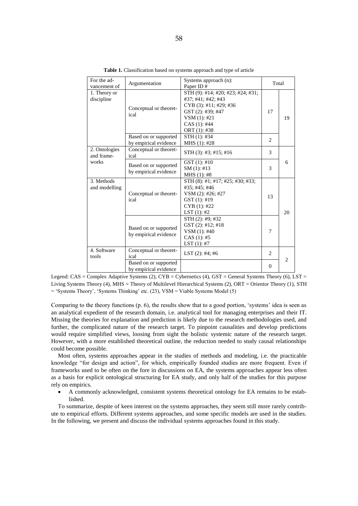| For the ad-<br>vancement of | Argumentation                                  | Systems approach (n):<br>Paper ID#                                                                                                                   | Total          |    |
|-----------------------------|------------------------------------------------|------------------------------------------------------------------------------------------------------------------------------------------------------|----------------|----|
| 1. Theory or<br>discipline  | Conceptual or theoret-<br>ical                 | STH (9): #14; #20; #23; #24; #31;<br>#37; #41; #42; #43<br>CYB (3): #11; #29; #36<br>GST(2): #39; #47<br>VSM(1): #21<br>CAS (1): #44<br>ORT (1): #38 | 17             | 19 |
|                             | Based on or supported<br>by empirical evidence | STH (1): #34<br>MHS (1): #28                                                                                                                         | $\overline{c}$ |    |
| 2. Ontologies<br>and frame- | Conceptual or theoret-<br>ical                 | STH $(3)$ : #3; #15; #16                                                                                                                             | 3              |    |
| works                       | Based on or supported<br>by empirical evidence | GST(1): #10<br>SM(1): #13<br>MHS (1): #8                                                                                                             | 3              | 6  |
| 3. Methods<br>and modelling | Conceptual or theoret-<br>ical                 | STH (8): #1; #17; #25; #30; #33;<br>#35; #45; #46<br>VSM(2): #26; #27<br>GST(1): #19<br>CYB(1): #22<br>LST(1): #2                                    | 13             | 20 |
|                             | Based on or supported<br>by empirical evidence | STH $(2)$ : #9; #32<br>GST(2): #12; #18<br>VSM(1): #40<br>CAS (1): #5<br>LST(1): #7                                                                  | 7              |    |
| 4. Software<br>tools        | Conceptual or theoret-<br>ical                 | LST $(2)$ : #4; #6                                                                                                                                   | 2              | 2  |
|                             | Based on or supported<br>by empirical evidence |                                                                                                                                                      | $\mathbf{0}$   |    |

**Table 1.** Classification based on systems approach and type of article

Legend: CAS = Complex Adaptive Systems (2), CYB = Cybernetics (4), GST = General Systems Theory (6), LST = Living Systems Theory (4), MHS = Theory of Multilevel Hierarchical Systems (2), ORT = Orientor Theory (1), STH = 'Systems Theory', 'Systems Thinking' etc. (23), VSM = Viable Systems Model (5)

Comparing to the theory functions (p. 6), the results show that to a good portion, 'systems' idea is seen as an analytical expedient of the research domain, i.e. analytical tool for managing enterprises and their IT. Missing the theories for explanation and prediction is likely due to the research methodologies used, and further, the complicated nature of the research target. To pinpoint causalities and develop predictions would require simplified views, loosing from sight the holistic systemic nature of the research target. However, with a more established theoretical outline, the reduction needed to study causal relationships could become possible.

Most often, systems approaches appear in the studies of methods and modeling, i.e. the practicable knowledge "for design and action", for which, empirically founded studies are more frequent. Even if frameworks used to be often on the fore in discussions on EA, the systems approaches appear less often as a basis for explicit ontological structuring for EA study, and only half of the studies for this purpose rely on empirics.

• A commonly acknowledged, consistent systems theoretical ontology for EA remains to be established.

To summarize, despite of keen interest on the systems approaches, they seem still more rarely contribute to empirical efforts. Different systems approaches, and some specific models are used in the studies. In the following, we present and discuss the individual systems approaches found in this study.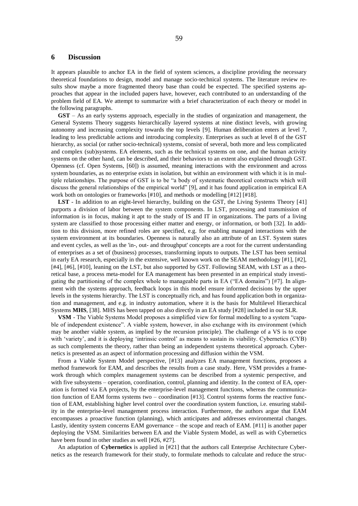#### **6 Discussion**

It appears plausible to anchor EA in the field of system sciences, a discipline providing the necessary theoretical foundations to design, model and manage socio-technical systems. The literature review results show maybe a more fragmented theory base than could be expected. The specified systems approaches that appear in the included papers have, however, each contributed to an understanding of the problem field of EA. We attempt to summarize with a brief characterization of each theory or model in the following paragraphs.

**GST** – As an early systems approach, especially in the studies of organization and management, the General Systems Theory suggests hierarchically layered systems at nine distinct levels, with growing autonomy and increasing complexity towards the top levels [\[9\]](#page-63-6). Human deliberation enters at level 7, leading to less predictable actions and introducing complexity. Enterprises as such at level 8 of the GST hierarchy, as social (or rather socio-technical) systems, consist of several, both more and less complicated and complex (sub)systems. EA elements, such as the technical systems on one, and the human activity systems on the other hand, can be described, and their behaviors to an extent also explained through GST. Openness (cf. Open Systems, [\[60\]](#page-65-15)) is assumed, meaning interactions with the environment and across system boundaries, as no enterprise exists in isolation, but within an environment with which it is in multiple relationships. The purpose of GST is to be "a body of systematic theoretical constructs which will discuss the general relationships of the empirical world" [\[9\]](#page-63-6), and it has found application in empirical EA work both on ontologies or frameworks [#10], and methods or modelling [#12] [#18].

**LST** - In addition to an eight-level hierarchy, building on the GST, the Living Systems Theory [\[41\]](#page-64-21) purports a division of labor between the system components. In LST, processing and transmission of information is in focus, making it apt to the study of IS and IT in organizations. The parts of a living system are classified to those processing either matter and energy, or information, or both [\[32\]](#page-64-22). In addition to this division, more refined roles are specified, e.g. for enabling managed interactions with the system environment at its boundaries. Openness is naturally also an attribute of an LST. System states and event cycles, as well as the 'in-, out- and throughput' concepts are a root for the current understanding of enterprises as a set of (business) processes, transforming inputs to outputs. The LST has been seminal in early EA research, especially in the extensive, well known work on the SEAM methodology [#1], [#2], [#4], [#6], [#10], leaning on the LST, but also supported by GST. Following SEAM, with LST as a theoretical base, a process meta-model for EA management has been presented in an empirical study investigating the partitioning of the complex whole to manageable parts in EA ("EA domains") [#7]. In alignment with the systems approach, feedback loops in this model ensure informed decisions by the upper levels in the systems hierarchy. The LST is conceptually rich, and has found application both in organization and management, and e.g. in industry automation, where it is the basis for Multilevel Hierarchical Systems **MHS**, [\[38\]](#page-64-23). MHS has been tapped on also directly in an EA study [#28] included in our SLR.

**VSM** - The Viable Systems Model proposes a simplified view for formal modelling to a system "capable of independent existence". A viable system, however, in also exchange with its environment (which may be another viable system, as implied by the recursion principle). The challenge of a VS is to cope with 'variety', and it is deploying 'intrinsic control' as means to sustain its viability. Cybernetics (CYB) as such complements the theory, rather than being an independent systems theoretical approach. Cybernetics is presented as an aspect of information processing and diffusion within the VSM.

From a Viable System Model perspective, [#13] analyzes EA management functions, proposes a method framework for EAM, and describes the results from a case study. Here, VSM provides a framework through which complex management systems can be described from a systemic perspective, and with five subsystems – operation, coordination, control, planning and identity. In the context of EA, operation is formed via EA projects, by the enterprise-level management functions, whereas the communication function of EAM forms systems two – coordination  $[#13]$ . Control systems forms the reactive function of EAM, establishing higher level control over the coordination system function, i.e. ensuring stability in the enterprise-level management process interaction. Furthermore, the authors argue that EAM encompasses a proactive function (planning), which anticipates and addresses environmental changes. Lastly, identity system concerns EAM governance – the scope and reach of EAM. [#11] is another paper deploying the VSM. Similarities between EA and the Viable System Model, as well as with Cybernetics have been found in other studies as well [#26, #27].

An adaptation of **Cybernetics** is applied in [#21] that the authors call Enterprise Architecture Cybernetics as the research framework for their study, to formulate methods to calculate and reduce the struc-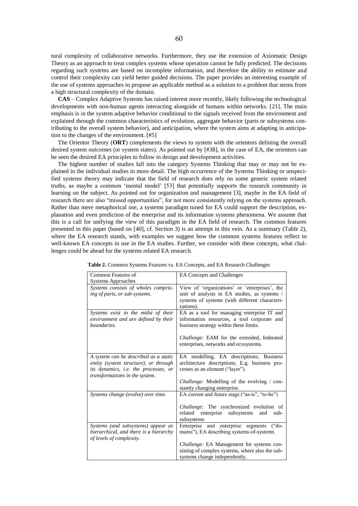tural complexity of collaborative networks. Furthermore, they use the extension of Axiomatic Design Theory as an approach to treat complex systems whose operation cannot be fully predicted. The decisions regarding such systems are based on incomplete information, and therefore the ability to estimate and control their complexity can yield better guided decisions. The paper provides an interesting example of the use of systems approaches to propose an applicable method as a solution to a problem that stems from a high structural complexity of the domain.

**CAS** – Complex Adaptive Systems has raised interest more recently, likely following the technological developments with non-human agents interacting alongside of humans within networks. [\[21\]](#page-64-24). The main emphasis is in the system adaptive behavior conditional to the signals received from the environment and explained through the common characteristics of evolution, aggregate behavior (parts or subsystems contributing to the overall system behavior), and anticipation, where the system aims at adapting in anticipation to the changes of the environment. [#5]

The Orientor Theory (**ORT**) complements the views to system with the orientors defining the overall desired system outcomes (or system states). As pointed out by [#38], in the case of EA, the orientors can be seen the desired EA principles to follow in design and development activities.

The highest number of studies fall into the category Systems Thinking that may or may not be explained in the individual studies in more detail. The high occurrence of the Systems Thinking or unspecified systems theory may indicate that the field of research does rely on some generic system related truths, as maybe a common 'mental model' [53] that potentially supports the research community in learning on the subject. As pointed out for organization and management [3], maybe in the EA field of research there are also "missed opportunities", for not more consistently relying on the systems approach. Rather than mere metaphorical use, a systems paradigm tuned for EA could support the description, explanation and even prediction of the enterprise and its information systems phenomena. We assume that this is a call for unifying the view of this paradigm in the EA field of research. The common features presented in this paper (based on [\[40\]](#page-64-14), cf. Section 3) is an attempt in this vein. As a summary (Table 2), where the EA research stands, with examples we suggest how the common systems features reflect to well-known EA concepts in use in the EA studies. Further, we consider with these concepts, what challenges could be ahead for the systems related EA research.

| Common Features of                     | EA Concepts and Challenges                         |
|----------------------------------------|----------------------------------------------------|
| <b>Systems Approaches</b>              |                                                    |
| Systems consists of wholes compris-    | View of 'organizations' or 'enterprises', the      |
| ing of parts, or sub-systems.          | unit of analysis in EA studies, as systems /       |
|                                        | systems of systems (with different characteri-     |
|                                        | zations).                                          |
| Systems exist in the midst of their    | EA as a tool for managing enterprise IT and        |
|                                        | information resources, a tool corporate and        |
| environment and are defined by their   |                                                    |
| boundaries.                            | business strategy within these limits.             |
|                                        |                                                    |
|                                        | Challenge: EAM for the extended, federated         |
|                                        | enterprises, networks and ecosystems.              |
|                                        |                                                    |
| A system can be described as a static  | EA modelling, EA descriptions; Business            |
| entity (system structure), or through  | architecture descriptions; E.g. business pro-      |
| its dynamics, i.e. the processes, or   | cesses as an element ("layer").                    |
| transformations in the system.         |                                                    |
|                                        | <i>Challenge:</i> Modelling of the evolving / con- |
|                                        |                                                    |
|                                        | stantly changing enterprise.                       |
| Systems change (evolve) over time.     | EA current and future stage ("as-is", "to-be")     |
|                                        | <i>Challenge:</i> The synchronized evolution of    |
|                                        |                                                    |
|                                        | related enterprise<br>subsystems<br>and<br>sub-    |
|                                        | subsystems                                         |
| Systems (and subsystems) appear as     | Enterprise and enterprise<br>segments ("do-        |
| hierarchical, and there is a hierarchy | mains"), EA describing systems-of-systems          |
| of levels of complexity.               |                                                    |
|                                        | <i>Challenge:</i> EA Management for systems con-   |
|                                        | sisting of complex systems, where also the sub-    |
|                                        | systems change independently.                      |
|                                        |                                                    |

**Table 2.** Common Systems Features vs. EA Concepts, and EA Research Challenges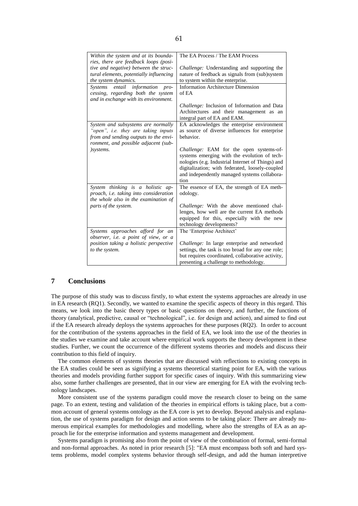| Within the system and at its bounda-    | The EA Process / The EAM Process                    |
|-----------------------------------------|-----------------------------------------------------|
|                                         |                                                     |
| ries, there are feedback loops (posi-   |                                                     |
| tive and negative) between the struc-   | <i>Challenge:</i> Understanding and supporting the  |
| tural elements, potentially influencing | nature of feedback as signals from (sub)system      |
| the system dynamics.                    | to system within the enterprise.                    |
| information<br>Systems entail<br>$pro-$ | <b>Information Architecture Dimension</b>           |
| cessing, regarding both the system      | of EA                                               |
| and in exchange with its environment.   |                                                     |
|                                         | <i>Challenge:</i> Inclusion of Information and Data |
|                                         | Architectures and their management as an            |
|                                         | integral part of EA and EAM.                        |
| System and subsystems are normally      | EA acknowledges the enterprise environment          |
| "open", i.e. they are taking inputs     | as source of diverse influences for enterprise      |
| from and sending outputs to the envi-   | behavior.                                           |
| ronment, and possible adjacent (sub-    |                                                     |
| )systems.                               | <i>Challenge:</i> EAM for the open systems-of-      |
|                                         |                                                     |
|                                         | systems emerging with the evolution of tech-        |
|                                         | nologies (e.g. Industrial Internet of Things) and   |
|                                         | digitalization; with federated, loosely-coupled     |
|                                         | and independently managed systems collabora-        |
|                                         | tion                                                |
| System thinking is a holistic ap-       | The essence of EA, the strength of EA meth-         |
| proach, i.e. taking into consideration  | odology.                                            |
| the whole also in the examination of    |                                                     |
| parts of the system.                    | Challenge: With the above mentioned chal-           |
|                                         | lenges, how well are the current EA methods         |
|                                         | equipped for this, especially with the new          |
|                                         | technology developments?                            |
| Systems approaches afford for an        | The 'Enterprise Architect'                          |
| observer, i.e. a point of view, or a    |                                                     |
| position taking a holistic perspective  | Challenge: In large enterprise and networked        |
| to the system.                          | settings, the task is too broad for any one role;   |
|                                         | but requires coordinated, collaborative activity,   |
|                                         | presenting a challenge to methodology.              |
|                                         |                                                     |

### **7 Conclusions**

The purpose of this study was to discuss firstly, to what extent the systems approaches are already in use in EA research (RQ1). Secondly, we wanted to examine the specific aspects of theory in this regard. This means, we look into the basic theory types or basic questions on theory, and further, the functions of theory (analytical, predictive, causal or "technological", i.e. for design and action), and aimed to find out if the EA research already deploys the systems approaches for these purposes (RQ2). In order to account for the contribution of the systems approaches in the field of EA, we look into the use of the theories in the studies we examine and take account where empirical work supports the theory development in these studies. Further, we count the occurrence of the different systems theories and models and discuss their contribution to this field of inquiry.

The common elements of systems theories that are discussed with reflections to existing concepts in the EA studies could be seen as signifying a systems theoretical starting point for EA, with the various theories and models providing further support for specific cases of inquiry. With this summarizing view also, some further challenges are presented, that in our view are emerging for EA with the evolving technology landscapes.

More consistent use of the systems paradigm could move the research closer to being on the same page. To an extent, testing and validation of the theories in empirical efforts is taking place, but a common account of general systems ontology as the EA core is yet to develop. Beyond analysis and explanation, the use of systems paradigm for design and action seems to be taking place: There are already numerous empirical examples for methodologies and modelling, where also the strengths of EA as an approach lie for the enterprise information and systems management and development.

Systems paradigm is promising also from the point of view of the combination of formal, semi-formal and non-formal approaches. As noted in prior research [\[5\]](#page-63-3): "EA must encompass both soft and hard systems problems, model complex systems behavior through self-design, and add the human interpretive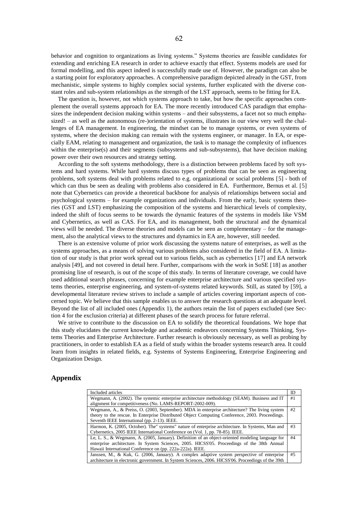behavior and cognition to organizations as living systems." Systems theories are feasible candidates for extending and enriching EA research in order to achieve exactly that effect. Systems models are used for formal modelling, and this aspect indeed is successfully made use of. However, the paradigm can also be a starting point for exploratory approaches. A comprehensive paradigm depicted already in the GST, from mechanistic, simple systems to highly complex social systems, further explicated with the diverse constant roles and sub-system relationships as the strength of the LST approach, seems to be fitting for EA.

The question is, however, not which systems approach to take, but how the specific approaches complement the overall systems approach for EA. The more recently introduced CAS paradigm that emphasizes the independent decision making within systems – and their subsystems, a facet not so much emphasized! – as well as the autonomous (re-)orientation of systems, illustrates in our view very well the challenges of EA management. In engineering, the mindset can be to manage systems, or even systems of systems, where the decision making can remain with the systems engineer, or manager. In EA, or especially EAM, relating to management and organization, the task is to manage the complexity of influences within the enterprise(s) and their segments (subsystems and sub-subsystems), that have decision making power over their own resources and strategy setting.

According to the soft systems methodology, there is a distinction between problems faced by soft systems and hard systems. While hard systems discuss types of problems that can be seen as engineering problems, soft systems deal with problems related to e.g. organizational or social problems [\[5\]](#page-63-3) - both of which can thus be seen as dealing with problems also considered in EA. Furthermore, Bernus et al. [\[5\]](#page-63-3) note that Cybernetics can provide a theoretical backbone for analysis of relationships between social and psychological systems – for example organizations and individuals. From the early, basic systems theories (GST and LST) emphasizing the composition of the systems and hierarchical levels of complexity, indeed the shift of focus seems to be towards the dynamic features of the systems in models like VSM and Cybernetics, as well as CAS. For EA, and its management, both the structural and the dynamical views will be needed. The diverse theories and models can be seen as complementary – for the management, also the analytical views to the structures and dynamics in EA are, however, still needed.

There is an extensive volume of prior work discussing the systems nature of enterprises, as well as the systems approaches, as a means of solving various problems also considered in the field of EA. A limitation of our study is that prior work spread out to various fields, such as cybernetics [\[17\]](#page-64-5) and EA network analysis [\[49\]](#page-65-7), and not covered in detail here. Further, comparisons with the work in SoSE [18] as another promising line of research, is out of the scope of this study. In terms of literature coverage, we could have used additional search phrases, concerning for example enterprise architecture and various specified systems theories, enterprise engineering, and system-of-systems related keywords. Still, as stated by [\[59\]](#page-65-20), a developmental literature review strives to include a sample of articles covering important aspects of concerned topic. We believe that this sample enables us to answer the research questions at an adequate level. Beyond the list of all included ones (Appendix 1), the authors retain the list of papers excluded (see Section 4 for the exclusion criteria) at different phases of the search process for future referral.

We strive to contribute to the discussion on EA to solidify the theoretical foundations. We hope that this study elucidates the current knowledge and academic endeavors concerning Systems Thinking, Systems Theories and Enterprise Architecture. Further research is obviously necessary, as well as probing by practitioners, in order to establish EA as a field of study within the broader systems research area. It could learn from insights in related fields, e.g. Systems of Systems Engineering, Enterprise Engineering and Organization Design.

### **Appendix**

| Included articles                                                                                  | ID |
|----------------------------------------------------------------------------------------------------|----|
| Wegmann, A. (2002). The systemic enterprise architecture methodology (SEAM). Business and IT       | #1 |
| alignment for competitiveness (No. LAMS-REPORT-2002-009).                                          |    |
| Wegmann, A., & Preiss, O. (2003, September). MDA in enterprise architecture? The living system     | #2 |
| theory to the rescue. In Enterprise Distributed Object Computing Conference, 2003. Proceedings.    |    |
| Seventh IEEE International (pp. 2-13). IEEE.                                                       |    |
| Harmon, K. (2005, October). The "systems" nature of enterprise architecture. In Systems, Man and   | #3 |
| Cybernetics, 2005 IEEE International Conference on (Vol. 1, pp. 78-85). IEEE.                      |    |
| Le, L. S., & Wegmann, A. (2005, January). Definition of an object-oriented modeling language for   | #4 |
| enterprise architecture. In System Sciences, 2005. HICSS'05. Proceedings of the 38th Annual        |    |
| Hawaii International Conference on (pp. 222a-222a). IEEE.                                          |    |
| Janssen, M., & Kuk, G. (2006, January). A complex adaptive system perspective of enterprise        | #5 |
| architecture in electronic government. In System Sciences, 2006. HICSS'06. Proceedings of the 39th |    |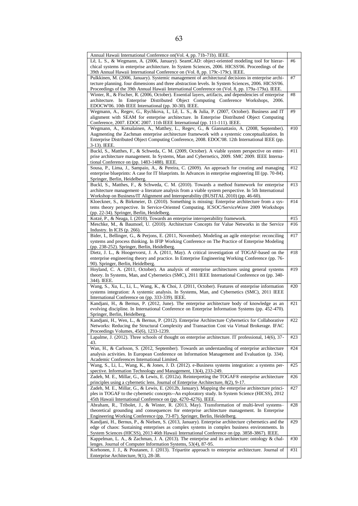| Annual Hawaii International Conference on (Vol. 4, pp. 71b-71b). IEEE.                                  |     |
|---------------------------------------------------------------------------------------------------------|-----|
| Lê, L. S., & Wegmann, A. (2006, January). SeamCAD: object-oriented modeling tool for hierar-            | #6  |
| chical systems in enterprise architecture. In System Sciences, 2006. HICSS'06. Proceedings of the       |     |
| 39th Annual Hawaii International Conference on (Vol. 8, pp. 179c-179c). IEEE.                           |     |
| Pulkkinen, M. (2006, January). Systemic management of architectural decisions in enterprise archi-      | #7  |
| tecture planning. four dimensions and three abstraction levels. In System Sciences, 2006. HICSS'06.     |     |
| Proceedings of the 39th Annual Hawaii International Conference on (Vol. 8, pp. 179a-179a). IEEE.        |     |
| Winter, R., & Fischer, R. (2006, October). Essential layers, artifacts, and dependencies of enterprise  | #8  |
| architecture. In Enterprise Distributed Object Computing Conference Workshops, 2006.                    |     |
|                                                                                                         |     |
| EDOCW'06. 10th IEEE International (pp. 30-30). IEEE.                                                    |     |
| Wegmann, A., Regev, G., Rychkova, I., Lê, L. S., & Julia, P. (2007, October). Business and IT           | #9  |
| alignment with SEAM for enterprise architecture. In Enterprise Distributed Object Computing             |     |
| Conference, 2007. EDOC 2007. 11th IEEE International (pp. 111-111). IEEE.                               |     |
| Wegmann, A., Kotsalainen, A., Matthey, L., Regev, G., & Giannattasio, A. (2008, September).             | #10 |
| Augmenting the Zachman enterprise architecture framework with a systemic conceptualization. In          |     |
| Enterprise Distributed Object Computing Conference, 2008. EDOC'08. 12th International IEEE (pp.         |     |
| 3-13). IEEE.                                                                                            |     |
| Buckl, S., Matthes, F., & Schweda, C. M. (2009, October). A viable system perspective on enter-         | #11 |
| prise architecture management. In Systems, Man and Cybernetics, 2009. SMC 2009. IEEE Interna-           |     |
| tional Conference on (pp. 1483-1488). IEEE.                                                             |     |
| Sousa, P., Lima, J., Sampaio, A., & Pereira, C. (2009). An approach for creating and managing           | #12 |
| enterprise blueprints: A case for IT blueprints. In Advances in enterprise engineering III (pp. 70-84). |     |
| Springer, Berlin, Heidelberg.                                                                           |     |
| Buckl, S., Matthes, F., & Schweda, C. M. (2010). Towards a method framework for enterprise              | #13 |
| architecture management-a literature analysis from a viable system perspective. In 5th International    |     |
| Workshop on Business/IT Alignment and Interoperability (BUSITAL 2010) (pp. 46-60).                      |     |
|                                                                                                         |     |
| Kloeckner, S., & Birkmeier, D. (2010). Something is missing: Enterprise architecture from a sys-        | #14 |
| tems theory perspective. In Service-Oriented Computing. ICSOC/ServiceWave 2009 Workshops                |     |
| (pp. 22-34). Springer, Berlin, Heidelberg.                                                              |     |
| Kotzé, P., & Neaga, I. (2010). Towards an enterprise interoperability framework.                        | #15 |
| Meschke, M., & Baumoel, U. (2010). Architecture Concepts for Value Networks in the Service              | #16 |
| Industry. In ICIS (p. 266).                                                                             |     |
| Bider, I., Bellinger, G., & Perjons, E. (2011, November). Modeling an agile enterprise: reconciling     | #17 |
| systems and process thinking. In IFIP Working Conference on The Practice of Enterprise Modeling         |     |
| (pp. 238-252). Springer, Berlin, Heidelberg.                                                            |     |
| Dietz, J. L., & Hoogervorst, J. A. (2011, May). A critical investigation of TOGAF-based on the          | #18 |
| enterprise engineering theory and practice. In Enterprise Engineering Working Conference (pp. 76-       |     |
| 90). Springer, Berlin, Heidelberg.                                                                      |     |
| Hoyland, C. A. (2011, October). An analysis of enterprise architectures using general systems           | #19 |
| theory. In Systems, Man, and Cybernetics (SMC), 2011 IEEE International Conference on (pp. 340-         |     |
|                                                                                                         |     |
| 344). IEEE.                                                                                             |     |
| Wang, S., Xu, L., Li, L., Wang, K., & Choi, J. (2011, October). Features of enterprise information      | #20 |
| systems integration: A systemic analysis. In Systems, Man, and Cybernetics (SMC), 2011 IEEE             |     |
| International Conference on (pp. 333-339). IEEE.                                                        |     |
| Kandjani, H., & Bernus, P. (2012, June). The enterprise architecture body of knowledge as an            | #21 |
| evolving discipline. In International Conference on Enterprise Information Systems (pp. 452-470).       |     |
| Springer, Berlin, Heidelberg.                                                                           |     |
| Kandjani, H., Wen, L., & Bernus, P. (2012). Enterprise Architecture Cybernetics for Collaborative       | #22 |
| Networks: Reducing the Structural Complexity and Transaction Cost via Virtual Brokerage. IFAC           |     |
| Proceedings Volumes, 45(6), 1233-1239.                                                                  |     |
| Lapalme, J. (2012). Three schools of thought on enterprise architecture. IT professional, 14(6), 37-    | #23 |
| 43.                                                                                                     |     |
| Wan, H., & Carlsson, S. (2012, September). Towards an understanding of enterprise architecture          | #24 |
| analysis activities. In European Conference on Information Management and Evaluation (p. 334).          |     |
| Academic Conferences International Limited.                                                             |     |
| Wang, S., Li, L., Wang, K., & Jones, J. D. (2012). e-Business systems integration: a systems per-       | #25 |
| spective. Information Technology and Management, 13(4), 233-249.                                        |     |
| Zadeh, M. E., Millar, G., & Lewis, E. (2012a). Reinterpreting the TOGAF® enterprise architecture        |     |
|                                                                                                         | #26 |
| principles using a cybernetic lens. Journal of Enterprise Architecture, 8(2), 9-17.                     |     |
| Zadeh, M. E., Millar, G., & Lewis, E. (2012b, January). Mapping the enterprise architecture princi-     | #27 |
| ples in TOGAF to the cybernetic concepts--An exploratory study. In System Science (HICSS), 2012         |     |
| 45th Hawaii International Conference on (pp. 4270-4276). IEEE.                                          |     |
| Abraham, R., Tribolet, J., & Winter, R. (2013, May). Transformation of multi-level systems-             | #28 |
| theoretical grounding and consequences for enterprise architecture management. In Enterprise            |     |
| Engineering Working Conference (pp. 73-87). Springer, Berlin, Heidelberg.                               |     |
| Kandjani, H., Bernus, P., & Nielsen, S. (2013, January). Enterprise architecture cybernetics and the    | #29 |
| edge of chaos: Sustaining enterprises as complex systems in complex business environments. In           |     |
| System Sciences (HICSS), 2013 46th Hawaii International Conference on (pp. 3858-3867). IEEE.            |     |
| Kappelman, L. A., & Zachman, J. A. (2013). The enterprise and its architecture: ontology & chal-        | #30 |
| lenges. Journal of Computer Information Systems, 53(4), 87-95.                                          |     |
| Korhonen, J. J., & Poutanen, J. (2013). Tripartite approach to enterprise architecture. Journal of      | #31 |
| Enterprise Architecture, 9(1), 28-38.                                                                   |     |
|                                                                                                         |     |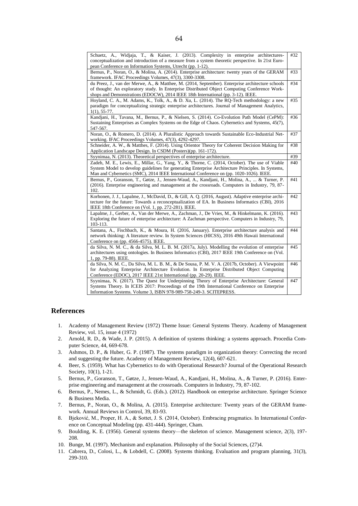| Schuetz, A., Widjaja, T., & Kaiser, J. (2013). Complexity in enterprise architectures-<br>conceptualization and introduction of a measure from a system theoretic perspective. In 21st Euro-<br>pean Conference on Information Systems, Utrecht (pp. 1-12).                            | #32 |
|----------------------------------------------------------------------------------------------------------------------------------------------------------------------------------------------------------------------------------------------------------------------------------------|-----|
| Bernus, P., Noran, O., & Molina, A. (2014). Enterprise architecture: twenty years of the GERAM<br>framework. IFAC Proceedings Volumes, 47(3), 3300-3308.                                                                                                                               | #33 |
| du Preez, J., van der Merwe, A., & Matthee, M. (2014, September). Enterprise architecture schools<br>of thought: An exploratory study. In Enterprise Distributed Object Computing Conference Work-<br>shops and Demonstrations (EDOCW), 2014 IEEE 18th International (pp. 3-12). IEEE. | #34 |
| Hoyland, C. A., M. Adams, K., Tolk, A., & D. Xu, L. (2014). The RQ-Tech methodology: a new<br>paradigm for conceptualizing strategic enterprise architectures. Journal of Management Analytics,<br>$1(1), 55-77.$                                                                      | #35 |
| Kandjani, H., Tavana, M., Bernus, P., & Nielsen, S. (2014). Co-Evolution Path Model (CePM):<br>Sustaining Enterprises as Complex Systems on the Edge of Chaos. Cybernetics and Systems, 45(7),<br>547-567.                                                                             | #36 |
| Noran, O., & Romero, D. (2014). A Pluralistic Approach towards Sustainable Eco-Industrial Net-<br>working. IFAC Proceedings Volumes, 47(3), 4292-4297.                                                                                                                                 | #37 |
| Schneider, A. W., & Matthes, F. (2014). Using Orientor Theory for Coherent Decision Making for<br>Application Landscape Design. In CSDM (Posters)(pp. 161-172).                                                                                                                        | #38 |
| Syynimaa, N. (2013). Theoretical perspectives of enterprise architecture.                                                                                                                                                                                                              | #39 |
| Zadeh, M. E., Lewis, E., Millar, G., Yang, Y., & Thorne, C. (2014, October). The use of Viable                                                                                                                                                                                         | #40 |
| System Model to develop guidelines for generating Enterprise Architecture Principles. In Systems,<br>Man and Cybernetics (SMC), 2014 IEEE International Conference on (pp. 1020-1026). IEEE.                                                                                           |     |
| Bernus, P., Goranson, T., Gøtze, J., Jensen-Waud, A., Kandjani, H., Molina, A.,  & Turner, P.<br>(2016). Enterprise engineering and management at the crossroads. Computers in Industry, 79, 87-<br>102.                                                                               | #41 |
| Korhonen, J. J., Lapalme, J., McDavid, D., & Gill, A. Q. (2016, August). Adaptive enterprise archi-<br>tecture for the future: Towards a reconceptualization of EA. In Business Informatics (CBI), 2016<br>IEEE 18th Conference on (Vol. 1, pp. 272-281). IEEE.                        | #42 |
| Lapalme, J., Gerber, A., Van der Merwe, A., Zachman, J., De Vries, M., & Hinkelmann, K. (2016).<br>Exploring the future of enterprise architecture: A Zachman perspective. Computers in Industry, 79,<br>103-113.                                                                      | #43 |
| Santana, A., Fischbach, K., & Moura, H. (2016, January). Enterprise architecture analysis and<br>network thinking: A literature review. In System Sciences (HICSS), 2016 49th Hawaii International<br>Conference on (pp. 4566-4575). IEEE.                                             | #44 |
| da Silva, N. M. C., & da Silva, M. L. B. M. (2017a, July). Modelling the evolution of enterprise<br>architectures using ontologies. In Business Informatics (CBI), 2017 IEEE 19th Conference on (Vol.<br>1, pp. 79-88). IEEE.                                                          | #45 |
| da Silva, N. M. C., Da Silva, M. L. B. M., & De Sousa, P. M. V. A. (2017b, October). A Viewpoint<br>for Analyzing Enterprise Architecture Evolution. In Enterprise Distributed Object Computing<br>Conference (EDOC), 2017 IEEE 21st International (pp. 20-29). IEEE.                  | #46 |
| Syynimaa, N. (2017). The Quest for Underpinning Theory of Enterprise Architecture: General<br>Systems Theory. In ICEIS 2017: Proceedings of the 19th International Conference on Enterprise<br>Information Systems. Volume 3, ISBN 978-989-758-249-3. SCITEPRESS.                      | #47 |

### **References**

- <span id="page-63-0"></span>1. Academy of Management Review (1972) Theme Issue: General Systems Theory. Academy of Management Review, vol. 15, issue 4 (1972)
- <span id="page-63-5"></span>2. Arnold, R. D., & Wade, J. P. (2015). A definition of systems thinking: a systems approach. Procedia Computer Science, 44, 669-678.
- <span id="page-63-1"></span>3. Ashmos, D. P., & Huber, G. P. (1987). The systems paradigm in organization theory: Correcting the record and suggesting the future. Academy of Management Review, 12(4), 607-621.
- <span id="page-63-4"></span>4. Beer, S. (1959). What has Cybernetics to do with Operational Research? Journal of the Operational Research Society, 10(1), 1-21.
- <span id="page-63-3"></span>5. Bernus, P., Goranson, T., Gøtze, J., Jensen-Waud, A., Kandjani, H., Molina, A., & Turner, P. (2016). Enterprise engineering and management at the crossroads. Computers in Industry, 79, 87-102.
- 6. Bernus, P., Nemes, L., & Schmidt, G. (Eds.). (2012). Handbook on enterprise architecture. Springer Science & Business Media.
- <span id="page-63-2"></span>7. Bernus, P., Noran, O., & Molina, A. (2015). Enterprise architecture: Twenty years of the GERAM framework. Annual Reviews in Control, 39, 83-93.
- <span id="page-63-7"></span>8. Bjeković, M., Proper, H. A., & Sottet, J. S. (2014, October). Embracing pragmatics. In International Conference on Conceptual Modeling (pp. 431-444). Springer, Cham.
- <span id="page-63-6"></span>9. Boulding, K. E. (1956). General systems theory—the skeleton of science. Management science, 2(3), 197- 208.
- <span id="page-63-8"></span>10. Bunge, M. (1997). Mechanism and explanation. Philosophy of the Social Sciences, (27)4.
- 11. Cabrera, D., Colosi, L., & Lobdell, C. (2008). Systems thinking. Evaluation and program planning, 31(3), 299-310.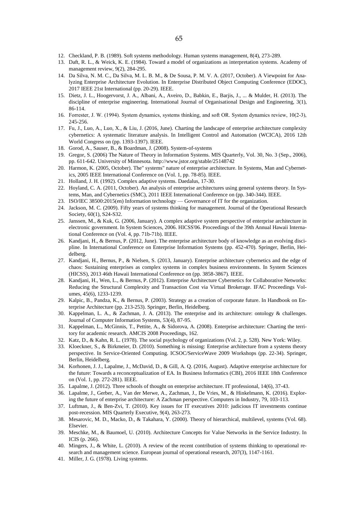- <span id="page-64-24"></span><span id="page-64-23"></span><span id="page-64-22"></span><span id="page-64-21"></span><span id="page-64-20"></span><span id="page-64-19"></span><span id="page-64-18"></span><span id="page-64-17"></span><span id="page-64-16"></span><span id="page-64-15"></span><span id="page-64-14"></span><span id="page-64-13"></span><span id="page-64-12"></span><span id="page-64-11"></span><span id="page-64-10"></span><span id="page-64-9"></span><span id="page-64-8"></span><span id="page-64-7"></span><span id="page-64-6"></span><span id="page-64-5"></span><span id="page-64-4"></span><span id="page-64-3"></span><span id="page-64-2"></span><span id="page-64-1"></span><span id="page-64-0"></span>12. Checkland, P. B. (1989). Soft systems methodology. Human systems management, 8(4), 273-289.
	- 13. Daft, R. L., & Weick, K. E. (1984). Toward a model of organizations as interpretation systems. Academy of management review, 9(2), 284-295.
	- 14. Da Silva, N. M. C., Da Silva, M. L. B. M., & De Sousa, P. M. V. A. (2017, October). A Viewpoint for Analyzing Enterprise Architecture Evolution. In Enterprise Distributed Object Computing Conference (EDOC), 2017 IEEE 21st International (pp. 20-29). IEEE.
	- 15. Dietz, J. L., Hoogervorst, J. A., Albani, A., Aveiro, D., Babkin, E., Barjis, J., ... & Mulder, H. (2013). The discipline of enterprise engineering. International Journal of Organisational Design and Engineering, 3(1), 86-114.
	- 16. Forrester, J. W. (1994). System dynamics, systems thinking, and soft OR. System dynamics review, 10(2‐3), 245-256.
	- 17. Fu, J., Luo, A., Luo, X., & Liu, J. (2016, June). Charting the landscape of enterprise architecture complexity cybernetics: A systematic literature analysis. In Intelligent Control and Automation (WCICA), 2016 12th World Congress on (pp. 1393-1397). IEEE.
	- 18. Gorod, A., Sauser, B., & Boardman, J. (2008). System-of-systems
	- 19. Gregor, S. (2006) The Nature of Theory in Information Systems. MIS Quarterly, Vol. 30, No. 3 (Sep., 2006), pp. 611-642. University of Minnesota. http://www.jstor.org/stable/25148742
	- 20. Harmon, K. (2005, October). The" systems" nature of enterprise architecture. In Systems, Man and Cybernetics, 2005 IEEE International Conference on (Vol. 1, pp. 78-85). IEEE.
	- 21. Holland, J. H. (1992). Complex adaptive systems. Daedalus, 17-30.
	- 22. Hoyland, C. A. (2011, October). An analysis of enterprise architectures using general systems theory. In Systems, Man, and Cybernetics (SMC), 2011 IEEE International Conference on (pp. 340-344). IEEE.
	- 23. ISO/IEC 38500:2015(en) Information technology Governance of IT for the organization.
	- 24. Jackson, M. C. (2009). Fifty years of systems thinking for management. Journal of the Operational Research Society, 60(1), S24-S32.
	- 25. Janssen, M., & Kuk, G. (2006, January). A complex adaptive system perspective of enterprise architecture in electronic government. In System Sciences, 2006. HICSS'06. Proceedings of the 39th Annual Hawaii International Conference on (Vol. 4, pp. 71b-71b). IEEE.
	- 26. Kandjani, H., & Bernus, P. (2012, June). The enterprise architecture body of knowledge as an evolving discipline. In International Conference on Enterprise Information Systems (pp. 452-470). Springer, Berlin, Heidelberg.
	- 27. Kandjani, H., Bernus, P., & Nielsen, S. (2013, January). Enterprise architecture cybernetics and the edge of chaos: Sustaining enterprises as complex systems in complex business environments. In System Sciences (HICSS), 2013 46th Hawaii International Conference on (pp. 3858-3867). IEEE.
	- 28. Kandjani, H., Wen, L., & Bernus, P. (2012). Enterprise Architecture Cybernetics for Collaborative Networks: Reducing the Structural Complexity and Transaction Cost via Virtual Brokerage. IFAC Proceedings Volumes, 45(6), 1233-1239.
	- 29. Kalpic, B., Pandza, K., & Bernus, P. (2003). Strategy as a creation of corporate future. In Handbook on Enterprise Architecture (pp. 213-253). Springer, Berlin, Heidelberg.
	- 30. Kappelman, L. A., & Zachman, J. A. (2013). The enterprise and its architecture: ontology & challenges. Journal of Computer Information Systems, 53(4), 87-95.
	- 31. Kappelman, L., McGinnis, T., Pettite, A., & Sidorova, A. (2008). Enterprise architecture: Charting the territory for academic research. AMCIS 2008 Proceedings, 162.
	- 32. Katz, D., & Kahn, R. L. (1978). The social psychology of organizations (Vol. 2, p. 528). New York: Wiley.
	- 33. Kloeckner, S., & Birkmeier, D. (2010). Something is missing: Enterprise architecture from a systems theory perspective. In Service-Oriented Computing. ICSOC/ServiceWave 2009 Workshops (pp. 22-34). Springer, Berlin, Heidelberg.
	- 34. Korhonen, J. J., Lapalme, J., McDavid, D., & Gill, A. Q. (2016, August). Adaptive enterprise architecture for the future: Towards a reconceptualization of EA. In Business Informatics (CBI), 2016 IEEE 18th Conference on (Vol. 1, pp. 272-281). IEEE.
	- 35. Lapalme, J. (2012). Three schools of thought on enterprise architecture. IT professional, 14(6), 37-43.
	- 36. Lapalme, J., Gerber, A., Van der Merwe, A., Zachman, J., De Vries, M., & Hinkelmann, K. (2016). Exploring the future of enterprise architecture: A Zachman perspective. Computers in Industry, 79, 103-113.
	- 37. Luftman, J., & Ben-Zvi, T. (2010). Key issues for IT executives 2010: judicious IT investments continue post-recession. MIS Quarterly Executive, 9(4), 263-273.
	- 38. Mesarovic, M. D., Macko, D., & Takahara, Y. (2000). Theory of hierarchical, multilevel, systems (Vol. 68). Elsevier.
	- 39. Meschke, M., & Baumoel, U. (2010). Architecture Concepts for Value Networks in the Service Industry. In ICIS (p. 266).
	- 40. Mingers, J., & White, L. (2010). A review of the recent contribution of systems thinking to operational research and management science. European journal of operational research, 207(3), 1147-1161.
	- 41. Miller, J. G. (1978). Living systems.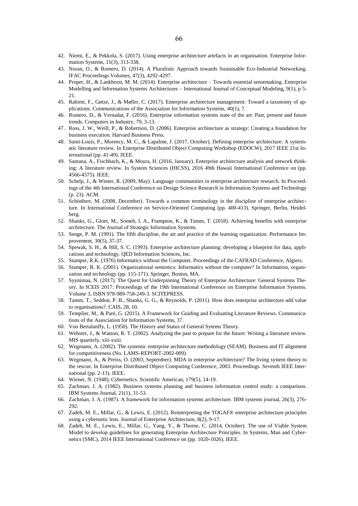- <span id="page-65-1"></span>42. Niemi, E., & Pekkola, S. (2017). Using enterprise architecture artefacts in an organisation. Enterprise Information Systems, 11(3), 313-338.
- <span id="page-65-25"></span>43. Noran, O., & Romero, D. (2014). A Pluralistic Approach towards Sustainable Eco-Industrial Networking. IFAC Proceedings Volumes, 47(3), 4292-4297.
- <span id="page-65-14"></span>44. Proper, H., & Lankhorst, M. M. (2014). Enterprise architecture – Towards essential sensemaking. Enterprise Modelling and Information Systems Architectures – International Journal of Conceptual Modeling, 9(1), p 5- 21.
- <span id="page-65-4"></span>45. Rahimi, F., Gøtze, J., & Møller, C. (2017). Enterprise architecture management: Toward a taxonomy of applications. Communications of the Association for Information Systems, 40(1), 7.
- <span id="page-65-11"></span>46. Romero, D., & Vernadat, F. (2016). Enterprise information systems state of the art: Past, present and future trends. Computers in Industry, 79, 3-13.
- <span id="page-65-5"></span>47. Ross, J. W., Weill, P., & Robertson, D. (2006). Enterprise architecture as strategy: Creating a foundation for business execution. Harvard Business Press.
- <span id="page-65-10"></span>48. Saint-Louis, P., Morency, M. C., & Lapalme, J. (2017, October). Defining enterprise architecture: A systematic literature review. In Enterprise Distributed Object Computing Workshop (EDOCW), 2017 IEEE 21st International (pp. 41-49). IEEE.
- <span id="page-65-7"></span>49. Santana, A., Fischbach, K., & Moura, H. (2016, January). Enterprise architecture analysis and network thinking: A literature review. In System Sciences (HICSS), 2016 49th Hawaii International Conference on (pp. 4566-4575). IEEE.
- <span id="page-65-9"></span>50. Schelp, J., & Winter, R. (2009, May). Language communities in enterprise architecture research. In Proceedings of the 4th International Conference on Design Science Research in Information Systems and Technology (p. 23). ACM.
- <span id="page-65-8"></span>51. Schönherr, M. (2008, December). Towards a common terminology in the discipline of enterprise architecture. In International Conference on Service-Oriented Computing (pp. 400-413). Springer, Berlin, Heidelberg.
- <span id="page-65-0"></span>52. Shanks, G., Gloet, M., Someh, I. A., Frampton, K., & Tamm, T. (2018). Achieving benefits with enterprise architecture. The Journal of Strategic Information Systems.
- <span id="page-65-19"></span>53. Senge, P. M. (1991). The fifth discipline, the art and practice of the learning organization. Performance Improvement, 30(5), 37-37.
- <span id="page-65-13"></span>54. Spewak, S. H., & Hill, S. C. (1993). Enterprise architecture planning: developing a blueprint for data, applications and technology. QED Information Sciences, Inc.
- <span id="page-65-17"></span>55. Stamper, R.K. (1976) Informatics without the Computer. Proceedings of the CAFRAD Conference, Algiers.
- <span id="page-65-18"></span>56. Stamper, R. K. (2001). Organizational semiotics: Informatics without the computer? In Information, organization and technology (pp. 115-171). Springer, Boston, MA.
- <span id="page-65-24"></span>57. Syynimaa, N. (2017). The Quest for Underpinning Theory of Enterprise Architecture: General Systems Theory. In ICEIS 2017: Proceedings of the 19th International Conference on Enterprise Information Systems. Volume 3, ISBN 978-989-758-249-3. SCITEPRESS.
- <span id="page-65-2"></span>58. Tamm, T., Seddon, P. B., Shanks, G. G., & Reynolds, P. (2011). How does enterprise architecture add value to organisations?. CAIS, 28, 10.
- <span id="page-65-20"></span>59. Templier, M., & Paré, G. (2015). A Framework for Guiding and Evaluating Literature Reviews. Communications of the Association for Information Systems, 37.
- <span id="page-65-15"></span>60. Von Bertalanffy, L. (1950). The History and Status of General Sytems Theory.
- <span id="page-65-21"></span>61. Webster, J., & Watson, R. T. (2002). Analyzing the past to prepare for the future: Writing a literature review. MIS quarterly, xiii-xxiii.
- <span id="page-65-6"></span>62. Wegmann, A. (2002). The systemic enterprise architecture methodology (SEAM). Business and IT alignment for competitiveness (No. LAMS-REPORT-2002-009).
- <span id="page-65-22"></span>63. Wegmann, A., & Preiss, O. (2003, September). MDA in enterprise architecture? The living system theory to the rescue. In Enterprise Distributed Object Computing Conference, 2003. Proceedings. Seventh IEEE International (pp. 2-13). IEEE.
- <span id="page-65-16"></span>64. Wiener, N. (1948). Cybernetics. Scientific American, 179(5), 14-19.
- <span id="page-65-3"></span>65. Zachman, J. A. (1982). Business systems planning and business information control study: a comparison. IBM Systems Journal, 21(1), 31-53.
- <span id="page-65-12"></span>66. Zachman, J. A. (1987). A framework for information systems architecture. IBM systems journal, 26(3), 276- 292.
- 67. Zadeh, M. E., Millar, G., & Lewis, E. (2012). Reinterpreting the TOGAF® enterprise architecture principles using a cybernetic lens. Journal of Enterprise Architecture, 8(2), 9-17.
- <span id="page-65-23"></span>68. Zadeh, M. E., Lewis, E., Millar, G., Yang, Y., & Thorne, C. (2014, October). The use of Viable System Model to develop guidelines for generating Enterprise Architecture Principles. In Systems, Man and Cybernetics (SMC), 2014 IEEE International Conference on (pp. 1020-1026). IEEE.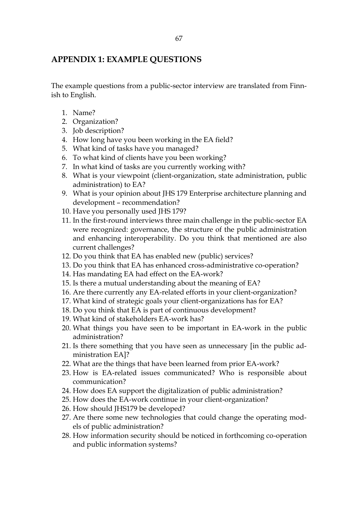## <span id="page-66-0"></span>**APPENDIX 1: EXAMPLE QUESTIONS**

The example questions from a public-sector interview are translated from Finnish to English.

- 1. Name?
- 2. Organization?
- 3. Job description?
- 4. How long have you been working in the EA field?
- 5. What kind of tasks have you managed?
- 6. To what kind of clients have you been working?
- 7. In what kind of tasks are you currently working with?
- 8. What is your viewpoint (client-organization, state administration, public administration) to EA?
- 9. What is your opinion about JHS 179 Enterprise architecture planning and development – recommendation?
- 10. Have you personally used JHS 179?
- 11. In the first-round interviews three main challenge in the public-sector EA were recognized: governance, the structure of the public administration and enhancing interoperability. Do you think that mentioned are also current challenges?
- 12. Do you think that EA has enabled new (public) services?
- 13. Do you think that EA has enhanced cross-administrative co-operation?
- 14. Has mandating EA had effect on the EA-work?
- 15. Is there a mutual understanding about the meaning of EA?
- 16. Are there currently any EA-related efforts in your client-organization?
- 17. What kind of strategic goals your client-organizations has for EA?
- 18. Do you think that EA is part of continuous development?
- 19. What kind of stakeholders EA-work has?
- 20. What things you have seen to be important in EA-work in the public administration?
- 21. Is there something that you have seen as unnecessary [in the public administration EA]?
- 22. What are the things that have been learned from prior EA-work?
- 23. How is EA-related issues communicated? Who is responsible about communication?
- 24. How does EA support the digitalization of public administration?
- 25. How does the EA-work continue in your client-organization?
- 26. How should JHS179 be developed?
- 27. Are there some new technologies that could change the operating models of public administration?
- 28. How information security should be noticed in forthcoming co-operation and public information systems?